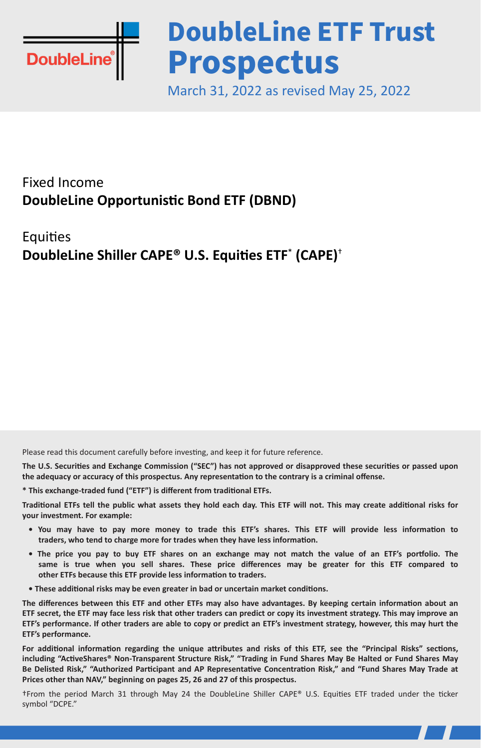

# **DoubleLine ETF Trust Prospectus**

March 31, 2022 as revised May 25, 2022

# Fixed Income **DoubleLine Opportunistic Bond ETF (DBND)**

#### **Equities DoubleLine Shiller CAPE® U.S. Equities ETF**\*  **(CAPE)**†

Please read this document carefully before investing, and keep it for future reference.

**The U.S. Securities and Exchange Commission ("SEC") has not approved or disapproved these securities or passed upon the adequacy or accuracy of this prospectus. Any representation to the contrary is a criminal offense.**

**\* This exchange-traded fund ("ETF") is different from traditional ETFs.**

**Traditional ETFs tell the public what assets they hold each day. This ETF will not. This may create additional risks for your investment. For example:**

- **You may have to pay more money to trade this ETF's shares. This ETF will provide less information to traders, who tend to charge more for trades when they have less information.**
- **The price you pay to buy ETF shares on an exchange may not match the value of an ETF's portfolio. The same is true when you sell shares. These price differences may be greater for this ETF compared to other ETFs because this ETF provide less information to traders.**
- **These additional risks may be even greater in bad or uncertain market conditions.**

**The differences between this ETF and other ETFs may also have advantages. By keeping certain information about an ETF secret, the ETF may face less risk that other traders can predict or copy its investment strategy. This may improve an ETF's performance. If other traders are able to copy or predict an ETF's investment strategy, however, this may hurt the ETF's performance.**

**For additional information regarding the unique attributes and risks of this ETF, see the "Principal Risks" sections, including "ActiveShares® Non-Transparent Structure Risk," "Trading in Fund Shares May Be Halted or Fund Shares May Be Delisted Risk," "Authorized Participant and AP Representative Concentration Risk," and "Fund Shares May Trade at Prices other than NAV," beginning on pages 25, 26 and 27 of this prospectus.**

†From the period March 31 through May 24 the DoubleLine Shiller CAPE® U.S. Equities ETF traded under the ticker symbol "DCPE."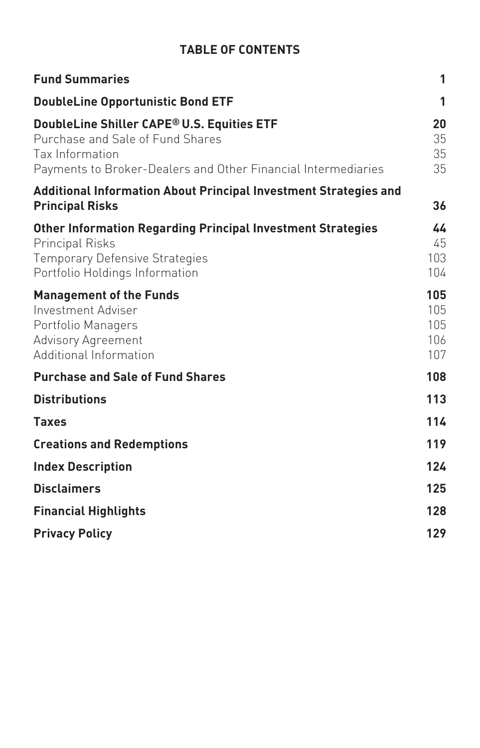#### **TABLE OF CONTENTS**

| <b>Fund Summaries</b>                                                                                                                                                   | 1                               |
|-------------------------------------------------------------------------------------------------------------------------------------------------------------------------|---------------------------------|
| <b>DoubleLine Opportunistic Bond ETF</b>                                                                                                                                | 1                               |
| DoubleLine Shiller CAPE® U.S. Equities ETF<br>Purchase and Sale of Fund Shares<br>Tax Information<br>Payments to Broker-Dealers and Other Financial Intermediaries      | 20<br>35<br>35<br>35            |
| <b>Additional Information About Principal Investment Strategies and</b><br><b>Principal Risks</b>                                                                       | 36                              |
| <b>Other Information Regarding Principal Investment Strategies</b><br><b>Principal Risks</b><br><b>Temporary Defensive Strategies</b><br>Portfolio Holdings Information | 44<br>45<br>103<br>104          |
| <b>Management of the Funds</b><br>Investment Adviser<br>Portfolio Managers<br>Advisory Agreement<br>Additional Information                                              | 105<br>105<br>105<br>106<br>107 |
| <b>Purchase and Sale of Fund Shares</b>                                                                                                                                 | 108                             |
| <b>Distributions</b>                                                                                                                                                    | 113                             |
| <b>Taxes</b>                                                                                                                                                            | 114                             |
| <b>Creations and Redemptions</b>                                                                                                                                        | 119                             |
| <b>Index Description</b>                                                                                                                                                | 124                             |
| <b>Disclaimers</b>                                                                                                                                                      | 125                             |
| <b>Financial Highlights</b>                                                                                                                                             | 128                             |
| <b>Privacy Policy</b>                                                                                                                                                   | 129                             |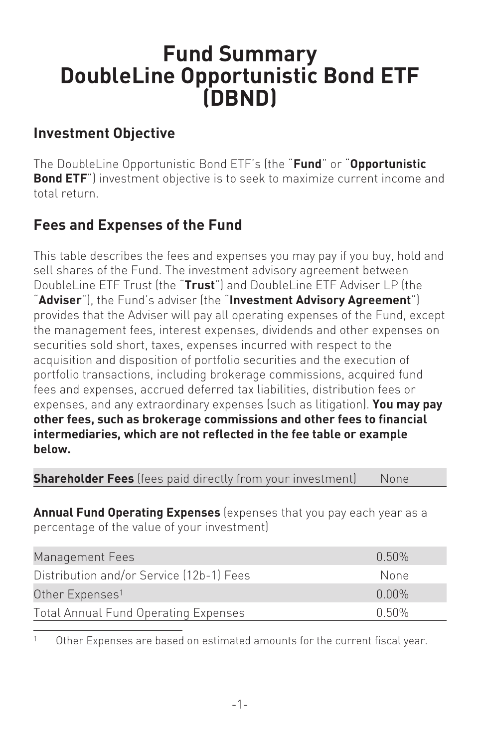# <span id="page-2-1"></span><span id="page-2-0"></span>**Fund Summary DoubleLine Opportunistic Bond ETF (DBND)**

#### **Investment Objective**

The DoubleLine Opportunistic Bond ETF's (the "**Fund**" or "**Opportunistic Bond ETF**") investment objective is to seek to maximize current income and total return.

# **Fees and Expenses of the Fund**

This table describes the fees and expenses you may pay if you buy, hold and sell shares of the Fund. The investment advisory agreement between DoubleLine ETF Trust (the "**Trust**") and DoubleLine ETF Adviser LP (the "**Adviser**"), the Fund's adviser (the "**Investment Advisory Agreement**") provides that the Adviser will pay all operating expenses of the Fund, except the management fees, interest expenses, dividends and other expenses on securities sold short, taxes, expenses incurred with respect to the acquisition and disposition of portfolio securities and the execution of portfolio transactions, including brokerage commissions, acquired fund fees and expenses, accrued deferred tax liabilities, distribution fees or expenses, and any extraordinary expenses (such as litigation). **You may pay other fees, such as brokerage commissions and other fees to financial intermediaries, which are not reflected in the fee table or example below.**

**Shareholder Fees** (fees paid directly from your investment) None

**Annual Fund Operating Expenses** (expenses that you pay each year as a percentage of the value of your investment)

| Management Fees                             | በ 50%    |
|---------------------------------------------|----------|
| Distribution and/or Service (12b-1) Fees    | None     |
| Other Expenses <sup>1</sup>                 | $0.00\%$ |
| <b>Total Annual Fund Operating Expenses</b> | በ 5በ%    |

<sup>1</sup> Other Expenses are based on estimated amounts for the current fiscal year.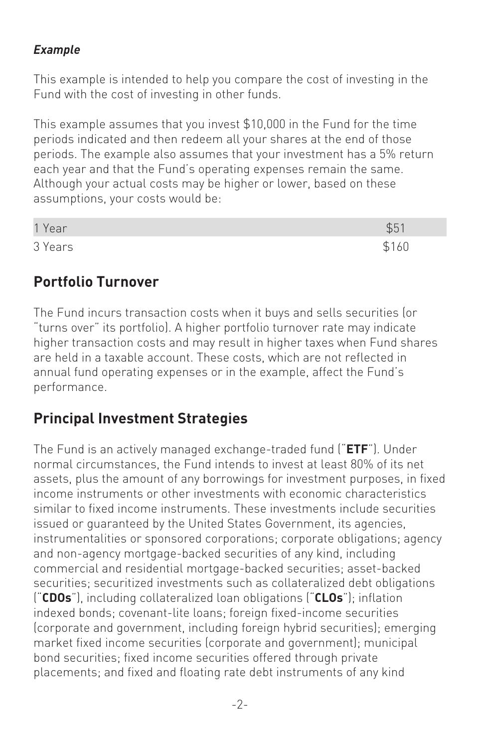#### *Example*

This example is intended to help you compare the cost of investing in the Fund with the cost of investing in other funds.

This example assumes that you invest \$10,000 in the Fund for the time periods indicated and then redeem all your shares at the end of those periods. The example also assumes that your investment has a 5% return each year and that the Fund's operating expenses remain the same. Although your actual costs may be higher or lower, based on these assumptions, your costs would be:

| 1 Year  |  |
|---------|--|
| 3 Years |  |

#### **Portfolio Turnover**

The Fund incurs transaction costs when it buys and sells securities (or "turns over" its portfolio). A higher portfolio turnover rate may indicate higher transaction costs and may result in higher taxes when Fund shares are held in a taxable account. These costs, which are not reflected in annual fund operating expenses or in the example, affect the Fund's performance.

#### **Principal Investment Strategies**

The Fund is an actively managed exchange-traded fund ("**ETF**"). Under normal circumstances, the Fund intends to invest at least 80% of its net assets, plus the amount of any borrowings for investment purposes, in fixed income instruments or other investments with economic characteristics similar to fixed income instruments. These investments include securities issued or guaranteed by the United States Government, its agencies, instrumentalities or sponsored corporations; corporate obligations; agency and non-agency mortgage-backed securities of any kind, including commercial and residential mortgage-backed securities; asset-backed securities; securitized investments such as collateralized debt obligations ("**CDOs**"), including collateralized loan obligations ("**CLOs**"); inflation indexed bonds; covenant-lite loans; foreign fixed-income securities (corporate and government, including foreign hybrid securities); emerging market fixed income securities (corporate and government); municipal bond securities; fixed income securities offered through private placements; and fixed and floating rate debt instruments of any kind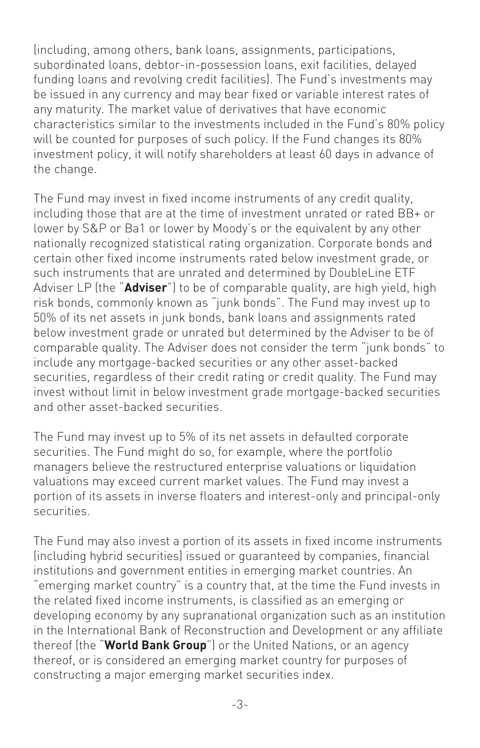(including, among others, bank loans, assignments, participations, subordinated loans, debtor-in-possession loans, exit facilities, delayed funding loans and revolving credit facilities). The Fund's investments may be issued in any currency and may bear fixed or variable interest rates of any maturity. The market value of derivatives that have economic characteristics similar to the investments included in the Fund's 80% policy will be counted for purposes of such policy. If the Fund changes its 80% investment policy, it will notify shareholders at least 60 days in advance of the change.

The Fund may invest in fixed income instruments of any credit quality, including those that are at the time of investment unrated or rated BB+ or lower by S&P or Ba1 or lower by Moody's or the equivalent by any other nationally recognized statistical rating organization. Corporate bonds and certain other fixed income instruments rated below investment grade, or such instruments that are unrated and determined by DoubleLine ETF Adviser LP (the "**Adviser**") to be of comparable quality, are high yield, high risk bonds, commonly known as "junk bonds". The Fund may invest up to 50% of its net assets in junk bonds, bank loans and assignments rated below investment grade or unrated but determined by the Adviser to be of comparable quality. The Adviser does not consider the term "junk bonds" to include any mortgage-backed securities or any other asset-backed securities, regardless of their credit rating or credit quality. The Fund may invest without limit in below investment grade mortgage-backed securities and other asset-backed securities.

The Fund may invest up to 5% of its net assets in defaulted corporate securities. The Fund might do so, for example, where the portfolio managers believe the restructured enterprise valuations or liquidation valuations may exceed current market values. The Fund may invest a portion of its assets in inverse floaters and interest-only and principal-only securities.

The Fund may also invest a portion of its assets in fixed income instruments (including hybrid securities) issued or guaranteed by companies, financial institutions and government entities in emerging market countries. An "emerging market country" is a country that, at the time the Fund invests in the related fixed income instruments, is classified as an emerging or developing economy by any supranational organization such as an institution in the International Bank of Reconstruction and Development or any affiliate thereof (the "**World Bank Group**") or the United Nations, or an agency thereof, or is considered an emerging market country for purposes of constructing a major emerging market securities index.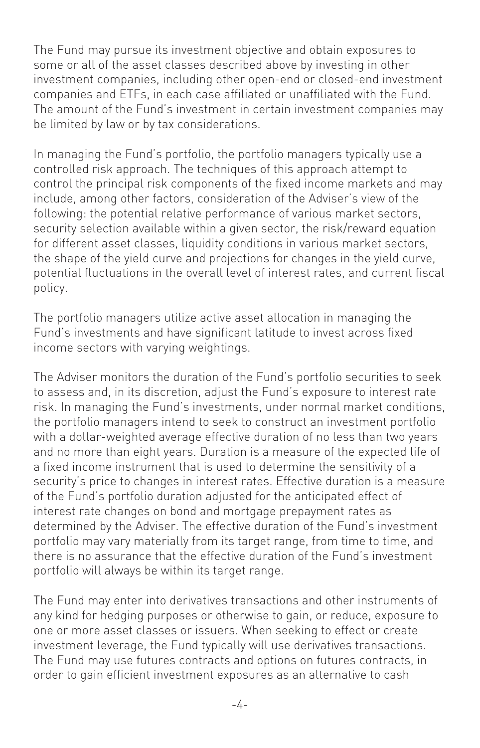The Fund may pursue its investment objective and obtain exposures to some or all of the asset classes described above by investing in other investment companies, including other open-end or closed-end investment companies and ETFs, in each case affiliated or unaffiliated with the Fund. The amount of the Fund's investment in certain investment companies may be limited by law or by tax considerations.

In managing the Fund's portfolio, the portfolio managers typically use a controlled risk approach. The techniques of this approach attempt to control the principal risk components of the fixed income markets and may include, among other factors, consideration of the Adviser's view of the following: the potential relative performance of various market sectors, security selection available within a given sector, the risk/reward equation for different asset classes, liquidity conditions in various market sectors, the shape of the yield curve and projections for changes in the yield curve, potential fluctuations in the overall level of interest rates, and current fiscal policy.

The portfolio managers utilize active asset allocation in managing the Fund's investments and have significant latitude to invest across fixed income sectors with varying weightings.

The Adviser monitors the duration of the Fund's portfolio securities to seek to assess and, in its discretion, adjust the Fund's exposure to interest rate risk. In managing the Fund's investments, under normal market conditions, the portfolio managers intend to seek to construct an investment portfolio with a dollar-weighted average effective duration of no less than two years and no more than eight years. Duration is a measure of the expected life of a fixed income instrument that is used to determine the sensitivity of a security's price to changes in interest rates. Effective duration is a measure of the Fund's portfolio duration adjusted for the anticipated effect of interest rate changes on bond and mortgage prepayment rates as determined by the Adviser. The effective duration of the Fund's investment portfolio may vary materially from its target range, from time to time, and there is no assurance that the effective duration of the Fund's investment portfolio will always be within its target range.

The Fund may enter into derivatives transactions and other instruments of any kind for hedging purposes or otherwise to gain, or reduce, exposure to one or more asset classes or issuers. When seeking to effect or create investment leverage, the Fund typically will use derivatives transactions. The Fund may use futures contracts and options on futures contracts, in order to gain efficient investment exposures as an alternative to cash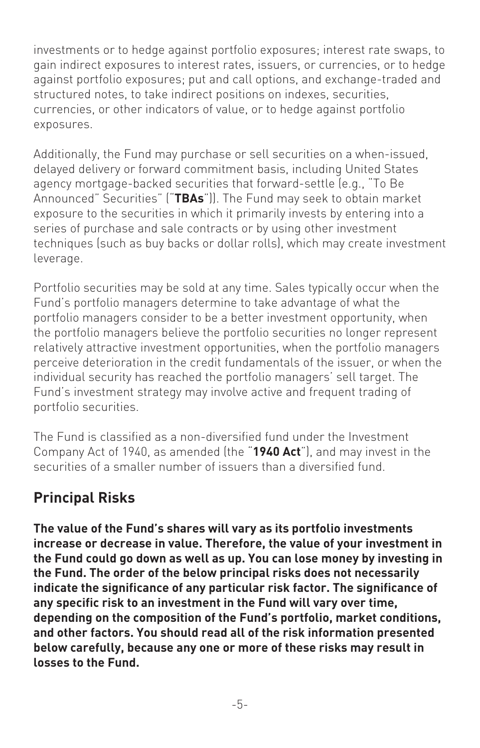investments or to hedge against portfolio exposures; interest rate swaps, to gain indirect exposures to interest rates, issuers, or currencies, or to hedge against portfolio exposures; put and call options, and exchange-traded and structured notes, to take indirect positions on indexes, securities, currencies, or other indicators of value, or to hedge against portfolio exposures.

Additionally, the Fund may purchase or sell securities on a when-issued, delayed delivery or forward commitment basis, including United States agency mortgage-backed securities that forward-settle (e.g., "To Be Announced" Securities" ("**TBAs**")). The Fund may seek to obtain market exposure to the securities in which it primarily invests by entering into a series of purchase and sale contracts or by using other investment techniques (such as buy backs or dollar rolls), which may create investment leverage.

Portfolio securities may be sold at any time. Sales typically occur when the Fund's portfolio managers determine to take advantage of what the portfolio managers consider to be a better investment opportunity, when the portfolio managers believe the portfolio securities no longer represent relatively attractive investment opportunities, when the portfolio managers perceive deterioration in the credit fundamentals of the issuer, or when the individual security has reached the portfolio managers' sell target. The Fund's investment strategy may involve active and frequent trading of portfolio securities.

The Fund is classified as a non-diversified fund under the Investment Company Act of 1940, as amended (the "**1940 Act**"), and may invest in the securities of a smaller number of issuers than a diversified fund.

# **Principal Risks**

**The value of the Fund's shares will vary as its portfolio investments increase or decrease in value. Therefore, the value of your investment in the Fund could go down as well as up. You can lose money by investing in the Fund. The order of the below principal risks does not necessarily indicate the significance of any particular risk factor. The significance of any specific risk to an investment in the Fund will vary over time, depending on the composition of the Fund's portfolio, market conditions, and other factors. You should read all of the risk information presented below carefully, because any one or more of these risks may result in losses to the Fund.**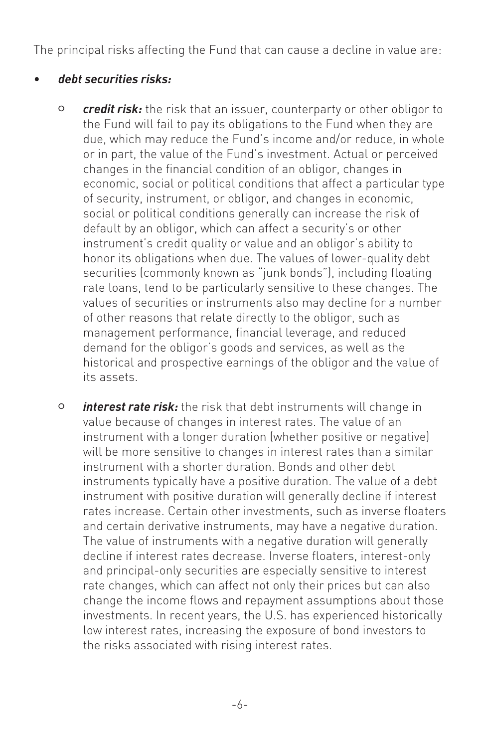The principal risks affecting the Fund that can cause a decline in value are:

#### • *debt securities risks:*

- <sup>O</sup> *credit risk:* the risk that an issuer, counterparty or other obligor to the Fund will fail to pay its obligations to the Fund when they are due, which may reduce the Fund's income and/or reduce, in whole or in part, the value of the Fund's investment. Actual or perceived changes in the financial condition of an obligor, changes in economic, social or political conditions that affect a particular type of security, instrument, or obligor, and changes in economic, social or political conditions generally can increase the risk of default by an obligor, which can affect a security's or other instrument's credit quality or value and an obligor's ability to honor its obligations when due. The values of lower-quality debt securities (commonly known as "junk bonds"), including floating rate loans, tend to be particularly sensitive to these changes. The values of securities or instruments also may decline for a number of other reasons that relate directly to the obligor, such as management performance, financial leverage, and reduced demand for the obligor's goods and services, as well as the historical and prospective earnings of the obligor and the value of its assets.
- <sup>O</sup> *interest rate risk:* the risk that debt instruments will change in value because of changes in interest rates. The value of an instrument with a longer duration (whether positive or negative) will be more sensitive to changes in interest rates than a similar instrument with a shorter duration. Bonds and other debt instruments typically have a positive duration. The value of a debt instrument with positive duration will generally decline if interest rates increase. Certain other investments, such as inverse floaters and certain derivative instruments, may have a negative duration. The value of instruments with a negative duration will generally decline if interest rates decrease. Inverse floaters, interest-only and principal-only securities are especially sensitive to interest rate changes, which can affect not only their prices but can also change the income flows and repayment assumptions about those investments. In recent years, the U.S. has experienced historically low interest rates, increasing the exposure of bond investors to the risks associated with rising interest rates.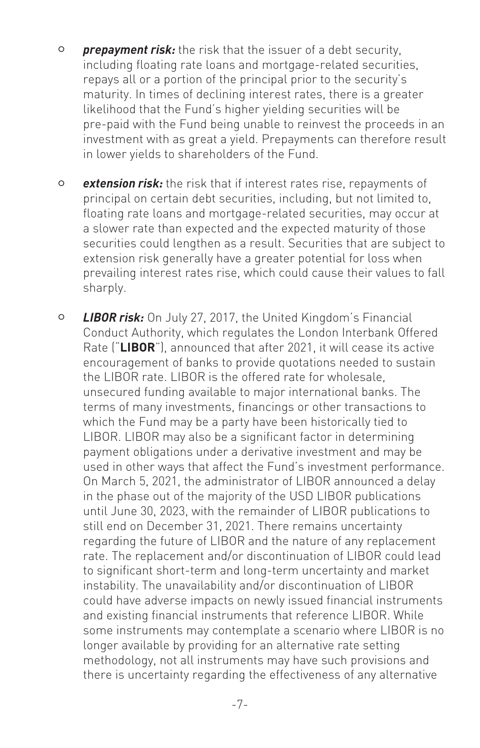- <sup>O</sup> *prepayment risk:* the risk that the issuer of a debt security, including floating rate loans and mortgage-related securities, repays all or a portion of the principal prior to the security's maturity. In times of declining interest rates, there is a greater likelihood that the Fund's higher yielding securities will be pre-paid with the Fund being unable to reinvest the proceeds in an investment with as great a yield. Prepayments can therefore result in lower yields to shareholders of the Fund.
- <sup>O</sup> *extension risk:* the risk that if interest rates rise, repayments of principal on certain debt securities, including, but not limited to, floating rate loans and mortgage-related securities, may occur at a slower rate than expected and the expected maturity of those securities could lengthen as a result. Securities that are subject to extension risk generally have a greater potential for loss when prevailing interest rates rise, which could cause their values to fall sharply.
- <sup>O</sup> *LIBOR risk:* On July 27, 2017, the United Kingdom's Financial Conduct Authority, which regulates the London Interbank Offered Rate ("**LIBOR**"), announced that after 2021, it will cease its active encouragement of banks to provide quotations needed to sustain the LIBOR rate. LIBOR is the offered rate for wholesale, unsecured funding available to major international banks. The terms of many investments, financings or other transactions to which the Fund may be a party have been historically tied to LIBOR. LIBOR may also be a significant factor in determining payment obligations under a derivative investment and may be used in other ways that affect the Fund's investment performance. On March 5, 2021, the administrator of LIBOR announced a delay in the phase out of the majority of the USD LIBOR publications until June 30, 2023, with the remainder of LIBOR publications to still end on December 31, 2021. There remains uncertainty regarding the future of LIBOR and the nature of any replacement rate. The replacement and/or discontinuation of LIBOR could lead to significant short-term and long-term uncertainty and market instability. The unavailability and/or discontinuation of LIBOR could have adverse impacts on newly issued financial instruments and existing financial instruments that reference LIBOR. While some instruments may contemplate a scenario where LIBOR is no longer available by providing for an alternative rate setting methodology, not all instruments may have such provisions and there is uncertainty regarding the effectiveness of any alternative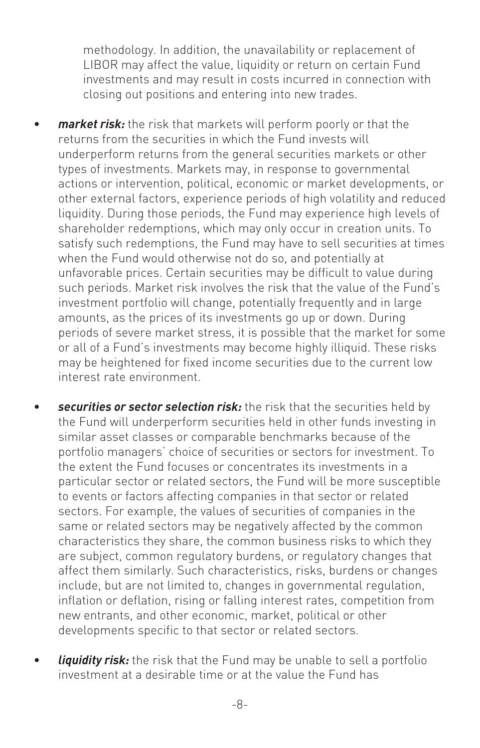methodology. In addition, the unavailability or replacement of LIBOR may affect the value, liquidity or return on certain Fund investments and may result in costs incurred in connection with closing out positions and entering into new trades.

- *market risk:* the risk that markets will perform poorly or that the returns from the securities in which the Fund invests will underperform returns from the general securities markets or other types of investments. Markets may, in response to governmental actions or intervention, political, economic or market developments, or other external factors, experience periods of high volatility and reduced liquidity. During those periods, the Fund may experience high levels of shareholder redemptions, which may only occur in creation units. To satisfy such redemptions, the Fund may have to sell securities at times when the Fund would otherwise not do so, and potentially at unfavorable prices. Certain securities may be difficult to value during such periods. Market risk involves the risk that the value of the Fund's investment portfolio will change, potentially frequently and in large amounts, as the prices of its investments go up or down. During periods of severe market stress, it is possible that the market for some or all of a Fund's investments may become highly illiquid. These risks may be heightened for fixed income securities due to the current low interest rate environment.
- *securities or sector selection risk:* the risk that the securities held by the Fund will underperform securities held in other funds investing in similar asset classes or comparable benchmarks because of the portfolio managers' choice of securities or sectors for investment. To the extent the Fund focuses or concentrates its investments in a particular sector or related sectors, the Fund will be more susceptible to events or factors affecting companies in that sector or related sectors. For example, the values of securities of companies in the same or related sectors may be negatively affected by the common characteristics they share, the common business risks to which they are subject, common regulatory burdens, or regulatory changes that affect them similarly. Such characteristics, risks, burdens or changes include, but are not limited to, changes in governmental regulation, inflation or deflation, rising or falling interest rates, competition from new entrants, and other economic, market, political or other developments specific to that sector or related sectors.
- *liquidity risk:* the risk that the Fund may be unable to sell a portfolio investment at a desirable time or at the value the Fund has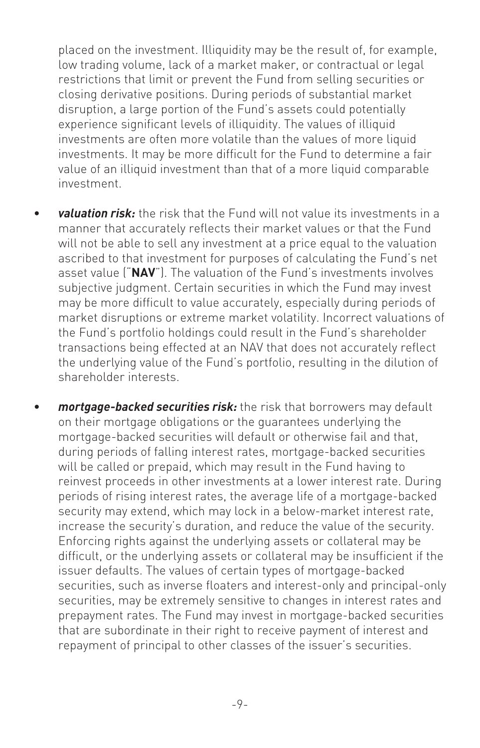placed on the investment. Illiquidity may be the result of, for example, low trading volume, lack of a market maker, or contractual or legal restrictions that limit or prevent the Fund from selling securities or closing derivative positions. During periods of substantial market disruption, a large portion of the Fund's assets could potentially experience significant levels of illiquidity. The values of illiquid investments are often more volatile than the values of more liquid investments. It may be more difficult for the Fund to determine a fair value of an illiquid investment than that of a more liquid comparable investment.

- *valuation risk:* the risk that the Fund will not value its investments in a manner that accurately reflects their market values or that the Fund will not be able to sell any investment at a price equal to the valuation ascribed to that investment for purposes of calculating the Fund's net asset value ("**NAV**"). The valuation of the Fund's investments involves subjective judgment. Certain securities in which the Fund may invest may be more difficult to value accurately, especially during periods of market disruptions or extreme market volatility. Incorrect valuations of the Fund's portfolio holdings could result in the Fund's shareholder transactions being effected at an NAV that does not accurately reflect the underlying value of the Fund's portfolio, resulting in the dilution of shareholder interests.
- *mortgage-backed securities risk:* the risk that borrowers may default on their mortgage obligations or the guarantees underlying the mortgage-backed securities will default or otherwise fail and that, during periods of falling interest rates, mortgage-backed securities will be called or prepaid, which may result in the Fund having to reinvest proceeds in other investments at a lower interest rate. During periods of rising interest rates, the average life of a mortgage-backed security may extend, which may lock in a below-market interest rate, increase the security's duration, and reduce the value of the security. Enforcing rights against the underlying assets or collateral may be difficult, or the underlying assets or collateral may be insufficient if the issuer defaults. The values of certain types of mortgage-backed securities, such as inverse floaters and interest-only and principal-only securities, may be extremely sensitive to changes in interest rates and prepayment rates. The Fund may invest in mortgage-backed securities that are subordinate in their right to receive payment of interest and repayment of principal to other classes of the issuer's securities.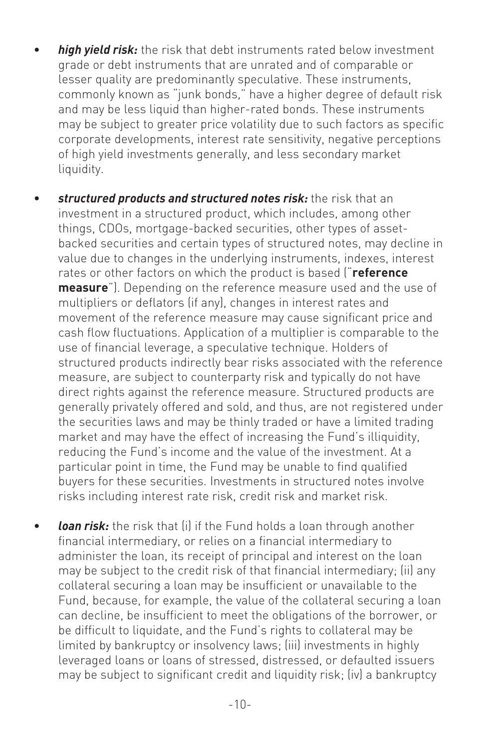- *high yield risk:* the risk that debt instruments rated below investment grade or debt instruments that are unrated and of comparable or lesser quality are predominantly speculative. These instruments, commonly known as "junk bonds," have a higher degree of default risk and may be less liquid than higher-rated bonds. These instruments may be subject to greater price volatility due to such factors as specific corporate developments, interest rate sensitivity, negative perceptions of high yield investments generally, and less secondary market liquidity.
- *structured products and structured notes risk:* the risk that an investment in a structured product, which includes, among other things, CDOs, mortgage-backed securities, other types of assetbacked securities and certain types of structured notes, may decline in value due to changes in the underlying instruments, indexes, interest rates or other factors on which the product is based ("**reference measure**"). Depending on the reference measure used and the use of multipliers or deflators (if any), changes in interest rates and movement of the reference measure may cause significant price and cash flow fluctuations. Application of a multiplier is comparable to the use of financial leverage, a speculative technique. Holders of structured products indirectly bear risks associated with the reference measure, are subject to counterparty risk and typically do not have direct rights against the reference measure. Structured products are generally privately offered and sold, and thus, are not registered under the securities laws and may be thinly traded or have a limited trading market and may have the effect of increasing the Fund's illiquidity, reducing the Fund's income and the value of the investment. At a particular point in time, the Fund may be unable to find qualified buyers for these securities. Investments in structured notes involve risks including interest rate risk, credit risk and market risk.
- *loan risk:* the risk that (i) if the Fund holds a loan through another financial intermediary, or relies on a financial intermediary to administer the loan, its receipt of principal and interest on the loan may be subject to the credit risk of that financial intermediary; (ii) any collateral securing a loan may be insufficient or unavailable to the Fund, because, for example, the value of the collateral securing a loan can decline, be insufficient to meet the obligations of the borrower, or be difficult to liquidate, and the Fund's rights to collateral may be limited by bankruptcy or insolvency laws; (iii) investments in highly leveraged loans or loans of stressed, distressed, or defaulted issuers may be subject to significant credit and liquidity risk; (iv) a bankruptcy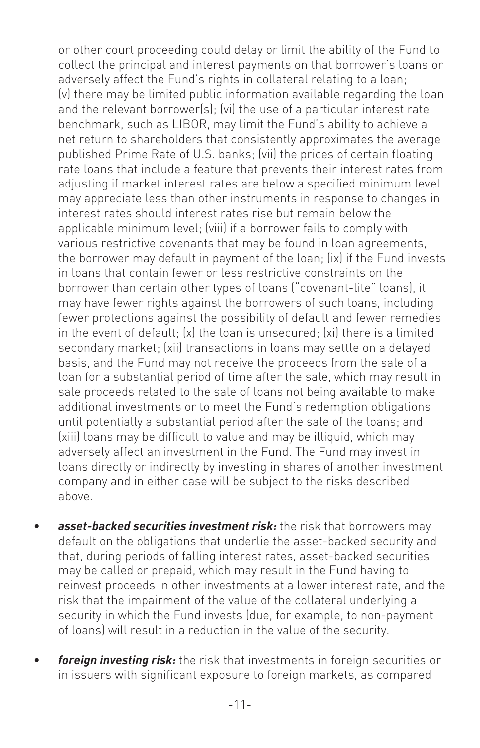or other court proceeding could delay or limit the ability of the Fund to collect the principal and interest payments on that borrower's loans or adversely affect the Fund's rights in collateral relating to a loan; (v) there may be limited public information available regarding the loan and the relevant borrower(s); (vi) the use of a particular interest rate benchmark, such as LIBOR, may limit the Fund's ability to achieve a net return to shareholders that consistently approximates the average published Prime Rate of U.S. banks; (vii) the prices of certain floating rate loans that include a feature that prevents their interest rates from adjusting if market interest rates are below a specified minimum level may appreciate less than other instruments in response to changes in interest rates should interest rates rise but remain below the applicable minimum level; (viii) if a borrower fails to comply with various restrictive covenants that may be found in loan agreements, the borrower may default in payment of the loan; (ix) if the Fund invests in loans that contain fewer or less restrictive constraints on the borrower than certain other types of loans ("covenant-lite" loans), it may have fewer rights against the borrowers of such loans, including fewer protections against the possibility of default and fewer remedies in the event of default; (x) the loan is unsecured; (xi) there is a limited secondary market; (xii) transactions in loans may settle on a delayed basis, and the Fund may not receive the proceeds from the sale of a loan for a substantial period of time after the sale, which may result in sale proceeds related to the sale of loans not being available to make additional investments or to meet the Fund's redemption obligations until potentially a substantial period after the sale of the loans; and (xiii) loans may be difficult to value and may be illiquid, which may adversely affect an investment in the Fund. The Fund may invest in loans directly or indirectly by investing in shares of another investment company and in either case will be subject to the risks described above.

- asset-backed securities investment risk: the risk that borrowers may default on the obligations that underlie the asset-backed security and that, during periods of falling interest rates, asset-backed securities may be called or prepaid, which may result in the Fund having to reinvest proceeds in other investments at a lower interest rate, and the risk that the impairment of the value of the collateral underlying a security in which the Fund invests (due, for example, to non-payment of loans) will result in a reduction in the value of the security.
- *foreign investing risk:* the risk that investments in foreign securities or in issuers with significant exposure to foreign markets, as compared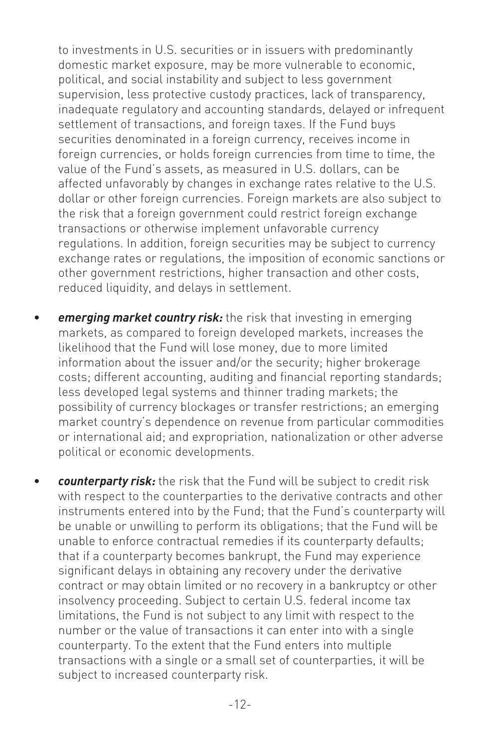to investments in U.S. securities or in issuers with predominantly domestic market exposure, may be more vulnerable to economic, political, and social instability and subject to less government supervision, less protective custody practices, lack of transparency, inadequate regulatory and accounting standards, delayed or infrequent settlement of transactions, and foreign taxes. If the Fund buys securities denominated in a foreign currency, receives income in foreign currencies, or holds foreign currencies from time to time, the value of the Fund's assets, as measured in U.S. dollars, can be affected unfavorably by changes in exchange rates relative to the U.S. dollar or other foreign currencies. Foreign markets are also subject to the risk that a foreign government could restrict foreign exchange transactions or otherwise implement unfavorable currency regulations. In addition, foreign securities may be subject to currency exchange rates or regulations, the imposition of economic sanctions or other government restrictions, higher transaction and other costs, reduced liquidity, and delays in settlement.

- *emerging market country risk:* the risk that investing in emerging markets, as compared to foreign developed markets, increases the likelihood that the Fund will lose money, due to more limited information about the issuer and/or the security; higher brokerage costs; different accounting, auditing and financial reporting standards; less developed legal systems and thinner trading markets; the possibility of currency blockages or transfer restrictions; an emerging market country's dependence on revenue from particular commodities or international aid; and expropriation, nationalization or other adverse political or economic developments.
- *counterparty risk:* the risk that the Fund will be subject to credit risk with respect to the counterparties to the derivative contracts and other instruments entered into by the Fund; that the Fund's counterparty will be unable or unwilling to perform its obligations; that the Fund will be unable to enforce contractual remedies if its counterparty defaults; that if a counterparty becomes bankrupt, the Fund may experience significant delays in obtaining any recovery under the derivative contract or may obtain limited or no recovery in a bankruptcy or other insolvency proceeding. Subject to certain U.S. federal income tax limitations, the Fund is not subject to any limit with respect to the number or the value of transactions it can enter into with a single counterparty. To the extent that the Fund enters into multiple transactions with a single or a small set of counterparties, it will be subject to increased counterparty risk.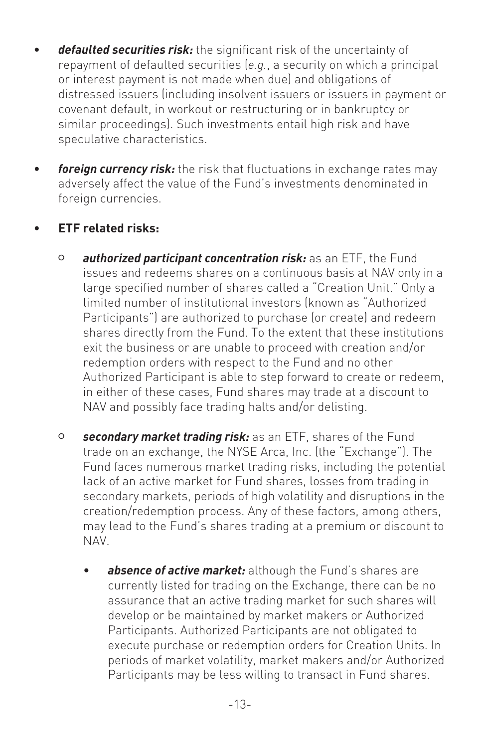- *defaulted securities risk:* the significant risk of the uncertainty of repayment of defaulted securities (*e.g.*, a security on which a principal or interest payment is not made when due) and obligations of distressed issuers (including insolvent issuers or issuers in payment or covenant default, in workout or restructuring or in bankruptcy or similar proceedings). Such investments entail high risk and have speculative characteristics.
- *foreign currency risk:* the risk that fluctuations in exchange rates may adversely affect the value of the Fund's investments denominated in foreign currencies.

#### • **ETF related risks:**

- <sup>O</sup> *authorized participant concentration risk:* as an ETF, the Fund issues and redeems shares on a continuous basis at NAV only in a large specified number of shares called a "Creation Unit." Only a limited number of institutional investors (known as "Authorized Participants") are authorized to purchase (or create) and redeem shares directly from the Fund. To the extent that these institutions exit the business or are unable to proceed with creation and/or redemption orders with respect to the Fund and no other Authorized Participant is able to step forward to create or redeem, in either of these cases, Fund shares may trade at a discount to NAV and possibly face trading halts and/or delisting.
- <sup>O</sup> *secondary market trading risk:* as an ETF, shares of the Fund trade on an exchange, the NYSE Arca, Inc. (the "Exchange"). The Fund faces numerous market trading risks, including the potential lack of an active market for Fund shares, losses from trading in secondary markets, periods of high volatility and disruptions in the creation/redemption process. Any of these factors, among others, may lead to the Fund's shares trading at a premium or discount to NAV.
	- absence of active market: although the Fund's shares are currently listed for trading on the Exchange, there can be no assurance that an active trading market for such shares will develop or be maintained by market makers or Authorized Participants. Authorized Participants are not obligated to execute purchase or redemption orders for Creation Units. In periods of market volatility, market makers and/or Authorized Participants may be less willing to transact in Fund shares.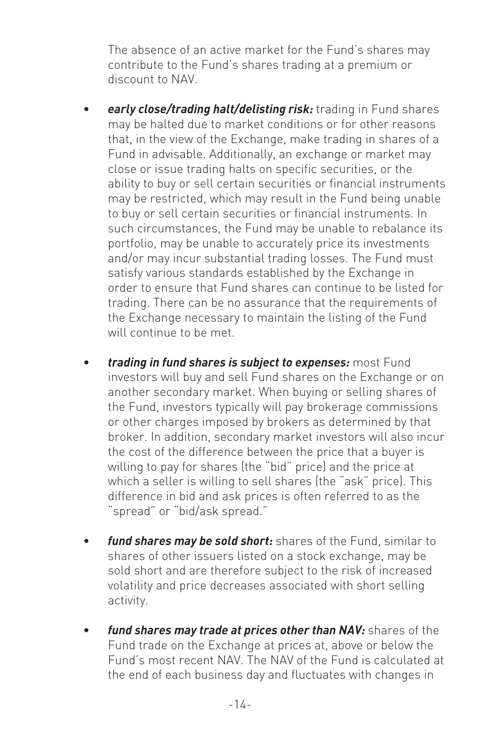The absence of an active market for the Fund's shares may contribute to the Fund's shares trading at a premium or discount to NAV.

- *early close/trading halt/delisting risk:* trading in Fund shares may be halted due to market conditions or for other reasons that, in the view of the Exchange, make trading in shares of a Fund in advisable. Additionally, an exchange or market may close or issue trading halts on specific securities, or the ability to buy or sell certain securities or financial instruments may be restricted, which may result in the Fund being unable to buy or sell certain securities or financial instruments. In such circumstances, the Fund may be unable to rebalance its portfolio, may be unable to accurately price its investments and/or may incur substantial trading losses. The Fund must satisfy various standards established by the Exchange in order to ensure that Fund shares can continue to be listed for trading. There can be no assurance that the requirements of the Exchange necessary to maintain the listing of the Fund will continue to be met.
- *trading in fund shares is subject to expenses:* most Fund investors will buy and sell Fund shares on the Exchange or on another secondary market. When buying or selling shares of the Fund, investors typically will pay brokerage commissions or other charges imposed by brokers as determined by that broker. In addition, secondary market investors will also incur the cost of the difference between the price that a buyer is willing to pay for shares (the "bid" price) and the price at which a seller is willing to sell shares (the "ask" price). This difference in bid and ask prices is often referred to as the "spread" or "bid/ask spread."
- *fund shares may be sold short:* shares of the Fund, similar to shares of other issuers listed on a stock exchange, may be sold short and are therefore subject to the risk of increased volatility and price decreases associated with short selling activity.
- *fund shares may trade at prices other than NAV:* shares of the Fund trade on the Exchange at prices at, above or below the Fund's most recent NAV. The NAV of the Fund is calculated at the end of each business day and fluctuates with changes in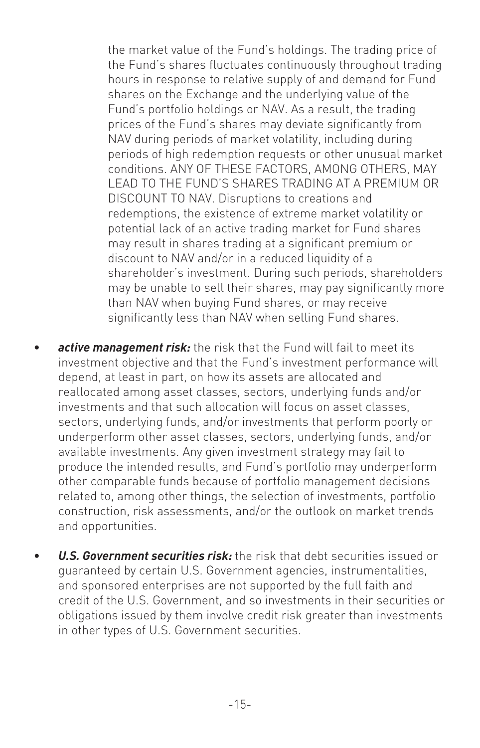the market value of the Fund's holdings. The trading price of the Fund's shares fluctuates continuously throughout trading hours in response to relative supply of and demand for Fund shares on the Exchange and the underlying value of the Fund's portfolio holdings or NAV. As a result, the trading prices of the Fund's shares may deviate significantly from NAV during periods of market volatility, including during periods of high redemption requests or other unusual market conditions. ANY OF THESE FACTORS, AMONG OTHERS, MAY LEAD TO THE FUND'S SHARES TRADING AT A PREMIUM OR DISCOUNT TO NAV. Disruptions to creations and redemptions, the existence of extreme market volatility or potential lack of an active trading market for Fund shares may result in shares trading at a significant premium or discount to NAV and/or in a reduced liquidity of a shareholder's investment. During such periods, shareholders may be unable to sell their shares, may pay significantly more than NAV when buying Fund shares, or may receive significantly less than NAV when selling Fund shares.

- active management risk: the risk that the Fund will fail to meet its investment objective and that the Fund's investment performance will depend, at least in part, on how its assets are allocated and reallocated among asset classes, sectors, underlying funds and/or investments and that such allocation will focus on asset classes, sectors, underlying funds, and/or investments that perform poorly or underperform other asset classes, sectors, underlying funds, and/or available investments. Any given investment strategy may fail to produce the intended results, and Fund's portfolio may underperform other comparable funds because of portfolio management decisions related to, among other things, the selection of investments, portfolio construction, risk assessments, and/or the outlook on market trends and opportunities.
- *U.S. Government securities risk:* the risk that debt securities issued or guaranteed by certain U.S. Government agencies, instrumentalities, and sponsored enterprises are not supported by the full faith and credit of the U.S. Government, and so investments in their securities or obligations issued by them involve credit risk greater than investments in other types of U.S. Government securities.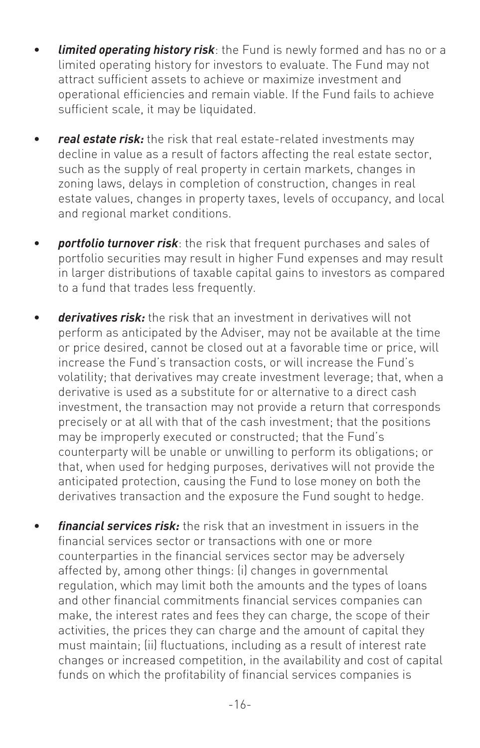- **limited operating history risk**: the Fund is newly formed and has no or a limited operating history for investors to evaluate. The Fund may not attract sufficient assets to achieve or maximize investment and operational efficiencies and remain viable. If the Fund fails to achieve sufficient scale, it may be liquidated.
- *real estate risk:* the risk that real estate-related investments may decline in value as a result of factors affecting the real estate sector, such as the supply of real property in certain markets, changes in zoning laws, delays in completion of construction, changes in real estate values, changes in property taxes, levels of occupancy, and local and regional market conditions.
- *portfolio turnover risk*: the risk that frequent purchases and sales of portfolio securities may result in higher Fund expenses and may result in larger distributions of taxable capital gains to investors as compared to a fund that trades less frequently.
- *derivatives risk:* the risk that an investment in derivatives will not perform as anticipated by the Adviser, may not be available at the time or price desired, cannot be closed out at a favorable time or price, will increase the Fund's transaction costs, or will increase the Fund's volatility; that derivatives may create investment leverage; that, when a derivative is used as a substitute for or alternative to a direct cash investment, the transaction may not provide a return that corresponds precisely or at all with that of the cash investment; that the positions may be improperly executed or constructed; that the Fund's counterparty will be unable or unwilling to perform its obligations; or that, when used for hedging purposes, derivatives will not provide the anticipated protection, causing the Fund to lose money on both the derivatives transaction and the exposure the Fund sought to hedge.
- *financial services risk:* the risk that an investment in issuers in the financial services sector or transactions with one or more counterparties in the financial services sector may be adversely affected by, among other things: (i) changes in governmental regulation, which may limit both the amounts and the types of loans and other financial commitments financial services companies can make, the interest rates and fees they can charge, the scope of their activities, the prices they can charge and the amount of capital they must maintain; (ii) fluctuations, including as a result of interest rate changes or increased competition, in the availability and cost of capital funds on which the profitability of financial services companies is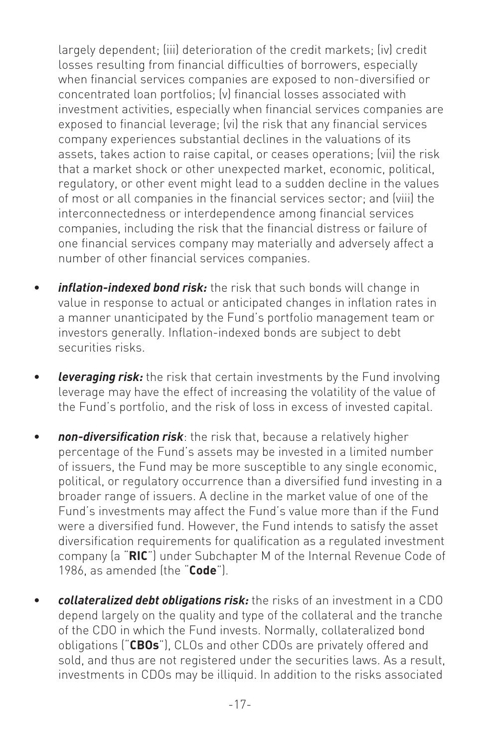largely dependent; (iii) deterioration of the credit markets; (iv) credit losses resulting from financial difficulties of borrowers, especially when financial services companies are exposed to non-diversified or concentrated loan portfolios; (v) financial losses associated with investment activities, especially when financial services companies are exposed to financial leverage; (vi) the risk that any financial services company experiences substantial declines in the valuations of its assets, takes action to raise capital, or ceases operations; (vii) the risk that a market shock or other unexpected market, economic, political, regulatory, or other event might lead to a sudden decline in the values of most or all companies in the financial services sector; and (viii) the interconnectedness or interdependence among financial services companies, including the risk that the financial distress or failure of one financial services company may materially and adversely affect a number of other financial services companies.

- *inflation-indexed bond risk:* the risk that such bonds will change in value in response to actual or anticipated changes in inflation rates in a manner unanticipated by the Fund's portfolio management team or investors generally. Inflation-indexed bonds are subject to debt securities risks.
- *leveraging risk:* the risk that certain investments by the Fund involving leverage may have the effect of increasing the volatility of the value of the Fund's portfolio, and the risk of loss in excess of invested capital.
- *non-diversification risk*: the risk that, because a relatively higher percentage of the Fund's assets may be invested in a limited number of issuers, the Fund may be more susceptible to any single economic, political, or regulatory occurrence than a diversified fund investing in a broader range of issuers. A decline in the market value of one of the Fund's investments may affect the Fund's value more than if the Fund were a diversified fund. However, the Fund intends to satisfy the asset diversification requirements for qualification as a regulated investment company (a "**RIC**") under Subchapter M of the Internal Revenue Code of 1986, as amended (the "**Code**").
- *collateralized debt obligations risk:* the risks of an investment in a CDO depend largely on the quality and type of the collateral and the tranche of the CDO in which the Fund invests. Normally, collateralized bond obligations ("**CBOs**"), CLOs and other CDOs are privately offered and sold, and thus are not registered under the securities laws. As a result, investments in CDOs may be illiquid. In addition to the risks associated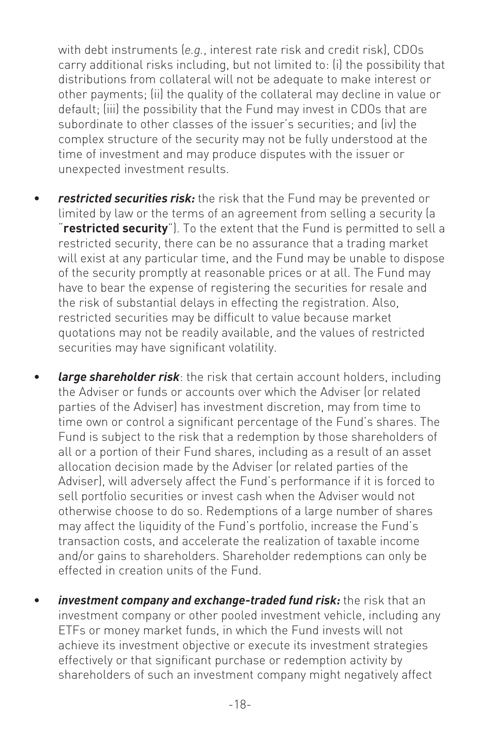with debt instruments (*e.g.*, interest rate risk and credit risk), CDOs carry additional risks including, but not limited to: (i) the possibility that distributions from collateral will not be adequate to make interest or other payments; (ii) the quality of the collateral may decline in value or default; (iii) the possibility that the Fund may invest in CDOs that are subordinate to other classes of the issuer's securities; and (iv) the complex structure of the security may not be fully understood at the time of investment and may produce disputes with the issuer or unexpected investment results.

- *restricted securities risk:* the risk that the Fund may be prevented or limited by law or the terms of an agreement from selling a security (a "**restricted security**"). To the extent that the Fund is permitted to sell a restricted security, there can be no assurance that a trading market will exist at any particular time, and the Fund may be unable to dispose of the security promptly at reasonable prices or at all. The Fund may have to bear the expense of registering the securities for resale and the risk of substantial delays in effecting the registration. Also, restricted securities may be difficult to value because market quotations may not be readily available, and the values of restricted securities may have significant volatility.
- *large shareholder risk*: the risk that certain account holders, including the Adviser or funds or accounts over which the Adviser (or related parties of the Adviser) has investment discretion, may from time to time own or control a significant percentage of the Fund's shares. The Fund is subject to the risk that a redemption by those shareholders of all or a portion of their Fund shares, including as a result of an asset allocation decision made by the Adviser (or related parties of the Adviser), will adversely affect the Fund's performance if it is forced to sell portfolio securities or invest cash when the Adviser would not otherwise choose to do so. Redemptions of a large number of shares may affect the liquidity of the Fund's portfolio, increase the Fund's transaction costs, and accelerate the realization of taxable income and/or gains to shareholders. Shareholder redemptions can only be effected in creation units of the Fund.
- investment company and exchange-traded fund risk: the risk that an investment company or other pooled investment vehicle, including any ETFs or money market funds, in which the Fund invests will not achieve its investment objective or execute its investment strategies effectively or that significant purchase or redemption activity by shareholders of such an investment company might negatively affect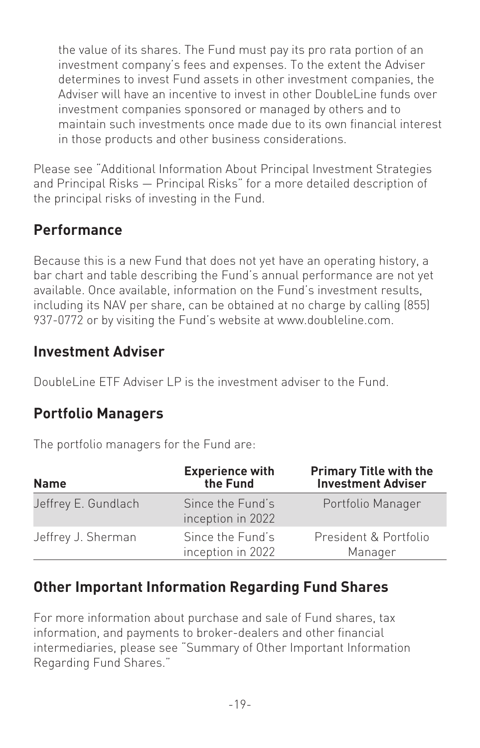the value of its shares. The Fund must pay its pro rata portion of an investment company's fees and expenses. To the extent the Adviser determines to invest Fund assets in other investment companies, the Adviser will have an incentive to invest in other DoubleLine funds over investment companies sponsored or managed by others and to maintain such investments once made due to its own financial interest in those products and other business considerations.

Please see "Additional Information About Principal Investment Strategies and Principal Risks — Principal Risks" for a more detailed description of the principal risks of investing in the Fund.

# **Performance**

Because this is a new Fund that does not yet have an operating history, a bar chart and table describing the Fund's annual performance are not yet available. Once available, information on the Fund's investment results, including its NAV per share, can be obtained at no charge by calling (855) 937-0772 or by visiting the Fund's website at www.doubleline.com.

#### **Investment Adviser**

DoubleLine ETF Adviser LP is the investment adviser to the Fund.

#### **Portfolio Managers**

The portfolio managers for the Fund are:

| <b>Name</b>         | <b>Experience with</b><br>the Fund    | <b>Primary Title with the</b><br><b>Investment Adviser</b> |
|---------------------|---------------------------------------|------------------------------------------------------------|
| Jeffrey E. Gundlach | Since the Fund's<br>inception in 2022 | Portfolio Manager                                          |
| Jeffrey J. Sherman  | Since the Fund's<br>inception in 2022 | President & Portfolio<br>Manager                           |

#### **Other Important Information Regarding Fund Shares**

For more information about purchase and sale of Fund shares, tax information, and payments to broker-dealers and other financial intermediaries, please see "Summary of Other Important Information Regarding Fund Shares."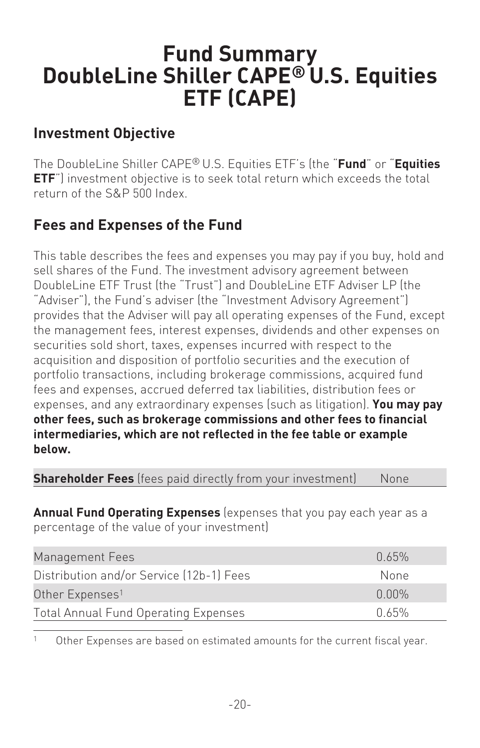# <span id="page-21-0"></span>**Fund Summary DoubleLine Shiller CAPE® U.S. Equities ETF (CAPE)**

#### **Investment Objective**

The DoubleLine Shiller CAPE® U.S. Equities ETF's (the "**Fund**" or "**Equities ETF**") investment objective is to seek total return which exceeds the total return of the S&P 500 Index.

# **Fees and Expenses of the Fund**

This table describes the fees and expenses you may pay if you buy, hold and sell shares of the Fund. The investment advisory agreement between DoubleLine ETF Trust (the "Trust") and DoubleLine ETF Adviser LP (the "Adviser"), the Fund's adviser (the "Investment Advisory Agreement") provides that the Adviser will pay all operating expenses of the Fund, except the management fees, interest expenses, dividends and other expenses on securities sold short, taxes, expenses incurred with respect to the acquisition and disposition of portfolio securities and the execution of portfolio transactions, including brokerage commissions, acquired fund fees and expenses, accrued deferred tax liabilities, distribution fees or expenses, and any extraordinary expenses (such as litigation). **You may pay other fees, such as brokerage commissions and other fees to financial intermediaries, which are not reflected in the fee table or example below.**

**Shareholder Fees** (fees paid directly from your investment) None

**Annual Fund Operating Expenses** (expenses that you pay each year as a percentage of the value of your investment)

| Management Fees                             | 0.65%    |
|---------------------------------------------|----------|
| Distribution and/or Service (12b-1) Fees    | None     |
| Other Expenses <sup>1</sup>                 | $0.00\%$ |
| <b>Total Annual Fund Operating Expenses</b> | በ 65%    |

<sup>1</sup> Other Expenses are based on estimated amounts for the current fiscal year.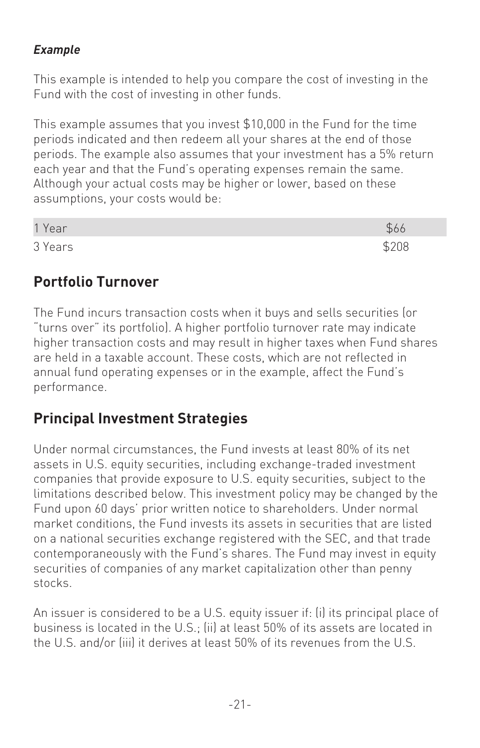#### *Example*

This example is intended to help you compare the cost of investing in the Fund with the cost of investing in other funds.

This example assumes that you invest \$10,000 in the Fund for the time periods indicated and then redeem all your shares at the end of those periods. The example also assumes that your investment has a 5% return each year and that the Fund's operating expenses remain the same. Although your actual costs may be higher or lower, based on these assumptions, your costs would be:

| 1 Year  |       |
|---------|-------|
| 3 Years | \$208 |

#### **Portfolio Turnover**

The Fund incurs transaction costs when it buys and sells securities (or "turns over" its portfolio). A higher portfolio turnover rate may indicate higher transaction costs and may result in higher taxes when Fund shares are held in a taxable account. These costs, which are not reflected in annual fund operating expenses or in the example, affect the Fund's performance.

# **Principal Investment Strategies**

Under normal circumstances, the Fund invests at least 80% of its net assets in U.S. equity securities, including exchange-traded investment companies that provide exposure to U.S. equity securities, subject to the limitations described below. This investment policy may be changed by the Fund upon 60 days' prior written notice to shareholders. Under normal market conditions, the Fund invests its assets in securities that are listed on a national securities exchange registered with the SEC, and that trade contemporaneously with the Fund's shares. The Fund may invest in equity securities of companies of any market capitalization other than penny stocks.

An issuer is considered to be a U.S. equity issuer if: (i) its principal place of business is located in the U.S.; (ii) at least 50% of its assets are located in the U.S. and/or (iii) it derives at least 50% of its revenues from the U.S.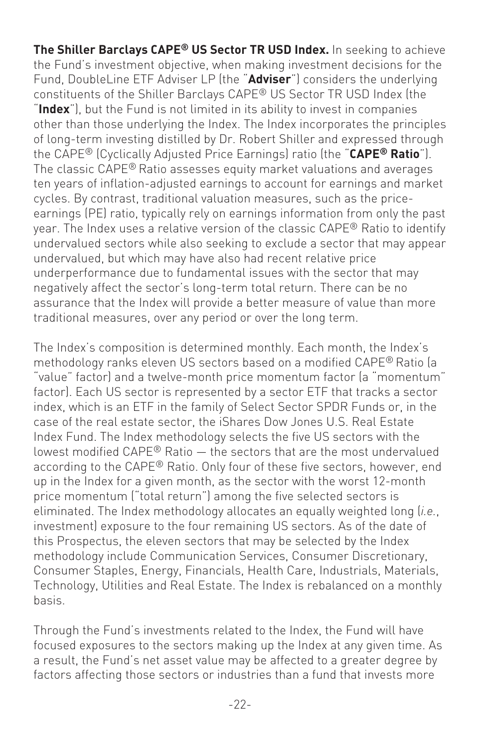**The Shiller Barclays CAPE® US Sector TR USD Index.** In seeking to achieve the Fund's investment objective, when making investment decisions for the Fund, DoubleLine ETF Adviser LP (the "**Adviser**") considers the underlying constituents of the Shiller Barclays CAPE® US Sector TR USD Index (the "**Index**"), but the Fund is not limited in its ability to invest in companies other than those underlying the Index. The Index incorporates the principles of long-term investing distilled by Dr. Robert Shiller and expressed through the CAPE® (Cyclically Adjusted Price Earnings) ratio (the "**CAPE® Ratio**"). The classic CAPE® Ratio assesses equity market valuations and averages ten years of inflation-adjusted earnings to account for earnings and market cycles. By contrast, traditional valuation measures, such as the priceearnings (PE) ratio, typically rely on earnings information from only the past year. The Index uses a relative version of the classic CAPE® Ratio to identify undervalued sectors while also seeking to exclude a sector that may appear undervalued, but which may have also had recent relative price underperformance due to fundamental issues with the sector that may negatively affect the sector's long-term total return. There can be no assurance that the Index will provide a better measure of value than more traditional measures, over any period or over the long term.

The Index's composition is determined monthly. Each month, the Index's methodology ranks eleven US sectors based on a modified CAPE® Ratio (a "value" factor) and a twelve-month price momentum factor (a "momentum" factor). Each US sector is represented by a sector ETF that tracks a sector index, which is an ETF in the family of Select Sector SPDR Funds or, in the case of the real estate sector, the iShares Dow Jones U.S. Real Estate Index Fund. The Index methodology selects the five US sectors with the lowest modified CAPE® Ratio — the sectors that are the most undervalued according to the CAPE® Ratio. Only four of these five sectors, however, end up in the Index for a given month, as the sector with the worst 12-month price momentum ("total return") among the five selected sectors is eliminated. The Index methodology allocates an equally weighted long (*i.e.*, investment) exposure to the four remaining US sectors. As of the date of this Prospectus, the eleven sectors that may be selected by the Index methodology include Communication Services, Consumer Discretionary, Consumer Staples, Energy, Financials, Health Care, Industrials, Materials, Technology, Utilities and Real Estate. The Index is rebalanced on a monthly basis.

Through the Fund's investments related to the Index, the Fund will have focused exposures to the sectors making up the Index at any given time. As a result, the Fund's net asset value may be affected to a greater degree by factors affecting those sectors or industries than a fund that invests more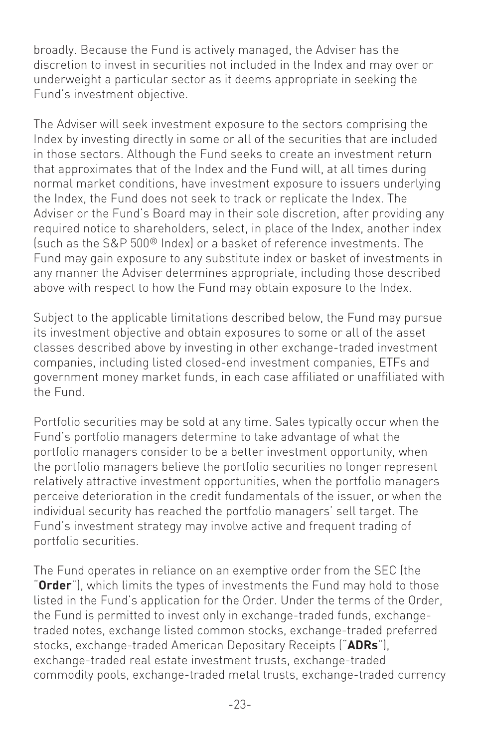broadly. Because the Fund is actively managed, the Adviser has the discretion to invest in securities not included in the Index and may over or underweight a particular sector as it deems appropriate in seeking the Fund's investment objective.

The Adviser will seek investment exposure to the sectors comprising the Index by investing directly in some or all of the securities that are included in those sectors. Although the Fund seeks to create an investment return that approximates that of the Index and the Fund will, at all times during normal market conditions, have investment exposure to issuers underlying the Index, the Fund does not seek to track or replicate the Index. The Adviser or the Fund's Board may in their sole discretion, after providing any required notice to shareholders, select, in place of the Index, another index (such as the S&P 500® Index) or a basket of reference investments. The Fund may gain exposure to any substitute index or basket of investments in any manner the Adviser determines appropriate, including those described above with respect to how the Fund may obtain exposure to the Index.

Subject to the applicable limitations described below, the Fund may pursue its investment objective and obtain exposures to some or all of the asset classes described above by investing in other exchange-traded investment companies, including listed closed-end investment companies, ETFs and government money market funds, in each case affiliated or unaffiliated with the Fund.

Portfolio securities may be sold at any time. Sales typically occur when the Fund's portfolio managers determine to take advantage of what the portfolio managers consider to be a better investment opportunity, when the portfolio managers believe the portfolio securities no longer represent relatively attractive investment opportunities, when the portfolio managers perceive deterioration in the credit fundamentals of the issuer, or when the individual security has reached the portfolio managers' sell target. The Fund's investment strategy may involve active and frequent trading of portfolio securities.

The Fund operates in reliance on an exemptive order from the SEC (the "**Order**"), which limits the types of investments the Fund may hold to those listed in the Fund's application for the Order. Under the terms of the Order, the Fund is permitted to invest only in exchange-traded funds, exchangetraded notes, exchange listed common stocks, exchange-traded preferred stocks, exchange-traded American Depositary Receipts ("**ADRs**"), exchange-traded real estate investment trusts, exchange-traded commodity pools, exchange-traded metal trusts, exchange-traded currency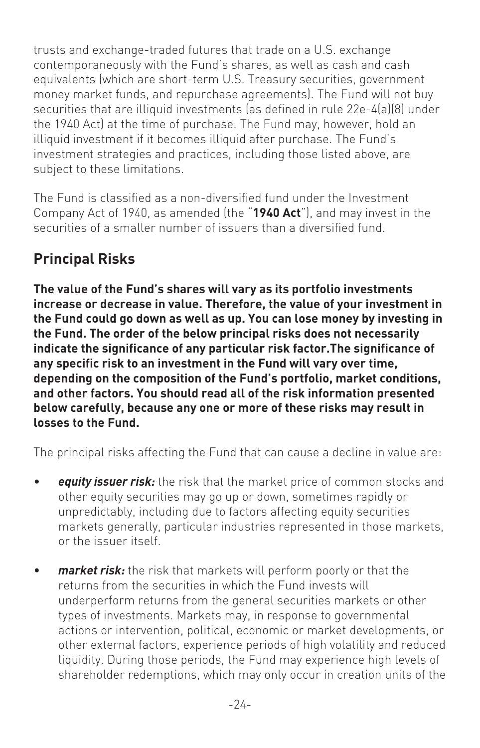trusts and exchange-traded futures that trade on a U.S. exchange contemporaneously with the Fund's shares, as well as cash and cash equivalents (which are short-term U.S. Treasury securities, government money market funds, and repurchase agreements). The Fund will not buy securities that are illiquid investments (as defined in rule 22e-4(a)(8) under the 1940 Act) at the time of purchase. The Fund may, however, hold an illiquid investment if it becomes illiquid after purchase. The Fund's investment strategies and practices, including those listed above, are subject to these limitations.

The Fund is classified as a non-diversified fund under the Investment Company Act of 1940, as amended (the "**1940 Act**"), and may invest in the securities of a smaller number of issuers than a diversified fund.

# **Principal Risks**

**The value of the Fund's shares will vary as its portfolio investments increase or decrease in value. Therefore, the value of your investment in the Fund could go down as well as up. You can lose money by investing in the Fund. The order of the below principal risks does not necessarily indicate the significance of any particular risk factor.The significance of any specific risk to an investment in the Fund will vary over time, depending on the composition of the Fund's portfolio, market conditions, and other factors. You should read all of the risk information presented below carefully, because any one or more of these risks may result in losses to the Fund.**

The principal risks affecting the Fund that can cause a decline in value are:

- *equity issuer risk:* the risk that the market price of common stocks and other equity securities may go up or down, sometimes rapidly or unpredictably, including due to factors affecting equity securities markets generally, particular industries represented in those markets, or the issuer itself.
- *market risk:* the risk that markets will perform poorly or that the returns from the securities in which the Fund invests will underperform returns from the general securities markets or other types of investments. Markets may, in response to governmental actions or intervention, political, economic or market developments, or other external factors, experience periods of high volatility and reduced liquidity. During those periods, the Fund may experience high levels of shareholder redemptions, which may only occur in creation units of the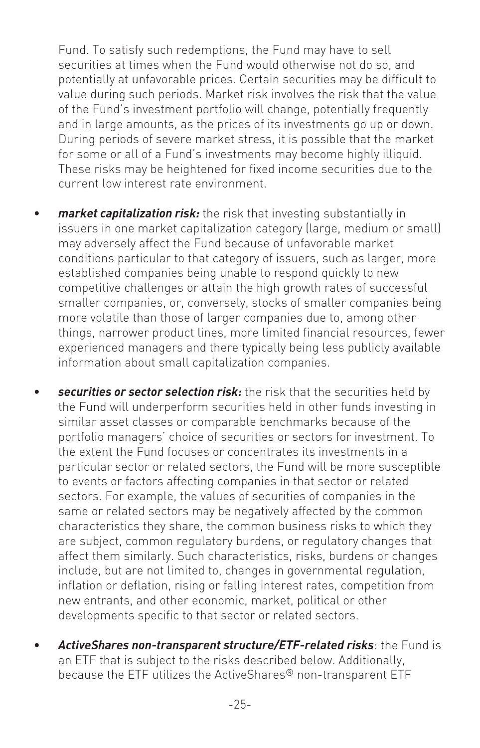Fund. To satisfy such redemptions, the Fund may have to sell securities at times when the Fund would otherwise not do so, and potentially at unfavorable prices. Certain securities may be difficult to value during such periods. Market risk involves the risk that the value of the Fund's investment portfolio will change, potentially frequently and in large amounts, as the prices of its investments go up or down. During periods of severe market stress, it is possible that the market for some or all of a Fund's investments may become highly illiquid. These risks may be heightened for fixed income securities due to the current low interest rate environment.

- *market capitalization risk:* the risk that investing substantially in issuers in one market capitalization category (large, medium or small) may adversely affect the Fund because of unfavorable market conditions particular to that category of issuers, such as larger, more established companies being unable to respond quickly to new competitive challenges or attain the high growth rates of successful smaller companies, or, conversely, stocks of smaller companies being more volatile than those of larger companies due to, among other things, narrower product lines, more limited financial resources, fewer experienced managers and there typically being less publicly available information about small capitalization companies.
- *securities or sector selection risk:* the risk that the securities held by the Fund will underperform securities held in other funds investing in similar asset classes or comparable benchmarks because of the portfolio managers' choice of securities or sectors for investment. To the extent the Fund focuses or concentrates its investments in a particular sector or related sectors, the Fund will be more susceptible to events or factors affecting companies in that sector or related sectors. For example, the values of securities of companies in the same or related sectors may be negatively affected by the common characteristics they share, the common business risks to which they are subject, common regulatory burdens, or regulatory changes that affect them similarly. Such characteristics, risks, burdens or changes include, but are not limited to, changes in governmental regulation, inflation or deflation, rising or falling interest rates, competition from new entrants, and other economic, market, political or other developments specific to that sector or related sectors.
- *ActiveShares non-transparent structure/ETF-related risks*: the Fund is an ETF that is subject to the risks described below. Additionally, because the ETF utilizes the ActiveShares® non-transparent ETF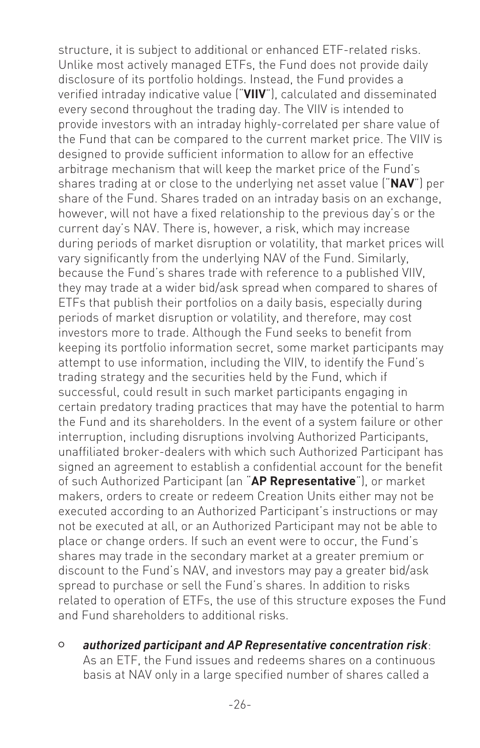structure, it is subject to additional or enhanced ETF-related risks. Unlike most actively managed ETFs, the Fund does not provide daily disclosure of its portfolio holdings. Instead, the Fund provides a verified intraday indicative value ("**VIIV**"), calculated and disseminated every second throughout the trading day. The VIIV is intended to provide investors with an intraday highly-correlated per share value of the Fund that can be compared to the current market price. The VIIV is designed to provide sufficient information to allow for an effective arbitrage mechanism that will keep the market price of the Fund's shares trading at or close to the underlying net asset value ("**NAV**") per share of the Fund. Shares traded on an intraday basis on an exchange, however, will not have a fixed relationship to the previous day's or the current day's NAV. There is, however, a risk, which may increase during periods of market disruption or volatility, that market prices will vary significantly from the underlying NAV of the Fund. Similarly, because the Fund's shares trade with reference to a published VIIV, they may trade at a wider bid/ask spread when compared to shares of ETFs that publish their portfolios on a daily basis, especially during periods of market disruption or volatility, and therefore, may cost investors more to trade. Although the Fund seeks to benefit from keeping its portfolio information secret, some market participants may attempt to use information, including the VIIV, to identify the Fund's trading strategy and the securities held by the Fund, which if successful, could result in such market participants engaging in certain predatory trading practices that may have the potential to harm the Fund and its shareholders. In the event of a system failure or other interruption, including disruptions involving Authorized Participants, unaffiliated broker-dealers with which such Authorized Participant has signed an agreement to establish a confidential account for the benefit of such Authorized Participant (an "**AP Representative**"), or market makers, orders to create or redeem Creation Units either may not be executed according to an Authorized Participant's instructions or may not be executed at all, or an Authorized Participant may not be able to place or change orders. If such an event were to occur, the Fund's shares may trade in the secondary market at a greater premium or discount to the Fund's NAV, and investors may pay a greater bid/ask spread to purchase or sell the Fund's shares. In addition to risks related to operation of ETFs, the use of this structure exposes the Fund and Fund shareholders to additional risks.

<sup>O</sup> *authorized participant and AP Representative concentration risk*: As an ETF, the Fund issues and redeems shares on a continuous basis at NAV only in a large specified number of shares called a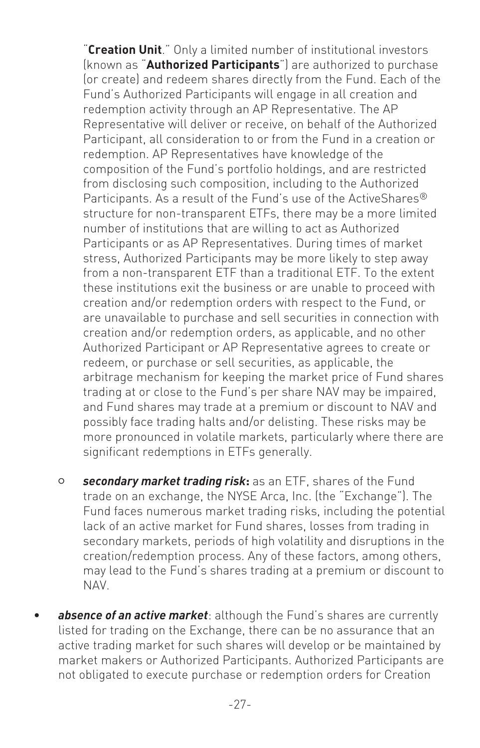"**Creation Unit**." Only a limited number of institutional investors (known as "**Authorized Participants**") are authorized to purchase (or create) and redeem shares directly from the Fund. Each of the Fund's Authorized Participants will engage in all creation and redemption activity through an AP Representative. The AP Representative will deliver or receive, on behalf of the Authorized Participant, all consideration to or from the Fund in a creation or redemption. AP Representatives have knowledge of the composition of the Fund's portfolio holdings, and are restricted from disclosing such composition, including to the Authorized Participants. As a result of the Fund's use of the ActiveShares<sup>®</sup> structure for non-transparent ETFs, there may be a more limited number of institutions that are willing to act as Authorized Participants or as AP Representatives. During times of market stress, Authorized Participants may be more likely to step away from a non-transparent ETF than a traditional ETF. To the extent these institutions exit the business or are unable to proceed with creation and/or redemption orders with respect to the Fund, or are unavailable to purchase and sell securities in connection with creation and/or redemption orders, as applicable, and no other Authorized Participant or AP Representative agrees to create or redeem, or purchase or sell securities, as applicable, the arbitrage mechanism for keeping the market price of Fund shares trading at or close to the Fund's per share NAV may be impaired, and Fund shares may trade at a premium or discount to NAV and possibly face trading halts and/or delisting. These risks may be more pronounced in volatile markets, particularly where there are significant redemptions in ETFs generally.

- <sup>O</sup> *secondary market trading risk***:** as an ETF, shares of the Fund trade on an exchange, the NYSE Arca, Inc. (the "Exchange"). The Fund faces numerous market trading risks, including the potential lack of an active market for Fund shares, losses from trading in secondary markets, periods of high volatility and disruptions in the creation/redemption process. Any of these factors, among others, may lead to the Fund's shares trading at a premium or discount to NAV.
- absence of an active market: although the Fund's shares are currently listed for trading on the Exchange, there can be no assurance that an active trading market for such shares will develop or be maintained by market makers or Authorized Participants. Authorized Participants are not obligated to execute purchase or redemption orders for Creation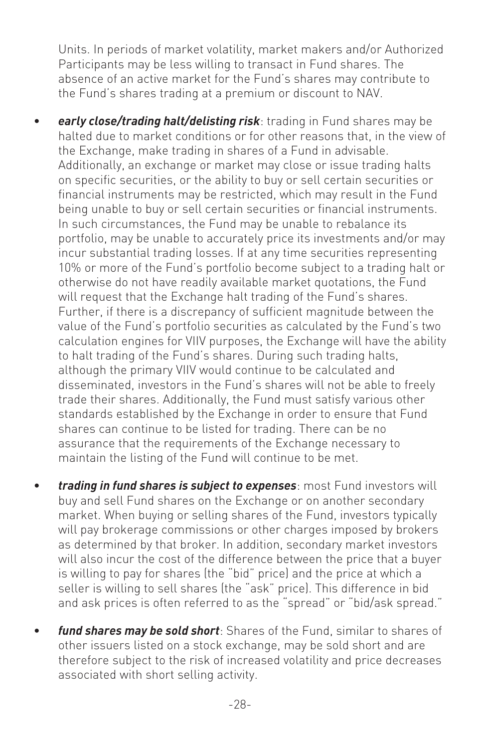Units. In periods of market volatility, market makers and/or Authorized Participants may be less willing to transact in Fund shares. The absence of an active market for the Fund's shares may contribute to the Fund's shares trading at a premium or discount to NAV.

- *early close/trading halt/delisting risk*: trading in Fund shares may be halted due to market conditions or for other reasons that, in the view of the Exchange, make trading in shares of a Fund in advisable. Additionally, an exchange or market may close or issue trading halts on specific securities, or the ability to buy or sell certain securities or financial instruments may be restricted, which may result in the Fund being unable to buy or sell certain securities or financial instruments. In such circumstances, the Fund may be unable to rebalance its portfolio, may be unable to accurately price its investments and/or may incur substantial trading losses. If at any time securities representing 10% or more of the Fund's portfolio become subject to a trading halt or otherwise do not have readily available market quotations, the Fund will request that the Exchange halt trading of the Fund's shares. Further, if there is a discrepancy of sufficient magnitude between the value of the Fund's portfolio securities as calculated by the Fund's two calculation engines for VIIV purposes, the Exchange will have the ability to halt trading of the Fund's shares. During such trading halts, although the primary VIIV would continue to be calculated and disseminated, investors in the Fund's shares will not be able to freely trade their shares. Additionally, the Fund must satisfy various other standards established by the Exchange in order to ensure that Fund shares can continue to be listed for trading. There can be no assurance that the requirements of the Exchange necessary to maintain the listing of the Fund will continue to be met.
- *trading in fund shares is subject to expenses*: most Fund investors will buy and sell Fund shares on the Exchange or on another secondary market. When buying or selling shares of the Fund, investors typically will pay brokerage commissions or other charges imposed by brokers as determined by that broker. In addition, secondary market investors will also incur the cost of the difference between the price that a buyer is willing to pay for shares (the "bid" price) and the price at which a seller is willing to sell shares (the "ask" price). This difference in bid and ask prices is often referred to as the "spread" or "bid/ask spread."
- *fund shares may be sold short*: Shares of the Fund, similar to shares of other issuers listed on a stock exchange, may be sold short and are therefore subject to the risk of increased volatility and price decreases associated with short selling activity.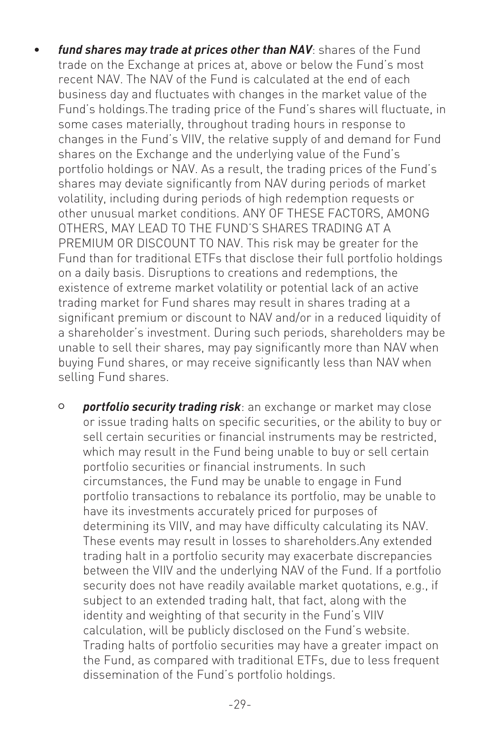- fund shares may trade at prices other than NAV: shares of the Fund trade on the Exchange at prices at, above or below the Fund's most recent NAV. The NAV of the Fund is calculated at the end of each business day and fluctuates with changes in the market value of the Fund's holdings.The trading price of the Fund's shares will fluctuate, in some cases materially, throughout trading hours in response to changes in the Fund's VIIV, the relative supply of and demand for Fund shares on the Exchange and the underlying value of the Fund's portfolio holdings or NAV. As a result, the trading prices of the Fund's shares may deviate significantly from NAV during periods of market volatility, including during periods of high redemption requests or other unusual market conditions. ANY OF THESE FACTORS, AMONG OTHERS, MAY LEAD TO THE FUND'S SHARES TRADING AT A PREMIUM OR DISCOUNT TO NAV. This risk may be greater for the Fund than for traditional ETFs that disclose their full portfolio holdings on a daily basis. Disruptions to creations and redemptions, the existence of extreme market volatility or potential lack of an active trading market for Fund shares may result in shares trading at a significant premium or discount to NAV and/or in a reduced liquidity of a shareholder's investment. During such periods, shareholders may be unable to sell their shares, may pay significantly more than NAV when buying Fund shares, or may receive significantly less than NAV when selling Fund shares.
	- <sup>O</sup> *portfolio security trading risk*: an exchange or market may close or issue trading halts on specific securities, or the ability to buy or sell certain securities or financial instruments may be restricted, which may result in the Fund being unable to buy or sell certain portfolio securities or financial instruments. In such circumstances, the Fund may be unable to engage in Fund portfolio transactions to rebalance its portfolio, may be unable to have its investments accurately priced for purposes of determining its VIIV, and may have difficulty calculating its NAV. These events may result in losses to shareholders.Any extended trading halt in a portfolio security may exacerbate discrepancies between the VIIV and the underlying NAV of the Fund. If a portfolio security does not have readily available market quotations, e.g., if subject to an extended trading halt, that fact, along with the identity and weighting of that security in the Fund's VIIV calculation, will be publicly disclosed on the Fund's website. Trading halts of portfolio securities may have a greater impact on the Fund, as compared with traditional ETFs, due to less frequent dissemination of the Fund's portfolio holdings.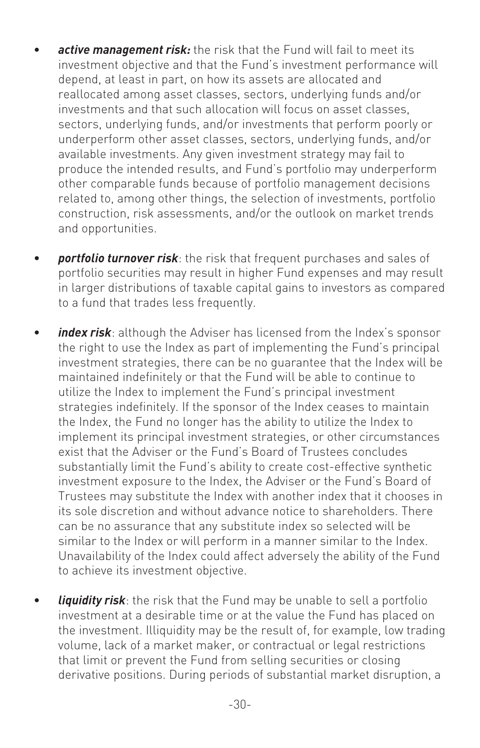- **active management risk:** the risk that the Fund will fail to meet its investment objective and that the Fund's investment performance will depend, at least in part, on how its assets are allocated and reallocated among asset classes, sectors, underlying funds and/or investments and that such allocation will focus on asset classes, sectors, underlying funds, and/or investments that perform poorly or underperform other asset classes, sectors, underlying funds, and/or available investments. Any given investment strategy may fail to produce the intended results, and Fund's portfolio may underperform other comparable funds because of portfolio management decisions related to, among other things, the selection of investments, portfolio construction, risk assessments, and/or the outlook on market trends and opportunities.
- *portfolio turnover risk*: the risk that frequent purchases and sales of portfolio securities may result in higher Fund expenses and may result in larger distributions of taxable capital gains to investors as compared to a fund that trades less frequently.
- *index risk*: although the Adviser has licensed from the Index's sponsor the right to use the Index as part of implementing the Fund's principal investment strategies, there can be no guarantee that the Index will be maintained indefinitely or that the Fund will be able to continue to utilize the Index to implement the Fund's principal investment strategies indefinitely. If the sponsor of the Index ceases to maintain the Index, the Fund no longer has the ability to utilize the Index to implement its principal investment strategies, or other circumstances exist that the Adviser or the Fund's Board of Trustees concludes substantially limit the Fund's ability to create cost-effective synthetic investment exposure to the Index, the Adviser or the Fund's Board of Trustees may substitute the Index with another index that it chooses in its sole discretion and without advance notice to shareholders. There can be no assurance that any substitute index so selected will be similar to the Index or will perform in a manner similar to the Index. Unavailability of the Index could affect adversely the ability of the Fund to achieve its investment objective.
- *liquidity risk*: the risk that the Fund may be unable to sell a portfolio investment at a desirable time or at the value the Fund has placed on the investment. Illiquidity may be the result of, for example, low trading volume, lack of a market maker, or contractual or legal restrictions that limit or prevent the Fund from selling securities or closing derivative positions. During periods of substantial market disruption, a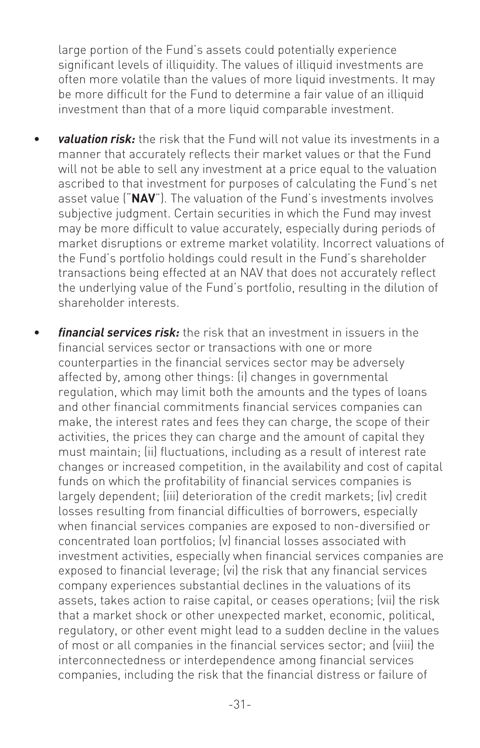large portion of the Fund's assets could potentially experience significant levels of illiquidity. The values of illiquid investments are often more volatile than the values of more liquid investments. It may be more difficult for the Fund to determine a fair value of an illiquid investment than that of a more liquid comparable investment.

- *valuation risk:* the risk that the Fund will not value its investments in a manner that accurately reflects their market values or that the Fund will not be able to sell any investment at a price equal to the valuation ascribed to that investment for purposes of calculating the Fund's net asset value ("**NAV**"). The valuation of the Fund's investments involves subjective judgment. Certain securities in which the Fund may invest may be more difficult to value accurately, especially during periods of market disruptions or extreme market volatility. Incorrect valuations of the Fund's portfolio holdings could result in the Fund's shareholder transactions being effected at an NAV that does not accurately reflect the underlying value of the Fund's portfolio, resulting in the dilution of shareholder interests.
- *financial services risk:* the risk that an investment in issuers in the financial services sector or transactions with one or more counterparties in the financial services sector may be adversely affected by, among other things: (i) changes in governmental regulation, which may limit both the amounts and the types of loans and other financial commitments financial services companies can make, the interest rates and fees they can charge, the scope of their activities, the prices they can charge and the amount of capital they must maintain; (ii) fluctuations, including as a result of interest rate changes or increased competition, in the availability and cost of capital funds on which the profitability of financial services companies is largely dependent; (iii) deterioration of the credit markets; (iv) credit losses resulting from financial difficulties of borrowers, especially when financial services companies are exposed to non-diversified or concentrated loan portfolios; (v) financial losses associated with investment activities, especially when financial services companies are exposed to financial leverage; (vi) the risk that any financial services company experiences substantial declines in the valuations of its assets, takes action to raise capital, or ceases operations; (vii) the risk that a market shock or other unexpected market, economic, political, regulatory, or other event might lead to a sudden decline in the values of most or all companies in the financial services sector; and (viii) the interconnectedness or interdependence among financial services companies, including the risk that the financial distress or failure of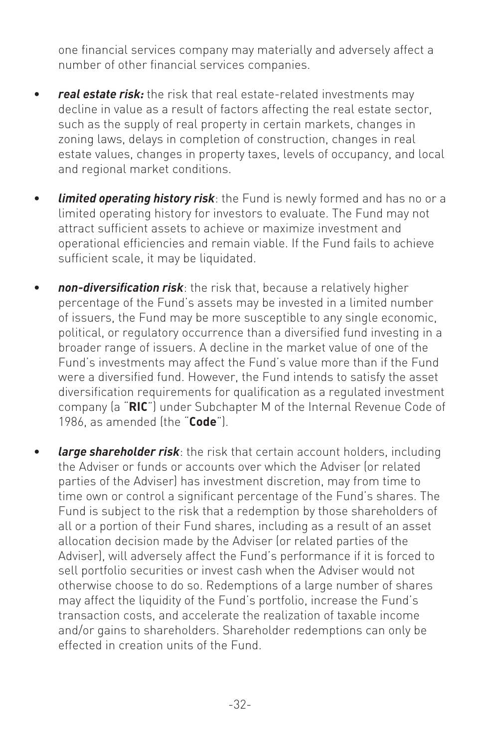one financial services company may materially and adversely affect a number of other financial services companies.

- *real estate risk:* the risk that real estate-related investments may decline in value as a result of factors affecting the real estate sector, such as the supply of real property in certain markets, changes in zoning laws, delays in completion of construction, changes in real estate values, changes in property taxes, levels of occupancy, and local and regional market conditions.
- *limited operating history risk*: the Fund is newly formed and has no or a limited operating history for investors to evaluate. The Fund may not attract sufficient assets to achieve or maximize investment and operational efficiencies and remain viable. If the Fund fails to achieve sufficient scale, it may be liquidated.
- *non-diversification risk*: the risk that, because a relatively higher percentage of the Fund's assets may be invested in a limited number of issuers, the Fund may be more susceptible to any single economic, political, or regulatory occurrence than a diversified fund investing in a broader range of issuers. A decline in the market value of one of the Fund's investments may affect the Fund's value more than if the Fund were a diversified fund. However, the Fund intends to satisfy the asset diversification requirements for qualification as a regulated investment company (a "**RIC**") under Subchapter M of the Internal Revenue Code of 1986, as amended (the "**Code**").
- **large shareholder risk**: the risk that certain account holders, including the Adviser or funds or accounts over which the Adviser (or related parties of the Adviser) has investment discretion, may from time to time own or control a significant percentage of the Fund's shares. The Fund is subject to the risk that a redemption by those shareholders of all or a portion of their Fund shares, including as a result of an asset allocation decision made by the Adviser (or related parties of the Adviser), will adversely affect the Fund's performance if it is forced to sell portfolio securities or invest cash when the Adviser would not otherwise choose to do so. Redemptions of a large number of shares may affect the liquidity of the Fund's portfolio, increase the Fund's transaction costs, and accelerate the realization of taxable income and/or gains to shareholders. Shareholder redemptions can only be effected in creation units of the Fund.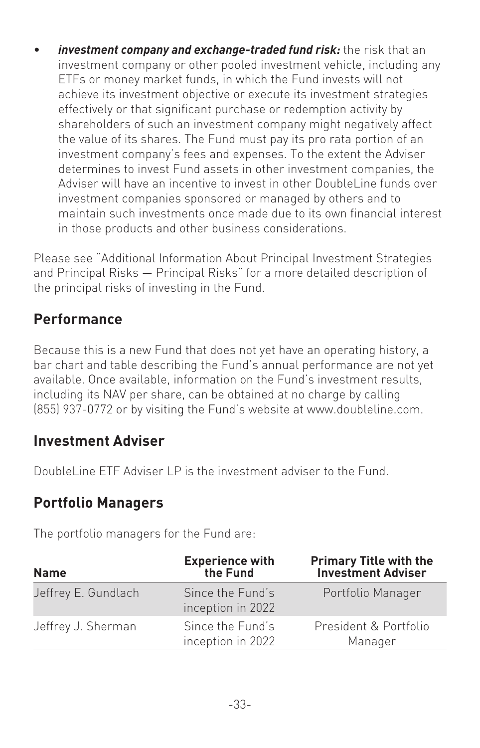investment company and exchange-traded fund risk: the risk that an investment company or other pooled investment vehicle, including any ETFs or money market funds, in which the Fund invests will not achieve its investment objective or execute its investment strategies effectively or that significant purchase or redemption activity by shareholders of such an investment company might negatively affect the value of its shares. The Fund must pay its pro rata portion of an investment company's fees and expenses. To the extent the Adviser determines to invest Fund assets in other investment companies, the Adviser will have an incentive to invest in other DoubleLine funds over investment companies sponsored or managed by others and to maintain such investments once made due to its own financial interest in those products and other business considerations.

Please see "Additional Information About Principal Investment Strategies and Principal Risks — Principal Risks" for a more detailed description of the principal risks of investing in the Fund.

#### **Performance**

Because this is a new Fund that does not yet have an operating history, a bar chart and table describing the Fund's annual performance are not yet available. Once available, information on the Fund's investment results, including its NAV per share, can be obtained at no charge by calling (855) 937-0772 or by visiting the Fund's website at www.doubleline.com.

#### **Investment Adviser**

DoubleLine ETF Adviser LP is the investment adviser to the Fund.

#### **Portfolio Managers**

The portfolio managers for the Fund are:

| <b>Name</b>         | <b>Experience with</b><br>the Fund    | <b>Primary Title with the<br/>Investment Adviser</b> |
|---------------------|---------------------------------------|------------------------------------------------------|
| Jeffrey E. Gundlach | Since the Fund's<br>inception in 2022 | Portfolio Manager                                    |
| Jeffrey J. Sherman  | Since the Fund's<br>inception in 2022 | President & Portfolio<br>Manager                     |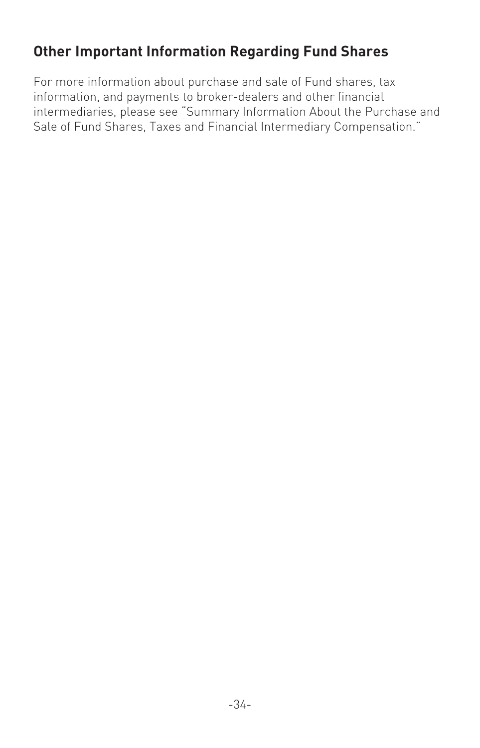# **Other Important Information Regarding Fund Shares**

For more information about purchase and sale of Fund shares, tax information, and payments to broker-dealers and other financial intermediaries, please see "Summary Information About the Purchase and Sale of Fund Shares, Taxes and Financial Intermediary Compensation."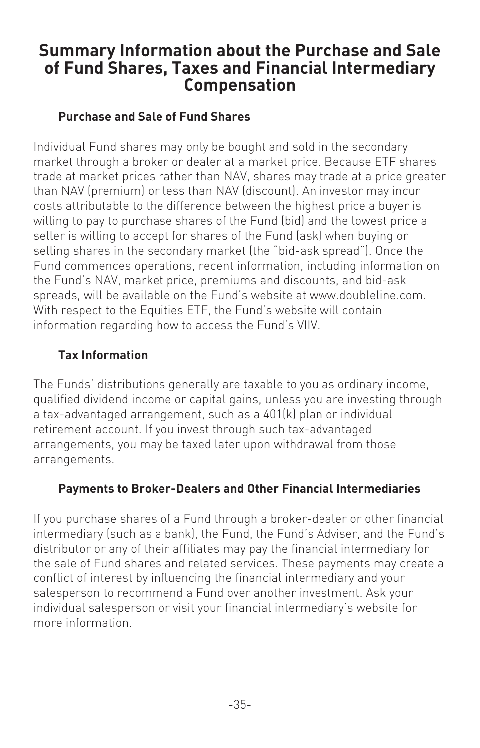# **Summary Information about the Purchase and Sale of Fund Shares, Taxes and Financial Intermediary Compensation**

#### **Purchase and Sale of Fund Shares**

Individual Fund shares may only be bought and sold in the secondary market through a broker or dealer at a market price. Because ETF shares trade at market prices rather than NAV, shares may trade at a price greater than NAV (premium) or less than NAV (discount). An investor may incur costs attributable to the difference between the highest price a buyer is willing to pay to purchase shares of the Fund (bid) and the lowest price a seller is willing to accept for shares of the Fund (ask) when buying or selling shares in the secondary market (the "bid-ask spread"). Once the Fund commences operations, recent information, including information on the Fund's NAV, market price, premiums and discounts, and bid-ask spreads, will be available on the Fund's website at www.doubleline.com. With respect to the Equities ETF, the Fund's website will contain information regarding how to access the Fund's VIIV.

#### **Tax Information**

The Funds' distributions generally are taxable to you as ordinary income, qualified dividend income or capital gains, unless you are investing through a tax-advantaged arrangement, such as a 401(k) plan or individual retirement account. If you invest through such tax-advantaged arrangements, you may be taxed later upon withdrawal from those arrangements.

#### **Payments to Broker-Dealers and Other Financial Intermediaries**

If you purchase shares of a Fund through a broker-dealer or other financial intermediary (such as a bank), the Fund, the Fund's Adviser, and the Fund's distributor or any of their affiliates may pay the financial intermediary for the sale of Fund shares and related services. These payments may create a conflict of interest by influencing the financial intermediary and your salesperson to recommend a Fund over another investment. Ask your individual salesperson or visit your financial intermediary's website for more information.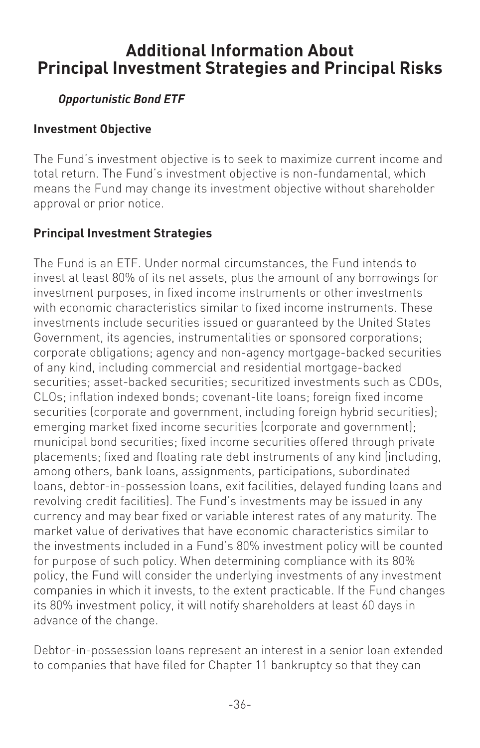# **Additional Information About Principal Investment Strategies and Principal Risks**

### *Opportunistic Bond ETF*

#### **Investment Objective**

The Fund's investment objective is to seek to maximize current income and total return. The Fund's investment objective is non-fundamental, which means the Fund may change its investment objective without shareholder approval or prior notice.

#### **Principal Investment Strategies**

The Fund is an ETF. Under normal circumstances, the Fund intends to invest at least 80% of its net assets, plus the amount of any borrowings for investment purposes, in fixed income instruments or other investments with economic characteristics similar to fixed income instruments. These investments include securities issued or guaranteed by the United States Government, its agencies, instrumentalities or sponsored corporations; corporate obligations; agency and non-agency mortgage-backed securities of any kind, including commercial and residential mortgage-backed securities; asset-backed securities; securitized investments such as CDOs, CLOs; inflation indexed bonds; covenant-lite loans; foreign fixed income securities (corporate and government, including foreign hybrid securities); emerging market fixed income securities (corporate and government); municipal bond securities; fixed income securities offered through private placements; fixed and floating rate debt instruments of any kind (including, among others, bank loans, assignments, participations, subordinated loans, debtor-in-possession loans, exit facilities, delayed funding loans and revolving credit facilities). The Fund's investments may be issued in any currency and may bear fixed or variable interest rates of any maturity. The market value of derivatives that have economic characteristics similar to the investments included in a Fund's 80% investment policy will be counted for purpose of such policy. When determining compliance with its 80% policy, the Fund will consider the underlying investments of any investment companies in which it invests, to the extent practicable. If the Fund changes its 80% investment policy, it will notify shareholders at least 60 days in advance of the change.

Debtor-in-possession loans represent an interest in a senior loan extended to companies that have filed for Chapter 11 bankruptcy so that they can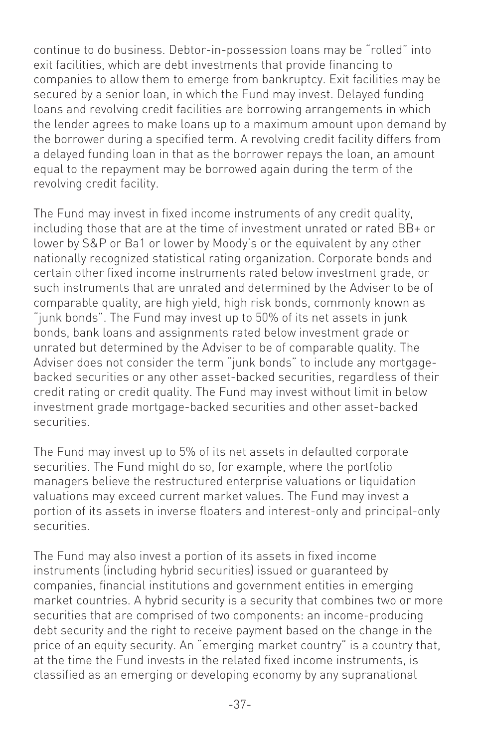continue to do business. Debtor-in-possession loans may be "rolled" into exit facilities, which are debt investments that provide financing to companies to allow them to emerge from bankruptcy. Exit facilities may be secured by a senior loan, in which the Fund may invest. Delayed funding loans and revolving credit facilities are borrowing arrangements in which the lender agrees to make loans up to a maximum amount upon demand by the borrower during a specified term. A revolving credit facility differs from a delayed funding loan in that as the borrower repays the loan, an amount equal to the repayment may be borrowed again during the term of the revolving credit facility.

The Fund may invest in fixed income instruments of any credit quality, including those that are at the time of investment unrated or rated BB+ or lower by S&P or Ba1 or lower by Moody's or the equivalent by any other nationally recognized statistical rating organization. Corporate bonds and certain other fixed income instruments rated below investment grade, or such instruments that are unrated and determined by the Adviser to be of comparable quality, are high yield, high risk bonds, commonly known as "junk bonds". The Fund may invest up to 50% of its net assets in junk bonds, bank loans and assignments rated below investment grade or unrated but determined by the Adviser to be of comparable quality. The Adviser does not consider the term "junk bonds" to include any mortgagebacked securities or any other asset-backed securities, regardless of their credit rating or credit quality. The Fund may invest without limit in below investment grade mortgage-backed securities and other asset-backed securities.

The Fund may invest up to 5% of its net assets in defaulted corporate securities. The Fund might do so, for example, where the portfolio managers believe the restructured enterprise valuations or liquidation valuations may exceed current market values. The Fund may invest a portion of its assets in inverse floaters and interest-only and principal-only securities.

The Fund may also invest a portion of its assets in fixed income instruments (including hybrid securities) issued or guaranteed by companies, financial institutions and government entities in emerging market countries. A hybrid security is a security that combines two or more securities that are comprised of two components: an income-producing debt security and the right to receive payment based on the change in the price of an equity security. An "emerging market country" is a country that, at the time the Fund invests in the related fixed income instruments, is classified as an emerging or developing economy by any supranational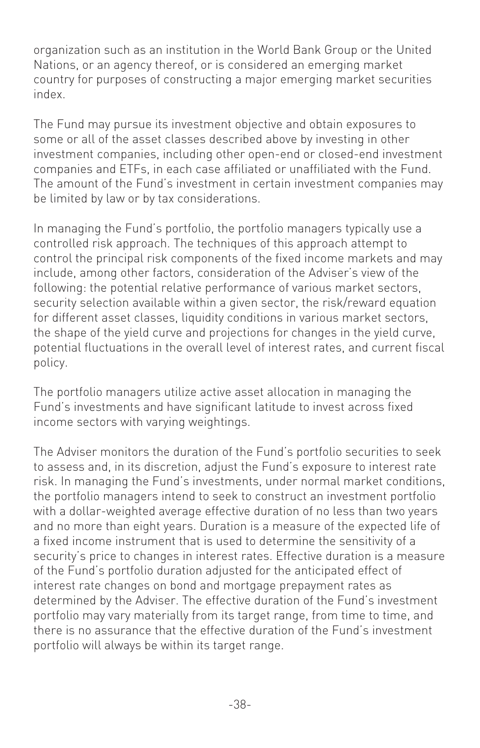organization such as an institution in the World Bank Group or the United Nations, or an agency thereof, or is considered an emerging market country for purposes of constructing a major emerging market securities index.

The Fund may pursue its investment objective and obtain exposures to some or all of the asset classes described above by investing in other investment companies, including other open-end or closed-end investment companies and ETFs, in each case affiliated or unaffiliated with the Fund. The amount of the Fund's investment in certain investment companies may be limited by law or by tax considerations.

In managing the Fund's portfolio, the portfolio managers typically use a controlled risk approach. The techniques of this approach attempt to control the principal risk components of the fixed income markets and may include, among other factors, consideration of the Adviser's view of the following: the potential relative performance of various market sectors, security selection available within a given sector, the risk/reward equation for different asset classes, liquidity conditions in various market sectors, the shape of the yield curve and projections for changes in the yield curve, potential fluctuations in the overall level of interest rates, and current fiscal policy.

The portfolio managers utilize active asset allocation in managing the Fund's investments and have significant latitude to invest across fixed income sectors with varying weightings.

The Adviser monitors the duration of the Fund's portfolio securities to seek to assess and, in its discretion, adjust the Fund's exposure to interest rate risk. In managing the Fund's investments, under normal market conditions, the portfolio managers intend to seek to construct an investment portfolio with a dollar-weighted average effective duration of no less than two years and no more than eight years. Duration is a measure of the expected life of a fixed income instrument that is used to determine the sensitivity of a security's price to changes in interest rates. Effective duration is a measure of the Fund's portfolio duration adjusted for the anticipated effect of interest rate changes on bond and mortgage prepayment rates as determined by the Adviser. The effective duration of the Fund's investment portfolio may vary materially from its target range, from time to time, and there is no assurance that the effective duration of the Fund's investment portfolio will always be within its target range.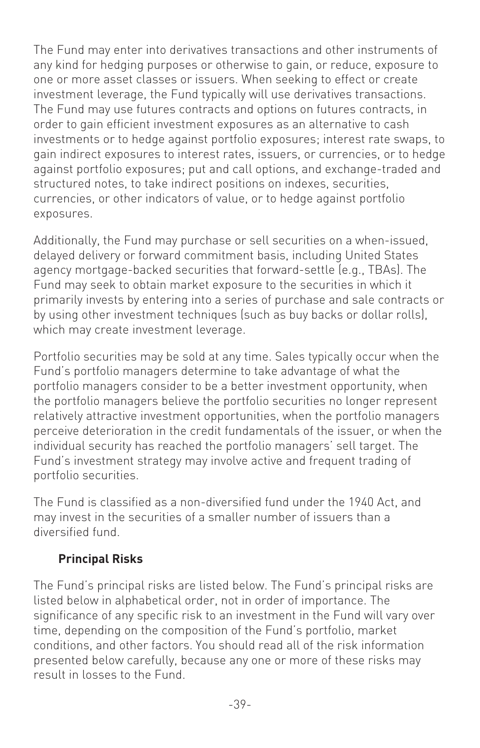The Fund may enter into derivatives transactions and other instruments of any kind for hedging purposes or otherwise to gain, or reduce, exposure to one or more asset classes or issuers. When seeking to effect or create investment leverage, the Fund typically will use derivatives transactions. The Fund may use futures contracts and options on futures contracts, in order to gain efficient investment exposures as an alternative to cash investments or to hedge against portfolio exposures; interest rate swaps, to gain indirect exposures to interest rates, issuers, or currencies, or to hedge against portfolio exposures; put and call options, and exchange-traded and structured notes, to take indirect positions on indexes, securities, currencies, or other indicators of value, or to hedge against portfolio exposures.

Additionally, the Fund may purchase or sell securities on a when-issued, delayed delivery or forward commitment basis, including United States agency mortgage-backed securities that forward-settle (e.g., TBAs). The Fund may seek to obtain market exposure to the securities in which it primarily invests by entering into a series of purchase and sale contracts or by using other investment techniques (such as buy backs or dollar rolls), which may create investment leverage.

Portfolio securities may be sold at any time. Sales typically occur when the Fund's portfolio managers determine to take advantage of what the portfolio managers consider to be a better investment opportunity, when the portfolio managers believe the portfolio securities no longer represent relatively attractive investment opportunities, when the portfolio managers perceive deterioration in the credit fundamentals of the issuer, or when the individual security has reached the portfolio managers' sell target. The Fund's investment strategy may involve active and frequent trading of portfolio securities.

The Fund is classified as a non-diversified fund under the 1940 Act, and may invest in the securities of a smaller number of issuers than a diversified fund.

#### **Principal Risks**

The Fund's principal risks are listed below. The Fund's principal risks are listed below in alphabetical order, not in order of importance. The significance of any specific risk to an investment in the Fund will vary over time, depending on the composition of the Fund's portfolio, market conditions, and other factors. You should read all of the risk information presented below carefully, because any one or more of these risks may result in losses to the Fund.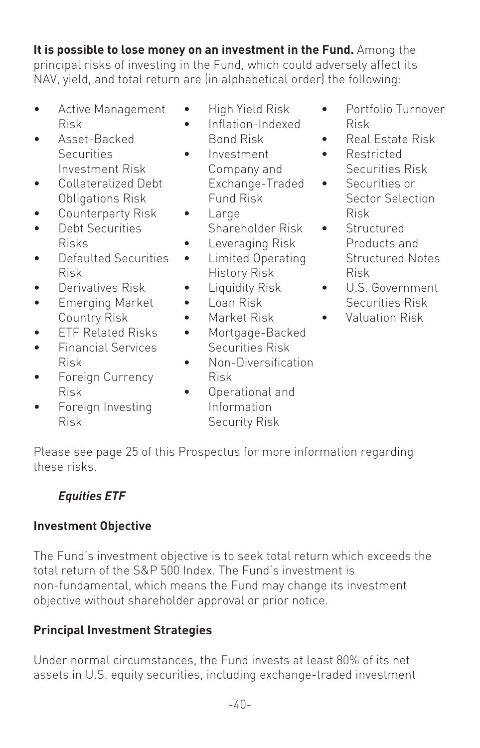**It is possible to lose money on an investment in the Fund.** Among the principal risks of investing in the Fund, which could adversely affect its NAV, yield, and total return are (in alphabetical order) the following:

- Active Management Risk
- Asset-Backed **Securities** Investment Risk
- Collateralized Debt Obligations Risk
- Counterparty Risk
- Debt Securities Risks
- Defaulted Securities Risk
- Derivatives Risk
- Emerging Market Country Risk
- ETF Related Risks
- Financial Services Risk
- Foreign Currency Risk
- Foreign Investing Risk
- High Yield Risk
- Inflation-Indexed Bond Risk
- Investment Company and Exchange-Traded Fund Risk
- Large Shareholder Risk
	- Leveraging Risk
- Limited Operating History Risk
- Liquidity Risk
- Loan Risk
- Market Risk
- Mortgage-Backed Securities Risk
- Non-Diversification Risk
- Operational and Information Security Risk
- Portfolio Turnover Risk
- Real Estate Risk
- Restricted Securities Risk
- Securities or Sector Selection Risk
- Structured Products and Structured Notes Risk
- U.S. Government Securities Risk
- Valuation Risk

Please see page 25 of this Prospectus for more information regarding these risks.

# *Equities ETF*

## **Investment Objective**

The Fund's investment objective is to seek total return which exceeds the total return of the S&P 500 Index. The Fund's investment is non-fundamental, which means the Fund may change its investment objective without shareholder approval or prior notice.

## **Principal Investment Strategies**

Under normal circumstances, the Fund invests at least 80% of its net assets in U.S. equity securities, including exchange-traded investment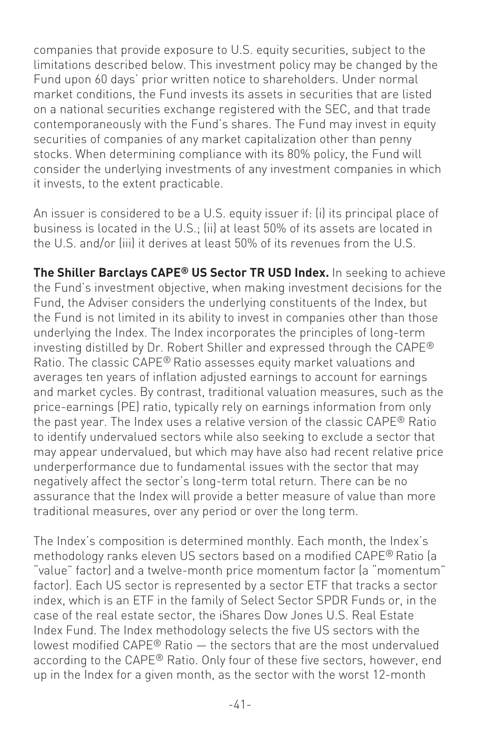companies that provide exposure to U.S. equity securities, subject to the limitations described below. This investment policy may be changed by the Fund upon 60 days' prior written notice to shareholders. Under normal market conditions, the Fund invests its assets in securities that are listed on a national securities exchange registered with the SEC, and that trade contemporaneously with the Fund's shares. The Fund may invest in equity securities of companies of any market capitalization other than penny stocks. When determining compliance with its 80% policy, the Fund will consider the underlying investments of any investment companies in which it invests, to the extent practicable.

An issuer is considered to be a U.S. equity issuer if: (i) its principal place of business is located in the U.S.; (ii) at least 50% of its assets are located in the U.S. and/or (iii) it derives at least 50% of its revenues from the U.S.

**The Shiller Barclays CAPE® US Sector TR USD Index.** In seeking to achieve the Fund's investment objective, when making investment decisions for the Fund, the Adviser considers the underlying constituents of the Index, but the Fund is not limited in its ability to invest in companies other than those underlying the Index. The Index incorporates the principles of long-term investing distilled by Dr. Robert Shiller and expressed through the CAPE® Ratio. The classic CAPE® Ratio assesses equity market valuations and averages ten years of inflation adjusted earnings to account for earnings and market cycles. By contrast, traditional valuation measures, such as the price-earnings (PE) ratio, typically rely on earnings information from only the past year. The Index uses a relative version of the classic CAPE® Ratio to identify undervalued sectors while also seeking to exclude a sector that may appear undervalued, but which may have also had recent relative price underperformance due to fundamental issues with the sector that may negatively affect the sector's long-term total return. There can be no assurance that the Index will provide a better measure of value than more traditional measures, over any period or over the long term.

The Index's composition is determined monthly. Each month, the Index's methodology ranks eleven US sectors based on a modified CAPE® Ratio (a "value" factor) and a twelve-month price momentum factor (a "momentum" factor). Each US sector is represented by a sector ETF that tracks a sector index, which is an ETF in the family of Select Sector SPDR Funds or, in the case of the real estate sector, the iShares Dow Jones U.S. Real Estate Index Fund. The Index methodology selects the five US sectors with the lowest modified CAPE® Ratio — the sectors that are the most undervalued according to the CAPE® Ratio. Only four of these five sectors, however, end up in the Index for a given month, as the sector with the worst 12-month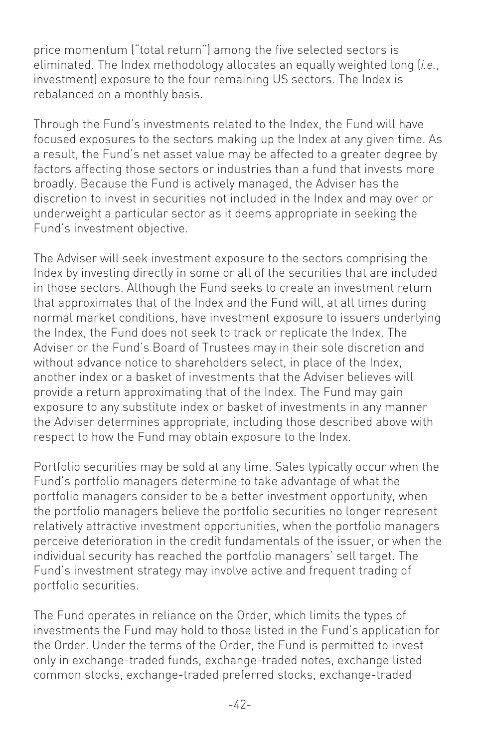price momentum ("total return") among the five selected sectors is eliminated. The Index methodology allocates an equally weighted long (*i.e.*, investment) exposure to the four remaining US sectors. The Index is rebalanced on a monthly basis.

Through the Fund's investments related to the Index, the Fund will have focused exposures to the sectors making up the Index at any given time. As a result, the Fund's net asset value may be affected to a greater degree by factors affecting those sectors or industries than a fund that invests more broadly. Because the Fund is actively managed, the Adviser has the discretion to invest in securities not included in the Index and may over or underweight a particular sector as it deems appropriate in seeking the Fund's investment objective.

The Adviser will seek investment exposure to the sectors comprising the Index by investing directly in some or all of the securities that are included in those sectors. Although the Fund seeks to create an investment return that approximates that of the Index and the Fund will, at all times during normal market conditions, have investment exposure to issuers underlying the Index, the Fund does not seek to track or replicate the Index. The Adviser or the Fund's Board of Trustees may in their sole discretion and without advance notice to shareholders select, in place of the Index, another index or a basket of investments that the Adviser believes will provide a return approximating that of the Index. The Fund may gain exposure to any substitute index or basket of investments in any manner the Adviser determines appropriate, including those described above with respect to how the Fund may obtain exposure to the Index.

Portfolio securities may be sold at any time. Sales typically occur when the Fund's portfolio managers determine to take advantage of what the portfolio managers consider to be a better investment opportunity, when the portfolio managers believe the portfolio securities no longer represent relatively attractive investment opportunities, when the portfolio managers perceive deterioration in the credit fundamentals of the issuer, or when the individual security has reached the portfolio managers' sell target. The Fund's investment strategy may involve active and frequent trading of portfolio securities.

The Fund operates in reliance on the Order, which limits the types of investments the Fund may hold to those listed in the Fund's application for the Order. Under the terms of the Order, the Fund is permitted to invest only in exchange-traded funds, exchange-traded notes, exchange listed common stocks, exchange-traded preferred stocks, exchange-traded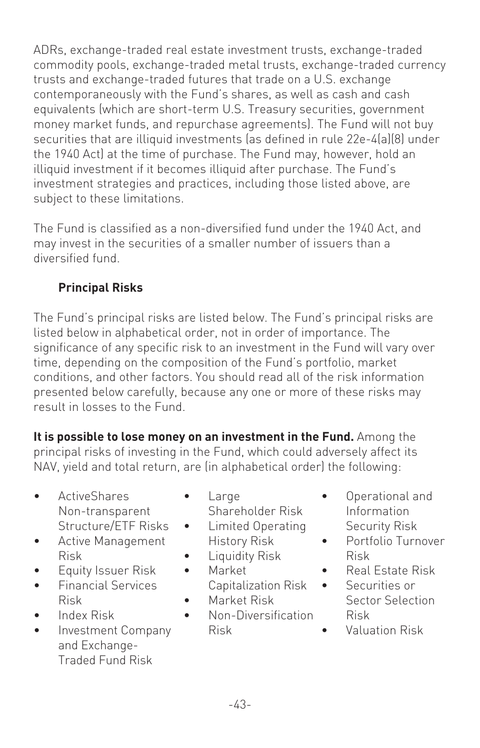ADRs, exchange-traded real estate investment trusts, exchange-traded commodity pools, exchange-traded metal trusts, exchange-traded currency trusts and exchange-traded futures that trade on a U.S. exchange contemporaneously with the Fund's shares, as well as cash and cash equivalents (which are short-term U.S. Treasury securities, government money market funds, and repurchase agreements). The Fund will not buy securities that are illiquid investments (as defined in rule 22e-4(a)(8) under the 1940 Act) at the time of purchase. The Fund may, however, hold an illiquid investment if it becomes illiquid after purchase. The Fund's investment strategies and practices, including those listed above, are subject to these limitations.

The Fund is classified as a non-diversified fund under the 1940 Act, and may invest in the securities of a smaller number of issuers than a diversified fund.

# **Principal Risks**

The Fund's principal risks are listed below. The Fund's principal risks are listed below in alphabetical order, not in order of importance. The significance of any specific risk to an investment in the Fund will vary over time, depending on the composition of the Fund's portfolio, market conditions, and other factors. You should read all of the risk information presented below carefully, because any one or more of these risks may result in losses to the Fund.

**It is possible to lose money on an investment in the Fund.** Among the principal risks of investing in the Fund, which could adversely affect its NAV, yield and total return, are (in alphabetical order) the following:

- ActiveShares Non-transparent Structure/ETF Risks
- Active Management Risk
- Equity Issuer Risk
- Financial Services Risk
- Index Risk
- Investment Company and Exchange-Traded Fund Risk
- Large Shareholder Risk
- Limited Operating History Risk
- Liquidity Risk
- Market Capitalization Risk
- Market Risk
- Non-Diversification Risk
- Operational and Information Security Risk
- Portfolio Turnover Risk
- Real Estate Risk
- Securities or Sector Selection Risk
- Valuation Risk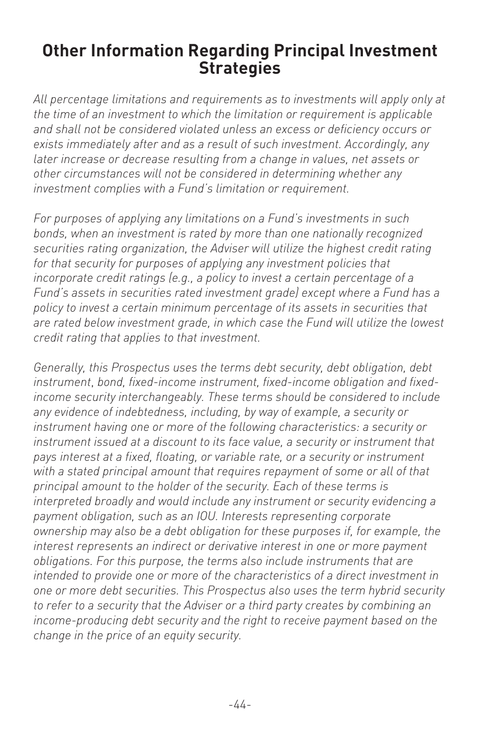# **Other Information Regarding Principal Investment Strategies**

*All percentage limitations and requirements as to investments will apply only at the time of an investment to which the limitation or requirement is applicable and shall not be considered violated unless an excess or deficiency occurs or exists immediately after and as a result of such investment. Accordingly, any later increase or decrease resulting from a change in values, net assets or other circumstances will not be considered in determining whether any investment complies with a Fund's limitation or requirement.*

*For purposes of applying any limitations on a Fund's investments in such bonds, when an investment is rated by more than one nationally recognized securities rating organization, the Adviser will utilize the highest credit rating for that security for purposes of applying any investment policies that incorporate credit ratings (e.g., a policy to invest a certain percentage of a Fund's assets in securities rated investment grade) except where a Fund has a policy to invest a certain minimum percentage of its assets in securities that are rated below investment grade, in which case the Fund will utilize the lowest credit rating that applies to that investment.*

*Generally, this Prospectus uses the terms debt security, debt obligation, debt instrument*, *bond, fixed-income instrument, fixed-income obligation and fixedincome security interchangeably. These terms should be considered to include any evidence of indebtedness, including, by way of example, a security or instrument having one or more of the following characteristics: a security or instrument issued at a discount to its face value, a security or instrument that pays interest at a fixed, floating, or variable rate, or a security or instrument with a stated principal amount that requires repayment of some or all of that principal amount to the holder of the security. Each of these terms is interpreted broadly and would include any instrument or security evidencing a payment obligation, such as an IOU. Interests representing corporate ownership may also be a debt obligation for these purposes if, for example, the interest represents an indirect or derivative interest in one or more payment obligations. For this purpose, the terms also include instruments that are intended to provide one or more of the characteristics of a direct investment in one or more debt securities. This Prospectus also uses the term hybrid security to refer to a security that the Adviser or a third party creates by combining an income-producing debt security and the right to receive payment based on the change in the price of an equity security.*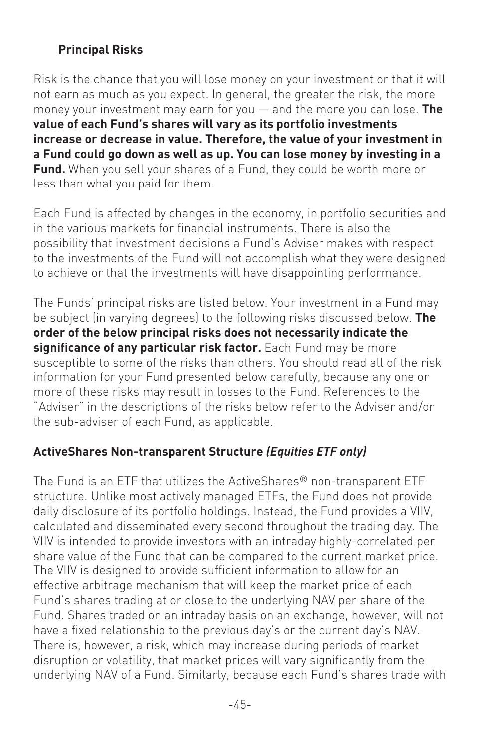#### **Principal Risks**

Risk is the chance that you will lose money on your investment or that it will not earn as much as you expect. In general, the greater the risk, the more money your investment may earn for you — and the more you can lose. **The value of each Fund's shares will vary as its portfolio investments increase or decrease in value. Therefore, the value of your investment in a Fund could go down as well as up. You can lose money by investing in a Fund.** When you sell your shares of a Fund, they could be worth more or less than what you paid for them.

Each Fund is affected by changes in the economy, in portfolio securities and in the various markets for financial instruments. There is also the possibility that investment decisions a Fund's Adviser makes with respect to the investments of the Fund will not accomplish what they were designed to achieve or that the investments will have disappointing performance.

The Funds' principal risks are listed below. Your investment in a Fund may be subject (in varying degrees) to the following risks discussed below. **The order of the below principal risks does not necessarily indicate the significance of any particular risk factor.** Each Fund may be more susceptible to some of the risks than others. You should read all of the risk information for your Fund presented below carefully, because any one or more of these risks may result in losses to the Fund. References to the "Adviser" in the descriptions of the risks below refer to the Adviser and/or the sub-adviser of each Fund, as applicable.

#### **ActiveShares Non-transparent Structure** *(Equities ETF only)*

The Fund is an ETF that utilizes the ActiveShares® non-transparent ETF structure. Unlike most actively managed ETFs, the Fund does not provide daily disclosure of its portfolio holdings. Instead, the Fund provides a VIIV, calculated and disseminated every second throughout the trading day. The VIIV is intended to provide investors with an intraday highly-correlated per share value of the Fund that can be compared to the current market price. The VIIV is designed to provide sufficient information to allow for an effective arbitrage mechanism that will keep the market price of each Fund's shares trading at or close to the underlying NAV per share of the Fund. Shares traded on an intraday basis on an exchange, however, will not have a fixed relationship to the previous day's or the current day's NAV. There is, however, a risk, which may increase during periods of market disruption or volatility, that market prices will vary significantly from the underlying NAV of a Fund. Similarly, because each Fund's shares trade with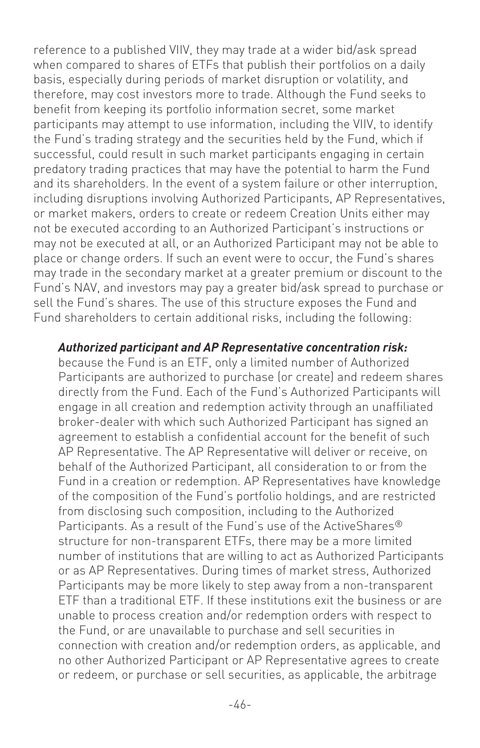reference to a published VIIV, they may trade at a wider bid/ask spread when compared to shares of ETFs that publish their portfolios on a daily basis, especially during periods of market disruption or volatility, and therefore, may cost investors more to trade. Although the Fund seeks to benefit from keeping its portfolio information secret, some market participants may attempt to use information, including the VIIV, to identify the Fund's trading strategy and the securities held by the Fund, which if successful, could result in such market participants engaging in certain predatory trading practices that may have the potential to harm the Fund and its shareholders. In the event of a system failure or other interruption, including disruptions involving Authorized Participants, AP Representatives, or market makers, orders to create or redeem Creation Units either may not be executed according to an Authorized Participant's instructions or may not be executed at all, or an Authorized Participant may not be able to place or change orders. If such an event were to occur, the Fund's shares may trade in the secondary market at a greater premium or discount to the Fund's NAV, and investors may pay a greater bid/ask spread to purchase or sell the Fund's shares. The use of this structure exposes the Fund and Fund shareholders to certain additional risks, including the following:

#### *Authorized participant and AP Representative concentration risk:*

because the Fund is an ETF, only a limited number of Authorized Participants are authorized to purchase (or create) and redeem shares directly from the Fund. Each of the Fund's Authorized Participants will engage in all creation and redemption activity through an unaffiliated broker-dealer with which such Authorized Participant has signed an agreement to establish a confidential account for the benefit of such AP Representative. The AP Representative will deliver or receive, on behalf of the Authorized Participant, all consideration to or from the Fund in a creation or redemption. AP Representatives have knowledge of the composition of the Fund's portfolio holdings, and are restricted from disclosing such composition, including to the Authorized Participants. As a result of the Fund's use of the ActiveShares<sup>®</sup> structure for non-transparent ETFs, there may be a more limited number of institutions that are willing to act as Authorized Participants or as AP Representatives. During times of market stress, Authorized Participants may be more likely to step away from a non-transparent ETF than a traditional ETF. If these institutions exit the business or are unable to process creation and/or redemption orders with respect to the Fund, or are unavailable to purchase and sell securities in connection with creation and/or redemption orders, as applicable, and no other Authorized Participant or AP Representative agrees to create or redeem, or purchase or sell securities, as applicable, the arbitrage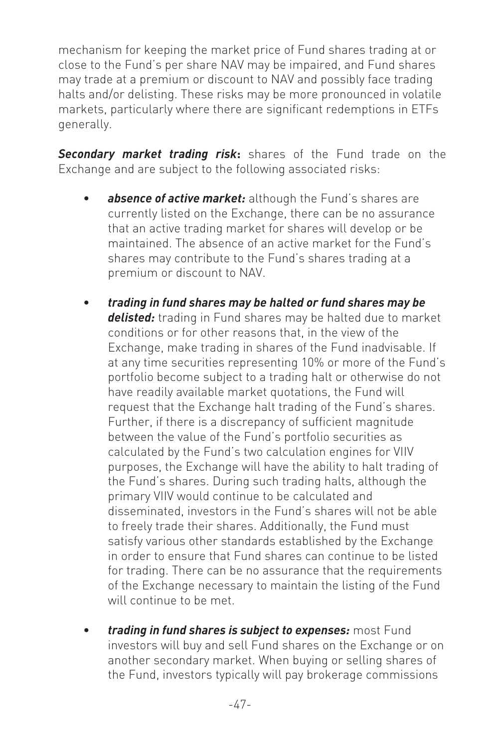mechanism for keeping the market price of Fund shares trading at or close to the Fund's per share NAV may be impaired, and Fund shares may trade at a premium or discount to NAV and possibly face trading halts and/or delisting. These risks may be more pronounced in volatile markets, particularly where there are significant redemptions in ETFs generally.

*Secondary market trading risk***:** shares of the Fund trade on the Exchange and are subject to the following associated risks:

- absence of active market: although the Fund's shares are currently listed on the Exchange, there can be no assurance that an active trading market for shares will develop or be maintained. The absence of an active market for the Fund's shares may contribute to the Fund's shares trading at a premium or discount to NAV.
- *trading in fund shares may be halted or fund shares may be delisted:* trading in Fund shares may be halted due to market conditions or for other reasons that, in the view of the Exchange, make trading in shares of the Fund inadvisable. If at any time securities representing 10% or more of the Fund's portfolio become subject to a trading halt or otherwise do not have readily available market quotations, the Fund will request that the Exchange halt trading of the Fund's shares. Further, if there is a discrepancy of sufficient magnitude between the value of the Fund's portfolio securities as calculated by the Fund's two calculation engines for VIIV purposes, the Exchange will have the ability to halt trading of the Fund's shares. During such trading halts, although the primary VIIV would continue to be calculated and disseminated, investors in the Fund's shares will not be able to freely trade their shares. Additionally, the Fund must satisfy various other standards established by the Exchange in order to ensure that Fund shares can continue to be listed for trading. There can be no assurance that the requirements of the Exchange necessary to maintain the listing of the Fund will continue to be met.
- *trading in fund shares is subject to expenses:* most Fund investors will buy and sell Fund shares on the Exchange or on another secondary market. When buying or selling shares of the Fund, investors typically will pay brokerage commissions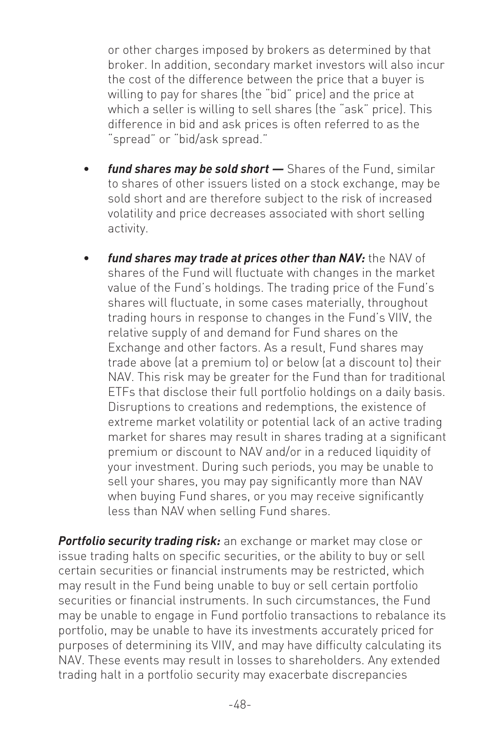or other charges imposed by brokers as determined by that broker. In addition, secondary market investors will also incur the cost of the difference between the price that a buyer is willing to pay for shares (the "bid" price) and the price at which a seller is willing to sell shares (the "ask" price). This difference in bid and ask prices is often referred to as the "spread" or "bid/ask spread."

- *fund shares may be sold short —* Shares of the Fund, similar to shares of other issuers listed on a stock exchange, may be sold short and are therefore subject to the risk of increased volatility and price decreases associated with short selling activity.
- fund shares may trade at prices other than NAV: the NAV of shares of the Fund will fluctuate with changes in the market value of the Fund's holdings. The trading price of the Fund's shares will fluctuate, in some cases materially, throughout trading hours in response to changes in the Fund's VIIV, the relative supply of and demand for Fund shares on the Exchange and other factors. As a result, Fund shares may trade above (at a premium to) or below (at a discount to) their NAV. This risk may be greater for the Fund than for traditional ETFs that disclose their full portfolio holdings on a daily basis. Disruptions to creations and redemptions, the existence of extreme market volatility or potential lack of an active trading market for shares may result in shares trading at a significant premium or discount to NAV and/or in a reduced liquidity of your investment. During such periods, you may be unable to sell your shares, you may pay significantly more than NAV when buying Fund shares, or you may receive significantly less than NAV when selling Fund shares.

*Portfolio security trading risk:* an exchange or market may close or issue trading halts on specific securities, or the ability to buy or sell certain securities or financial instruments may be restricted, which may result in the Fund being unable to buy or sell certain portfolio securities or financial instruments. In such circumstances, the Fund may be unable to engage in Fund portfolio transactions to rebalance its portfolio, may be unable to have its investments accurately priced for purposes of determining its VIIV, and may have difficulty calculating its NAV. These events may result in losses to shareholders. Any extended trading halt in a portfolio security may exacerbate discrepancies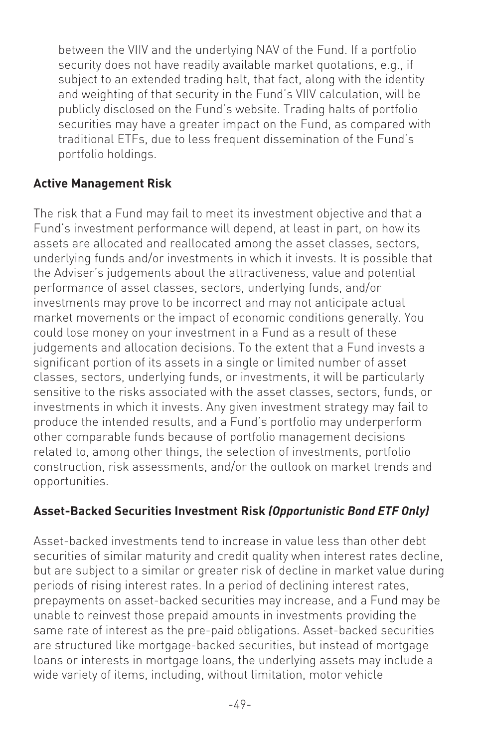between the VIIV and the underlying NAV of the Fund. If a portfolio security does not have readily available market quotations, e.g., if subject to an extended trading halt, that fact, along with the identity and weighting of that security in the Fund's VIIV calculation, will be publicly disclosed on the Fund's website. Trading halts of portfolio securities may have a greater impact on the Fund, as compared with traditional ETFs, due to less frequent dissemination of the Fund's portfolio holdings.

#### **Active Management Risk**

The risk that a Fund may fail to meet its investment objective and that a Fund's investment performance will depend, at least in part, on how its assets are allocated and reallocated among the asset classes, sectors, underlying funds and/or investments in which it invests. It is possible that the Adviser's judgements about the attractiveness, value and potential performance of asset classes, sectors, underlying funds, and/or investments may prove to be incorrect and may not anticipate actual market movements or the impact of economic conditions generally. You could lose money on your investment in a Fund as a result of these judgements and allocation decisions. To the extent that a Fund invests a significant portion of its assets in a single or limited number of asset classes, sectors, underlying funds, or investments, it will be particularly sensitive to the risks associated with the asset classes, sectors, funds, or investments in which it invests. Any given investment strategy may fail to produce the intended results, and a Fund's portfolio may underperform other comparable funds because of portfolio management decisions related to, among other things, the selection of investments, portfolio construction, risk assessments, and/or the outlook on market trends and opportunities.

#### **Asset-Backed Securities Investment Risk** *(Opportunistic Bond ETF Only)*

Asset-backed investments tend to increase in value less than other debt securities of similar maturity and credit quality when interest rates decline, but are subject to a similar or greater risk of decline in market value during periods of rising interest rates. In a period of declining interest rates, prepayments on asset-backed securities may increase, and a Fund may be unable to reinvest those prepaid amounts in investments providing the same rate of interest as the pre-paid obligations. Asset-backed securities are structured like mortgage-backed securities, but instead of mortgage loans or interests in mortgage loans, the underlying assets may include a wide variety of items, including, without limitation, motor vehicle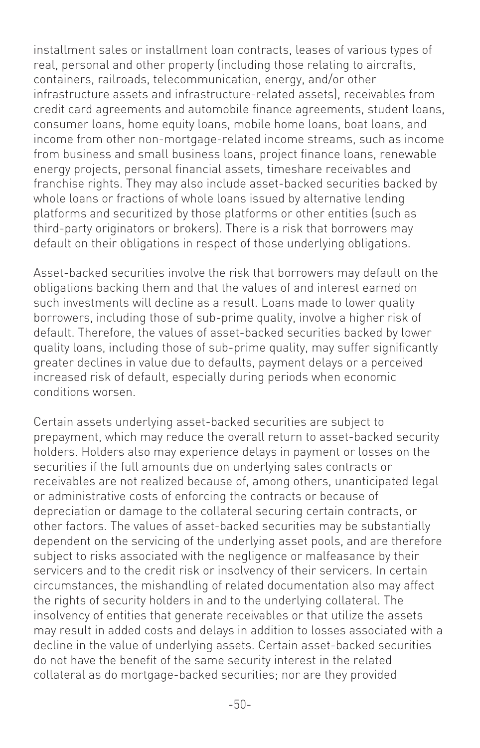installment sales or installment loan contracts, leases of various types of real, personal and other property (including those relating to aircrafts, containers, railroads, telecommunication, energy, and/or other infrastructure assets and infrastructure-related assets), receivables from credit card agreements and automobile finance agreements, student loans, consumer loans, home equity loans, mobile home loans, boat loans, and income from other non-mortgage-related income streams, such as income from business and small business loans, project finance loans, renewable energy projects, personal financial assets, timeshare receivables and franchise rights. They may also include asset-backed securities backed by whole loans or fractions of whole loans issued by alternative lending platforms and securitized by those platforms or other entities (such as third-party originators or brokers). There is a risk that borrowers may default on their obligations in respect of those underlying obligations.

Asset-backed securities involve the risk that borrowers may default on the obligations backing them and that the values of and interest earned on such investments will decline as a result. Loans made to lower quality borrowers, including those of sub-prime quality, involve a higher risk of default. Therefore, the values of asset-backed securities backed by lower quality loans, including those of sub-prime quality, may suffer significantly greater declines in value due to defaults, payment delays or a perceived increased risk of default, especially during periods when economic conditions worsen.

Certain assets underlying asset-backed securities are subject to prepayment, which may reduce the overall return to asset-backed security holders. Holders also may experience delays in payment or losses on the securities if the full amounts due on underlying sales contracts or receivables are not realized because of, among others, unanticipated legal or administrative costs of enforcing the contracts or because of depreciation or damage to the collateral securing certain contracts, or other factors. The values of asset-backed securities may be substantially dependent on the servicing of the underlying asset pools, and are therefore subject to risks associated with the negligence or malfeasance by their servicers and to the credit risk or insolvency of their servicers. In certain circumstances, the mishandling of related documentation also may affect the rights of security holders in and to the underlying collateral. The insolvency of entities that generate receivables or that utilize the assets may result in added costs and delays in addition to losses associated with a decline in the value of underlying assets. Certain asset-backed securities do not have the benefit of the same security interest in the related collateral as do mortgage-backed securities; nor are they provided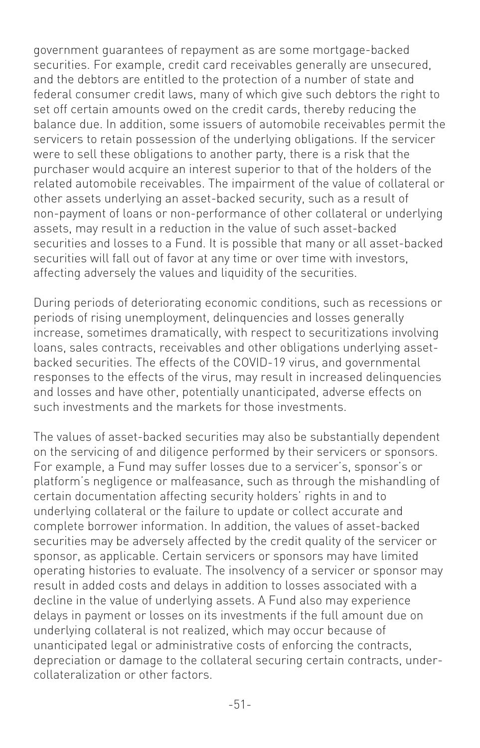government guarantees of repayment as are some mortgage-backed securities. For example, credit card receivables generally are unsecured, and the debtors are entitled to the protection of a number of state and federal consumer credit laws, many of which give such debtors the right to set off certain amounts owed on the credit cards, thereby reducing the balance due. In addition, some issuers of automobile receivables permit the servicers to retain possession of the underlying obligations. If the servicer were to sell these obligations to another party, there is a risk that the purchaser would acquire an interest superior to that of the holders of the related automobile receivables. The impairment of the value of collateral or other assets underlying an asset-backed security, such as a result of non-payment of loans or non-performance of other collateral or underlying assets, may result in a reduction in the value of such asset-backed securities and losses to a Fund. It is possible that many or all asset-backed securities will fall out of favor at any time or over time with investors, affecting adversely the values and liquidity of the securities.

During periods of deteriorating economic conditions, such as recessions or periods of rising unemployment, delinquencies and losses generally increase, sometimes dramatically, with respect to securitizations involving loans, sales contracts, receivables and other obligations underlying assetbacked securities. The effects of the COVID-19 virus, and governmental responses to the effects of the virus, may result in increased delinquencies and losses and have other, potentially unanticipated, adverse effects on such investments and the markets for those investments.

The values of asset-backed securities may also be substantially dependent on the servicing of and diligence performed by their servicers or sponsors. For example, a Fund may suffer losses due to a servicer's, sponsor's or platform's negligence or malfeasance, such as through the mishandling of certain documentation affecting security holders' rights in and to underlying collateral or the failure to update or collect accurate and complete borrower information. In addition, the values of asset-backed securities may be adversely affected by the credit quality of the servicer or sponsor, as applicable. Certain servicers or sponsors may have limited operating histories to evaluate. The insolvency of a servicer or sponsor may result in added costs and delays in addition to losses associated with a decline in the value of underlying assets. A Fund also may experience delays in payment or losses on its investments if the full amount due on underlying collateral is not realized, which may occur because of unanticipated legal or administrative costs of enforcing the contracts, depreciation or damage to the collateral securing certain contracts, undercollateralization or other factors.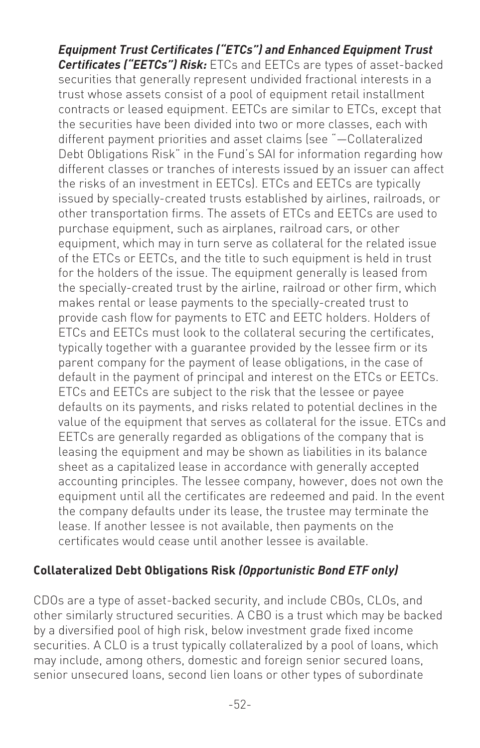*Equipment Trust Certificates ("ETCs") and Enhanced Equipment Trust Certificates ("EETCs") Risk:* ETCs and EETCs are types of asset-backed securities that generally represent undivided fractional interests in a trust whose assets consist of a pool of equipment retail installment contracts or leased equipment. EETCs are similar to ETCs, except that the securities have been divided into two or more classes, each with different payment priorities and asset claims (see "—Collateralized Debt Obligations Risk" in the Fund's SAI for information regarding how different classes or tranches of interests issued by an issuer can affect the risks of an investment in EETCs). ETCs and EETCs are typically issued by specially-created trusts established by airlines, railroads, or other transportation firms. The assets of ETCs and EETCs are used to purchase equipment, such as airplanes, railroad cars, or other equipment, which may in turn serve as collateral for the related issue of the ETCs or EETCs, and the title to such equipment is held in trust for the holders of the issue. The equipment generally is leased from the specially-created trust by the airline, railroad or other firm, which makes rental or lease payments to the specially-created trust to provide cash flow for payments to ETC and EETC holders. Holders of .<br>ETCs and EETCs must look to the collateral securing the certificates, typically together with a guarantee provided by the lessee firm or its parent company for the payment of lease obligations, in the case of default in the payment of principal and interest on the ETCs or EETCs. ETCs and EETCs are subject to the risk that the lessee or payee defaults on its payments, and risks related to potential declines in the value of the equipment that serves as collateral for the issue. ETCs and EETCs are generally regarded as obligations of the company that is leasing the equipment and may be shown as liabilities in its balance sheet as a capitalized lease in accordance with generally accepted accounting principles. The lessee company, however, does not own the equipment until all the certificates are redeemed and paid. In the event the company defaults under its lease, the trustee may terminate the lease. If another lessee is not available, then payments on the certificates would cease until another lessee is available.

#### **Collateralized Debt Obligations Risk** *(Opportunistic Bond ETF only)*

CDOs are a type of asset-backed security, and include CBOs, CLOs, and other similarly structured securities. A CBO is a trust which may be backed by a diversified pool of high risk, below investment grade fixed income securities. A CLO is a trust typically collateralized by a pool of loans, which may include, among others, domestic and foreign senior secured loans, senior unsecured loans, second lien loans or other types of subordinate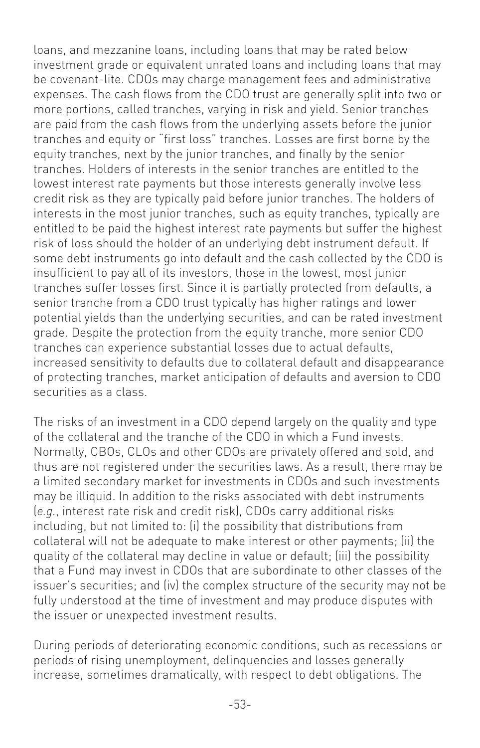loans, and mezzanine loans, including loans that may be rated below investment grade or equivalent unrated loans and including loans that may be covenant-lite. CDOs may charge management fees and administrative expenses. The cash flows from the CDO trust are generally split into two or more portions, called tranches, varying in risk and yield. Senior tranches are paid from the cash flows from the underlying assets before the junior tranches and equity or "first loss" tranches. Losses are first borne by the equity tranches, next by the junior tranches, and finally by the senior tranches. Holders of interests in the senior tranches are entitled to the lowest interest rate payments but those interests generally involve less credit risk as they are typically paid before junior tranches. The holders of interests in the most junior tranches, such as equity tranches, typically are entitled to be paid the highest interest rate payments but suffer the highest risk of loss should the holder of an underlying debt instrument default. If some debt instruments go into default and the cash collected by the CDO is insufficient to pay all of its investors, those in the lowest, most junior tranches suffer losses first. Since it is partially protected from defaults, a senior tranche from a CDO trust typically has higher ratings and lower potential yields than the underlying securities, and can be rated investment grade. Despite the protection from the equity tranche, more senior CDO tranches can experience substantial losses due to actual defaults, increased sensitivity to defaults due to collateral default and disappearance of protecting tranches, market anticipation of defaults and aversion to CDO securities as a class.

The risks of an investment in a CDO depend largely on the quality and type of the collateral and the tranche of the CDO in which a Fund invests. Normally, CBOs, CLOs and other CDOs are privately offered and sold, and thus are not registered under the securities laws. As a result, there may be a limited secondary market for investments in CDOs and such investments may be illiquid. In addition to the risks associated with debt instruments (*e.g.*, interest rate risk and credit risk), CDOs carry additional risks including, but not limited to: (i) the possibility that distributions from collateral will not be adequate to make interest or other payments; (ii) the quality of the collateral may decline in value or default; (iii) the possibility that a Fund may invest in CDOs that are subordinate to other classes of the issuer's securities; and (iv) the complex structure of the security may not be fully understood at the time of investment and may produce disputes with the issuer or unexpected investment results.

During periods of deteriorating economic conditions, such as recessions or periods of rising unemployment, delinquencies and losses generally increase, sometimes dramatically, with respect to debt obligations. The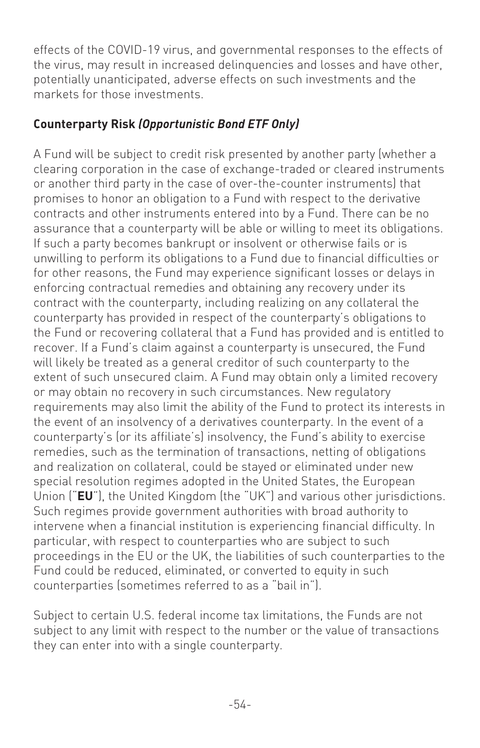effects of the COVID-19 virus, and governmental responses to the effects of the virus, may result in increased delinquencies and losses and have other, potentially unanticipated, adverse effects on such investments and the markets for those investments.

## **Counterparty Risk** *(Opportunistic Bond ETF Only)*

A Fund will be subject to credit risk presented by another party (whether a clearing corporation in the case of exchange-traded or cleared instruments or another third party in the case of over-the-counter instruments) that promises to honor an obligation to a Fund with respect to the derivative contracts and other instruments entered into by a Fund. There can be no assurance that a counterparty will be able or willing to meet its obligations. If such a party becomes bankrupt or insolvent or otherwise fails or is unwilling to perform its obligations to a Fund due to financial difficulties or for other reasons, the Fund may experience significant losses or delays in enforcing contractual remedies and obtaining any recovery under its contract with the counterparty, including realizing on any collateral the counterparty has provided in respect of the counterparty's obligations to the Fund or recovering collateral that a Fund has provided and is entitled to recover. If a Fund's claim against a counterparty is unsecured, the Fund will likely be treated as a general creditor of such counterparty to the extent of such unsecured claim. A Fund may obtain only a limited recovery or may obtain no recovery in such circumstances. New regulatory requirements may also limit the ability of the Fund to protect its interests in the event of an insolvency of a derivatives counterparty. In the event of a counterparty's (or its affiliate's) insolvency, the Fund's ability to exercise remedies, such as the termination of transactions, netting of obligations and realization on collateral, could be stayed or eliminated under new special resolution regimes adopted in the United States, the European Union ("**EU**"), the United Kingdom (the "UK") and various other jurisdictions. Such regimes provide government authorities with broad authority to intervene when a financial institution is experiencing financial difficulty. In particular, with respect to counterparties who are subject to such proceedings in the EU or the UK, the liabilities of such counterparties to the Fund could be reduced, eliminated, or converted to equity in such counterparties (sometimes referred to as a "bail in").

Subject to certain U.S. federal income tax limitations, the Funds are not subject to any limit with respect to the number or the value of transactions they can enter into with a single counterparty.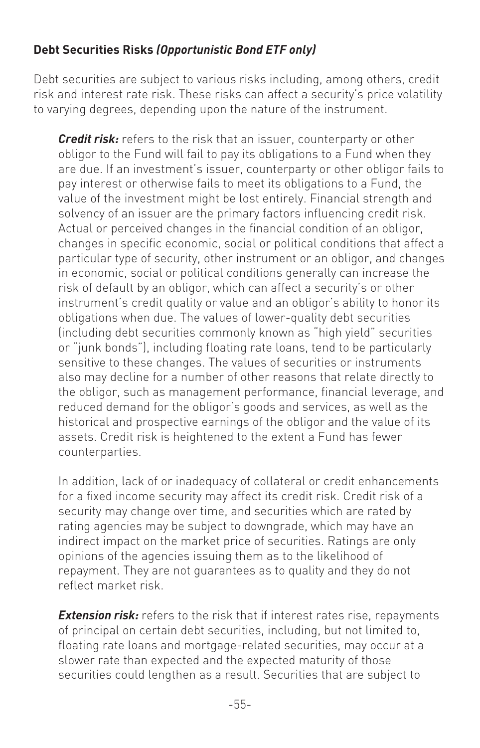#### **Debt Securities Risks** *(Opportunistic Bond ETF only)*

Debt securities are subject to various risks including, among others, credit risk and interest rate risk. These risks can affect a security's price volatility to varying degrees, depending upon the nature of the instrument.

*Credit risk:* refers to the risk that an issuer, counterparty or other obligor to the Fund will fail to pay its obligations to a Fund when they are due. If an investment's issuer, counterparty or other obligor fails to pay interest or otherwise fails to meet its obligations to a Fund, the value of the investment might be lost entirely. Financial strength and solvency of an issuer are the primary factors influencing credit risk. Actual or perceived changes in the financial condition of an obligor, changes in specific economic, social or political conditions that affect a particular type of security, other instrument or an obligor, and changes in economic, social or political conditions generally can increase the risk of default by an obligor, which can affect a security's or other instrument's credit quality or value and an obligor's ability to honor its obligations when due. The values of lower-quality debt securities (including debt securities commonly known as "high yield" securities or "junk bonds"), including floating rate loans, tend to be particularly sensitive to these changes. The values of securities or instruments also may decline for a number of other reasons that relate directly to the obligor, such as management performance, financial leverage, and reduced demand for the obligor's goods and services, as well as the historical and prospective earnings of the obligor and the value of its assets. Credit risk is heightened to the extent a Fund has fewer counterparties.

In addition, lack of or inadequacy of collateral or credit enhancements for a fixed income security may affect its credit risk. Credit risk of a security may change over time, and securities which are rated by rating agencies may be subject to downgrade, which may have an indirect impact on the market price of securities. Ratings are only opinions of the agencies issuing them as to the likelihood of repayment. They are not guarantees as to quality and they do not reflect market risk.

*Extension risk:* refers to the risk that if interest rates rise, repayments of principal on certain debt securities, including, but not limited to, floating rate loans and mortgage-related securities, may occur at a slower rate than expected and the expected maturity of those securities could lengthen as a result. Securities that are subject to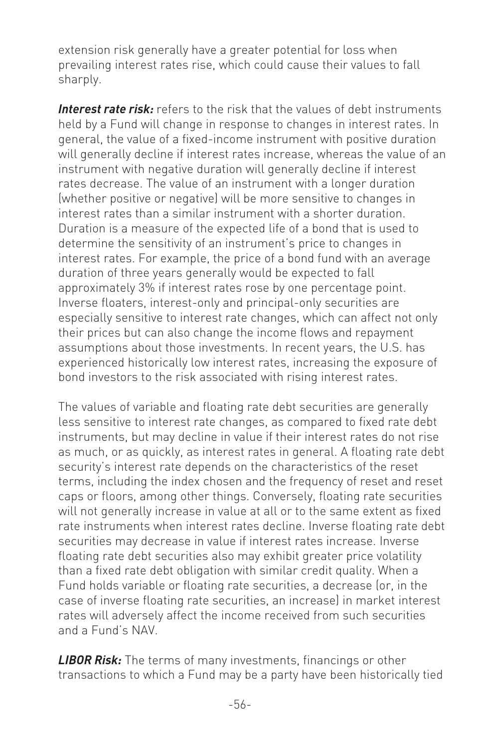extension risk generally have a greater potential for loss when prevailing interest rates rise, which could cause their values to fall sharply.

*Interest rate risk:* refers to the risk that the values of debt instruments held by a Fund will change in response to changes in interest rates. In general, the value of a fixed-income instrument with positive duration will generally decline if interest rates increase, whereas the value of an instrument with negative duration will generally decline if interest rates decrease. The value of an instrument with a longer duration (whether positive or negative) will be more sensitive to changes in interest rates than a similar instrument with a shorter duration. Duration is a measure of the expected life of a bond that is used to determine the sensitivity of an instrument's price to changes in interest rates. For example, the price of a bond fund with an average duration of three years generally would be expected to fall approximately 3% if interest rates rose by one percentage point. Inverse floaters, interest-only and principal-only securities are especially sensitive to interest rate changes, which can affect not only their prices but can also change the income flows and repayment assumptions about those investments. In recent years, the U.S. has experienced historically low interest rates, increasing the exposure of bond investors to the risk associated with rising interest rates.

The values of variable and floating rate debt securities are generally less sensitive to interest rate changes, as compared to fixed rate debt instruments, but may decline in value if their interest rates do not rise as much, or as quickly, as interest rates in general. A floating rate debt security's interest rate depends on the characteristics of the reset terms, including the index chosen and the frequency of reset and reset caps or floors, among other things. Conversely, floating rate securities will not generally increase in value at all or to the same extent as fixed rate instruments when interest rates decline. Inverse floating rate debt securities may decrease in value if interest rates increase. Inverse floating rate debt securities also may exhibit greater price volatility than a fixed rate debt obligation with similar credit quality. When a Fund holds variable or floating rate securities, a decrease (or, in the case of inverse floating rate securities, an increase) in market interest rates will adversely affect the income received from such securities and a Fund's NAV.

*LIBOR Risk:* The terms of many investments, financings or other transactions to which a Fund may be a party have been historically tied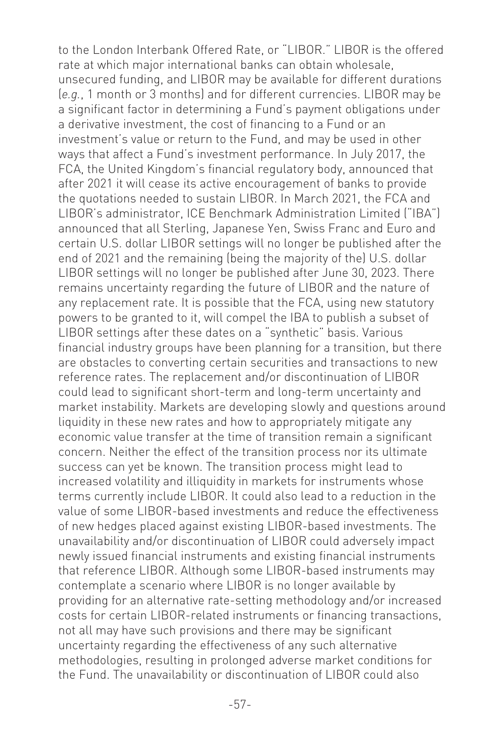to the London Interbank Offered Rate, or "LIBOR." LIBOR is the offered rate at which major international banks can obtain wholesale, unsecured funding, and LIBOR may be available for different durations (*e.g.*, 1 month or 3 months) and for different currencies. LIBOR may be a significant factor in determining a Fund's payment obligations under a derivative investment, the cost of financing to a Fund or an investment's value or return to the Fund, and may be used in other ways that affect a Fund's investment performance. In July 2017, the FCA, the United Kingdom's financial regulatory body, announced that after 2021 it will cease its active encouragement of banks to provide the quotations needed to sustain LIBOR. In March 2021, the FCA and LIBOR's administrator, ICE Benchmark Administration Limited ("IBA") announced that all Sterling, Japanese Yen, Swiss Franc and Euro and certain U.S. dollar LIBOR settings will no longer be published after the end of 2021 and the remaining (being the majority of the) U.S. dollar LIBOR settings will no longer be published after June 30, 2023. There remains uncertainty regarding the future of LIBOR and the nature of any replacement rate. It is possible that the FCA, using new statutory powers to be granted to it, will compel the IBA to publish a subset of LIBOR settings after these dates on a "synthetic" basis. Various financial industry groups have been planning for a transition, but there are obstacles to converting certain securities and transactions to new reference rates. The replacement and/or discontinuation of LIBOR could lead to significant short-term and long-term uncertainty and market instability. Markets are developing slowly and questions around liquidity in these new rates and how to appropriately mitigate any economic value transfer at the time of transition remain a significant concern. Neither the effect of the transition process nor its ultimate success can yet be known. The transition process might lead to increased volatility and illiquidity in markets for instruments whose terms currently include LIBOR. It could also lead to a reduction in the value of some LIBOR-based investments and reduce the effectiveness of new hedges placed against existing LIBOR-based investments. The unavailability and/or discontinuation of LIBOR could adversely impact newly issued financial instruments and existing financial instruments that reference LIBOR. Although some LIBOR-based instruments may contemplate a scenario where LIBOR is no longer available by providing for an alternative rate-setting methodology and/or increased costs for certain LIBOR-related instruments or financing transactions, not all may have such provisions and there may be significant uncertainty regarding the effectiveness of any such alternative methodologies, resulting in prolonged adverse market conditions for the Fund. The unavailability or discontinuation of LIBOR could also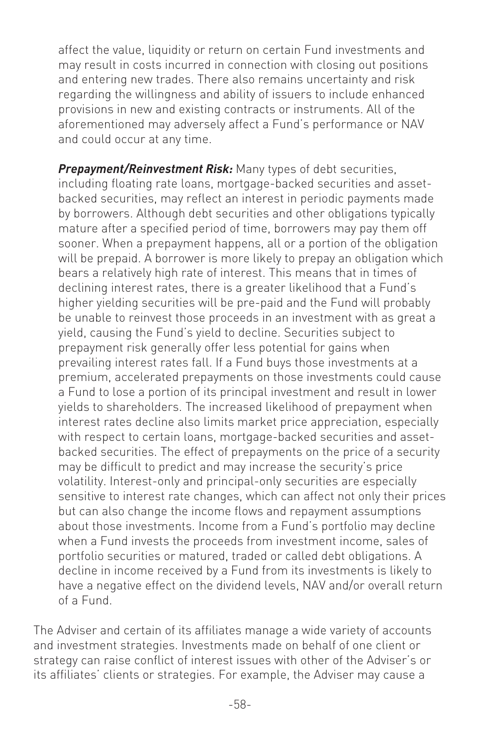affect the value, liquidity or return on certain Fund investments and may result in costs incurred in connection with closing out positions and entering new trades. There also remains uncertainty and risk regarding the willingness and ability of issuers to include enhanced provisions in new and existing contracts or instruments. All of the aforementioned may adversely affect a Fund's performance or NAV and could occur at any time.

*Prepayment/Reinvestment Risk:* Many types of debt securities, including floating rate loans, mortgage-backed securities and assetbacked securities, may reflect an interest in periodic payments made by borrowers. Although debt securities and other obligations typically mature after a specified period of time, borrowers may pay them off sooner. When a prepayment happens, all or a portion of the obligation will be prepaid. A borrower is more likely to prepay an obligation which bears a relatively high rate of interest. This means that in times of declining interest rates, there is a greater likelihood that a Fund's higher yielding securities will be pre-paid and the Fund will probably be unable to reinvest those proceeds in an investment with as great a yield, causing the Fund's yield to decline. Securities subject to prepayment risk generally offer less potential for gains when prevailing interest rates fall. If a Fund buys those investments at a premium, accelerated prepayments on those investments could cause a Fund to lose a portion of its principal investment and result in lower yields to shareholders. The increased likelihood of prepayment when interest rates decline also limits market price appreciation, especially with respect to certain loans, mortgage-backed securities and assetbacked securities. The effect of prepayments on the price of a security may be difficult to predict and may increase the security's price volatility. Interest-only and principal-only securities are especially sensitive to interest rate changes, which can affect not only their prices but can also change the income flows and repayment assumptions about those investments. Income from a Fund's portfolio may decline when a Fund invests the proceeds from investment income, sales of portfolio securities or matured, traded or called debt obligations. A decline in income received by a Fund from its investments is likely to have a negative effect on the dividend levels, NAV and/or overall return of a Fund.

The Adviser and certain of its affiliates manage a wide variety of accounts and investment strategies. Investments made on behalf of one client or strategy can raise conflict of interest issues with other of the Adviser's or its affiliates' clients or strategies. For example, the Adviser may cause a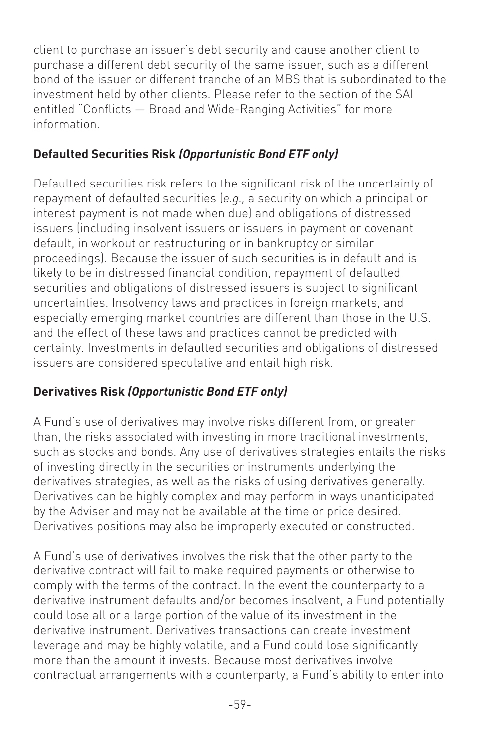client to purchase an issuer's debt security and cause another client to purchase a different debt security of the same issuer, such as a different bond of the issuer or different tranche of an MBS that is subordinated to the investment held by other clients. Please refer to the section of the SAI entitled "Conflicts — Broad and Wide-Ranging Activities" for more information.

### **Defaulted Securities Risk** *(Opportunistic Bond ETF only)*

Defaulted securities risk refers to the significant risk of the uncertainty of repayment of defaulted securities (*e.g.,* a security on which a principal or interest payment is not made when due) and obligations of distressed issuers (including insolvent issuers or issuers in payment or covenant default, in workout or restructuring or in bankruptcy or similar proceedings). Because the issuer of such securities is in default and is likely to be in distressed financial condition, repayment of defaulted securities and obligations of distressed issuers is subject to significant uncertainties. Insolvency laws and practices in foreign markets, and especially emerging market countries are different than those in the U.S. and the effect of these laws and practices cannot be predicted with certainty. Investments in defaulted securities and obligations of distressed issuers are considered speculative and entail high risk.

# **Derivatives Risk** *(Opportunistic Bond ETF only)*

A Fund's use of derivatives may involve risks different from, or greater than, the risks associated with investing in more traditional investments, such as stocks and bonds. Any use of derivatives strategies entails the risks of investing directly in the securities or instruments underlying the derivatives strategies, as well as the risks of using derivatives generally. Derivatives can be highly complex and may perform in ways unanticipated by the Adviser and may not be available at the time or price desired. Derivatives positions may also be improperly executed or constructed.

A Fund's use of derivatives involves the risk that the other party to the derivative contract will fail to make required payments or otherwise to comply with the terms of the contract. In the event the counterparty to a derivative instrument defaults and/or becomes insolvent, a Fund potentially could lose all or a large portion of the value of its investment in the derivative instrument. Derivatives transactions can create investment leverage and may be highly volatile, and a Fund could lose significantly more than the amount it invests. Because most derivatives involve contractual arrangements with a counterparty, a Fund's ability to enter into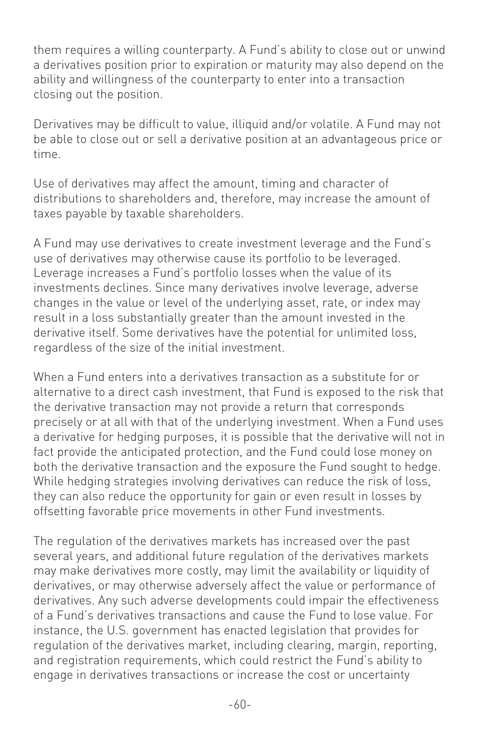them requires a willing counterparty. A Fund's ability to close out or unwind a derivatives position prior to expiration or maturity may also depend on the ability and willingness of the counterparty to enter into a transaction closing out the position.

Derivatives may be difficult to value, illiquid and/or volatile. A Fund may not be able to close out or sell a derivative position at an advantageous price or time.

Use of derivatives may affect the amount, timing and character of distributions to shareholders and, therefore, may increase the amount of taxes payable by taxable shareholders.

A Fund may use derivatives to create investment leverage and the Fund's use of derivatives may otherwise cause its portfolio to be leveraged. Leverage increases a Fund's portfolio losses when the value of its investments declines. Since many derivatives involve leverage, adverse changes in the value or level of the underlying asset, rate, or index may result in a loss substantially greater than the amount invested in the derivative itself. Some derivatives have the potential for unlimited loss, regardless of the size of the initial investment.

When a Fund enters into a derivatives transaction as a substitute for or alternative to a direct cash investment, that Fund is exposed to the risk that the derivative transaction may not provide a return that corresponds precisely or at all with that of the underlying investment. When a Fund uses a derivative for hedging purposes, it is possible that the derivative will not in fact provide the anticipated protection, and the Fund could lose money on both the derivative transaction and the exposure the Fund sought to hedge. While hedging strategies involving derivatives can reduce the risk of loss, they can also reduce the opportunity for gain or even result in losses by offsetting favorable price movements in other Fund investments.

The regulation of the derivatives markets has increased over the past several years, and additional future regulation of the derivatives markets may make derivatives more costly, may limit the availability or liquidity of derivatives, or may otherwise adversely affect the value or performance of derivatives. Any such adverse developments could impair the effectiveness of a Fund's derivatives transactions and cause the Fund to lose value. For instance, the U.S. government has enacted legislation that provides for regulation of the derivatives market, including clearing, margin, reporting, and registration requirements, which could restrict the Fund's ability to engage in derivatives transactions or increase the cost or uncertainty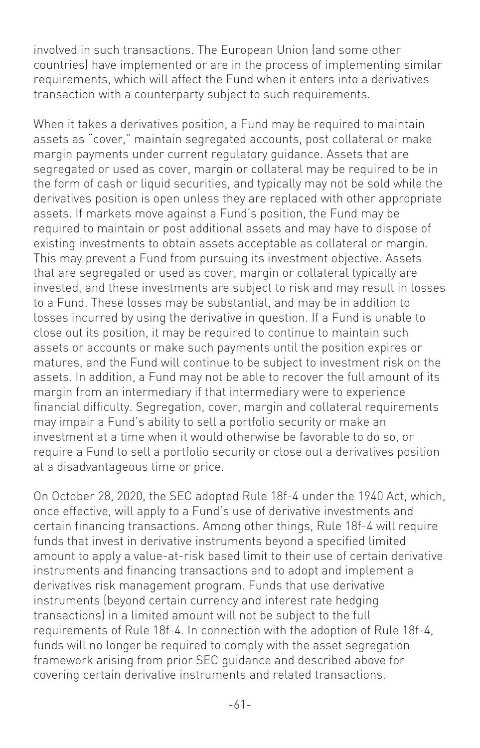involved in such transactions. The European Union (and some other countries) have implemented or are in the process of implementing similar requirements, which will affect the Fund when it enters into a derivatives transaction with a counterparty subject to such requirements.

When it takes a derivatives position, a Fund may be required to maintain assets as "cover," maintain segregated accounts, post collateral or make margin payments under current regulatory guidance. Assets that are segregated or used as cover, margin or collateral may be required to be in the form of cash or liquid securities, and typically may not be sold while the derivatives position is open unless they are replaced with other appropriate assets. If markets move against a Fund's position, the Fund may be required to maintain or post additional assets and may have to dispose of existing investments to obtain assets acceptable as collateral or margin. This may prevent a Fund from pursuing its investment objective. Assets that are segregated or used as cover, margin or collateral typically are invested, and these investments are subject to risk and may result in losses to a Fund. These losses may be substantial, and may be in addition to losses incurred by using the derivative in question. If a Fund is unable to close out its position, it may be required to continue to maintain such assets or accounts or make such payments until the position expires or matures, and the Fund will continue to be subject to investment risk on the assets. In addition, a Fund may not be able to recover the full amount of its margin from an intermediary if that intermediary were to experience financial difficulty. Segregation, cover, margin and collateral requirements may impair a Fund's ability to sell a portfolio security or make an investment at a time when it would otherwise be favorable to do so, or require a Fund to sell a portfolio security or close out a derivatives position at a disadvantageous time or price.

On October 28, 2020, the SEC adopted Rule 18f-4 under the 1940 Act, which, once effective, will apply to a Fund's use of derivative investments and certain financing transactions. Among other things, Rule 18f-4 will require funds that invest in derivative instruments beyond a specified limited amount to apply a value-at-risk based limit to their use of certain derivative instruments and financing transactions and to adopt and implement a derivatives risk management program. Funds that use derivative instruments (beyond certain currency and interest rate hedging transactions) in a limited amount will not be subject to the full requirements of Rule 18f-4. In connection with the adoption of Rule 18f-4, funds will no longer be required to comply with the asset segregation framework arising from prior SEC guidance and described above for covering certain derivative instruments and related transactions.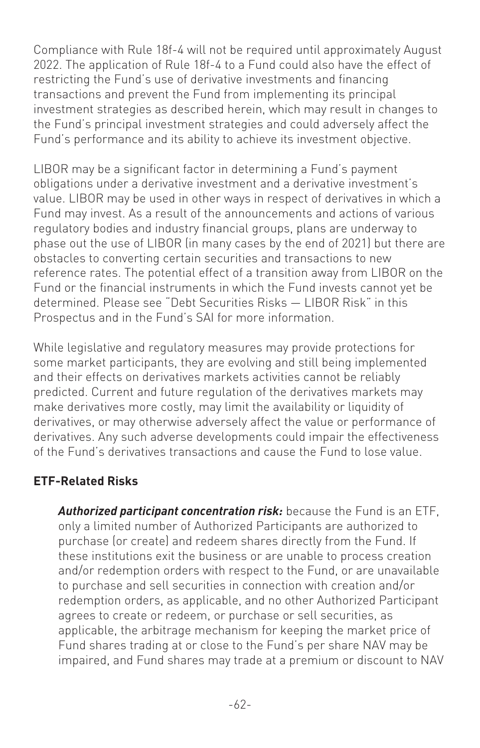Compliance with Rule 18f-4 will not be required until approximately August 2022. The application of Rule 18f-4 to a Fund could also have the effect of restricting the Fund's use of derivative investments and financing transactions and prevent the Fund from implementing its principal investment strategies as described herein, which may result in changes to the Fund's principal investment strategies and could adversely affect the Fund's performance and its ability to achieve its investment objective.

LIBOR may be a significant factor in determining a Fund's payment obligations under a derivative investment and a derivative investment's value. LIBOR may be used in other ways in respect of derivatives in which a Fund may invest. As a result of the announcements and actions of various regulatory bodies and industry financial groups, plans are underway to phase out the use of LIBOR (in many cases by the end of 2021) but there are obstacles to converting certain securities and transactions to new reference rates. The potential effect of a transition away from LIBOR on the Fund or the financial instruments in which the Fund invests cannot yet be determined. Please see "Debt Securities Risks — LIBOR Risk" in this Prospectus and in the Fund's SAI for more information.

While legislative and regulatory measures may provide protections for some market participants, they are evolving and still being implemented and their effects on derivatives markets activities cannot be reliably predicted. Current and future regulation of the derivatives markets may make derivatives more costly, may limit the availability or liquidity of derivatives, or may otherwise adversely affect the value or performance of derivatives. Any such adverse developments could impair the effectiveness of the Fund's derivatives transactions and cause the Fund to lose value.

#### **ETF-Related Risks**

*Authorized participant concentration risk:* because the Fund is an ETF, only a limited number of Authorized Participants are authorized to purchase (or create) and redeem shares directly from the Fund. If these institutions exit the business or are unable to process creation and/or redemption orders with respect to the Fund, or are unavailable to purchase and sell securities in connection with creation and/or redemption orders, as applicable, and no other Authorized Participant agrees to create or redeem, or purchase or sell securities, as applicable, the arbitrage mechanism for keeping the market price of Fund shares trading at or close to the Fund's per share NAV may be impaired, and Fund shares may trade at a premium or discount to NAV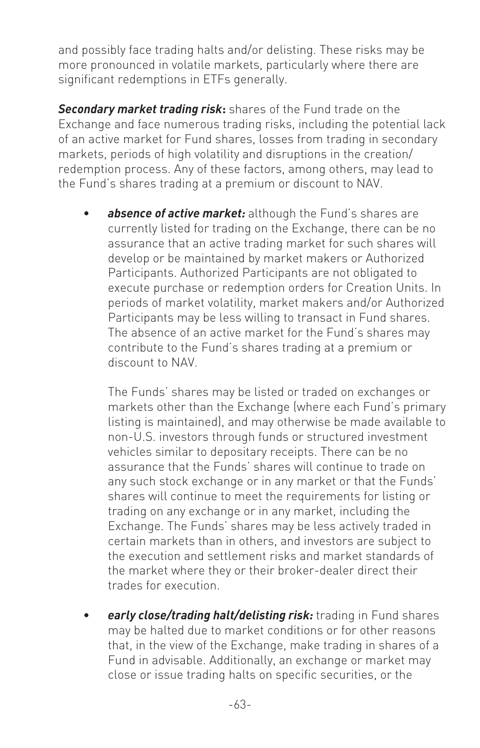and possibly face trading halts and/or delisting. These risks may be more pronounced in volatile markets, particularly where there are significant redemptions in ETFs generally.

*Secondary market trading risk***:** shares of the Fund trade on the Exchange and face numerous trading risks, including the potential lack of an active market for Fund shares, losses from trading in secondary markets, periods of high volatility and disruptions in the creation/ redemption process. Any of these factors, among others, may lead to the Fund's shares trading at a premium or discount to NAV.

absence of active market: although the Fund's shares are currently listed for trading on the Exchange, there can be no assurance that an active trading market for such shares will develop or be maintained by market makers or Authorized Participants. Authorized Participants are not obligated to execute purchase or redemption orders for Creation Units. In periods of market volatility, market makers and/or Authorized Participants may be less willing to transact in Fund shares. The absence of an active market for the Fund's shares may contribute to the Fund's shares trading at a premium or discount to NAV.

The Funds' shares may be listed or traded on exchanges or markets other than the Exchange (where each Fund's primary listing is maintained), and may otherwise be made available to non-U.S. investors through funds or structured investment vehicles similar to depositary receipts. There can be no assurance that the Funds' shares will continue to trade on any such stock exchange or in any market or that the Funds' shares will continue to meet the requirements for listing or trading on any exchange or in any market, including the Exchange. The Funds' shares may be less actively traded in certain markets than in others, and investors are subject to the execution and settlement risks and market standards of the market where they or their broker-dealer direct their trades for execution.

• *early close/trading halt/delisting risk:* trading in Fund shares may be halted due to market conditions or for other reasons that, in the view of the Exchange, make trading in shares of a Fund in advisable. Additionally, an exchange or market may close or issue trading halts on specific securities, or the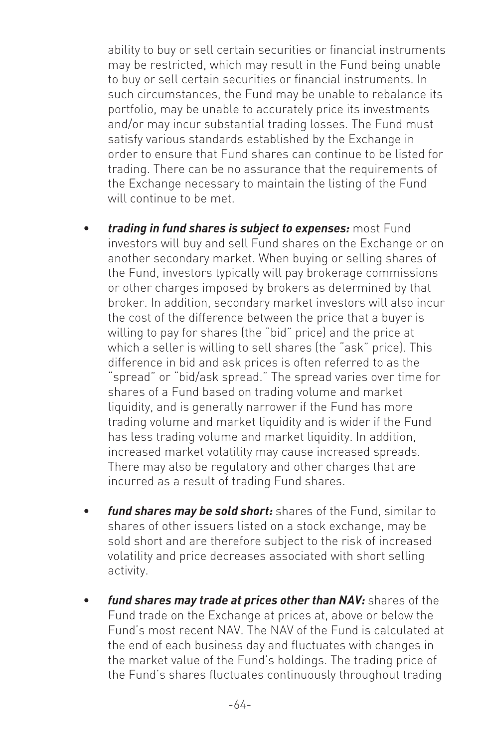ability to buy or sell certain securities or financial instruments may be restricted, which may result in the Fund being unable to buy or sell certain securities or financial instruments. In such circumstances, the Fund may be unable to rebalance its portfolio, may be unable to accurately price its investments and/or may incur substantial trading losses. The Fund must satisfy various standards established by the Exchange in order to ensure that Fund shares can continue to be listed for trading. There can be no assurance that the requirements of the Exchange necessary to maintain the listing of the Fund will continue to be met.

- *trading in fund shares is subject to expenses:* most Fund investors will buy and sell Fund shares on the Exchange or on another secondary market. When buying or selling shares of the Fund, investors typically will pay brokerage commissions or other charges imposed by brokers as determined by that broker. In addition, secondary market investors will also incur the cost of the difference between the price that a buyer is willing to pay for shares (the "bid" price) and the price at which a seller is willing to sell shares (the "ask" price). This difference in bid and ask prices is often referred to as the "spread" or "bid/ask spread." The spread varies over time for shares of a Fund based on trading volume and market liquidity, and is generally narrower if the Fund has more trading volume and market liquidity and is wider if the Fund has less trading volume and market liquidity. In addition, increased market volatility may cause increased spreads. There may also be regulatory and other charges that are incurred as a result of trading Fund shares.
- *fund shares may be sold short:* shares of the Fund, similar to shares of other issuers listed on a stock exchange, may be sold short and are therefore subject to the risk of increased volatility and price decreases associated with short selling activity.
- *fund shares may trade at prices other than NAV:* shares of the Fund trade on the Exchange at prices at, above or below the Fund's most recent NAV. The NAV of the Fund is calculated at the end of each business day and fluctuates with changes in the market value of the Fund's holdings. The trading price of the Fund's shares fluctuates continuously throughout trading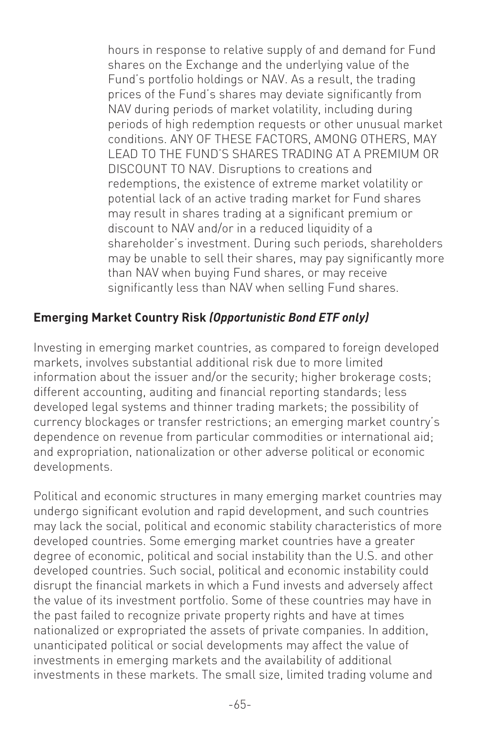hours in response to relative supply of and demand for Fund shares on the Exchange and the underlying value of the Fund's portfolio holdings or NAV. As a result, the trading prices of the Fund's shares may deviate significantly from NAV during periods of market volatility, including during periods of high redemption requests or other unusual market conditions. ANY OF THESE FACTORS, AMONG OTHERS, MAY LEAD TO THE FUND'S SHARES TRADING AT A PREMIUM OR DISCOUNT TO NAV. Disruptions to creations and redemptions, the existence of extreme market volatility or potential lack of an active trading market for Fund shares may result in shares trading at a significant premium or discount to NAV and/or in a reduced liquidity of a shareholder's investment. During such periods, shareholders may be unable to sell their shares, may pay significantly more than NAV when buying Fund shares, or may receive significantly less than NAV when selling Fund shares.

#### **Emerging Market Country Risk** *(Opportunistic Bond ETF only)*

Investing in emerging market countries, as compared to foreign developed markets, involves substantial additional risk due to more limited information about the issuer and/or the security; higher brokerage costs; different accounting, auditing and financial reporting standards; less developed legal systems and thinner trading markets; the possibility of currency blockages or transfer restrictions; an emerging market country's dependence on revenue from particular commodities or international aid; and expropriation, nationalization or other adverse political or economic developments.

Political and economic structures in many emerging market countries may undergo significant evolution and rapid development, and such countries may lack the social, political and economic stability characteristics of more developed countries. Some emerging market countries have a greater degree of economic, political and social instability than the U.S. and other developed countries. Such social, political and economic instability could disrupt the financial markets in which a Fund invests and adversely affect the value of its investment portfolio. Some of these countries may have in the past failed to recognize private property rights and have at times nationalized or expropriated the assets of private companies. In addition, unanticipated political or social developments may affect the value of investments in emerging markets and the availability of additional investments in these markets. The small size, limited trading volume and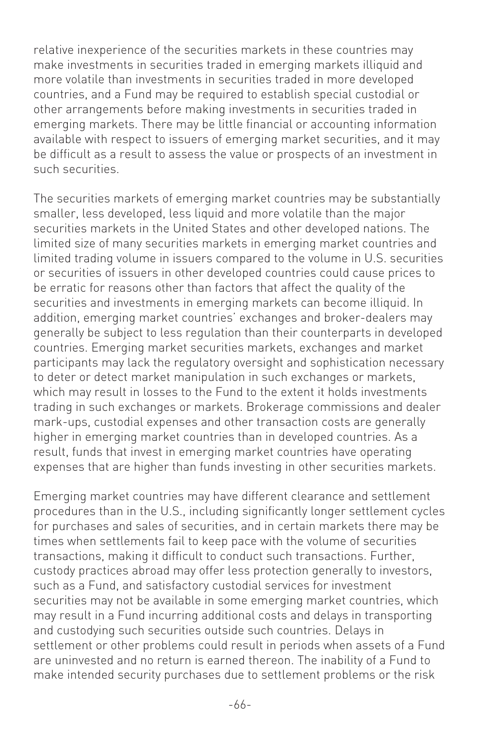relative inexperience of the securities markets in these countries may make investments in securities traded in emerging markets illiquid and more volatile than investments in securities traded in more developed countries, and a Fund may be required to establish special custodial or other arrangements before making investments in securities traded in emerging markets. There may be little financial or accounting information available with respect to issuers of emerging market securities, and it may be difficult as a result to assess the value or prospects of an investment in such securities.

The securities markets of emerging market countries may be substantially smaller, less developed, less liquid and more volatile than the major securities markets in the United States and other developed nations. The limited size of many securities markets in emerging market countries and limited trading volume in issuers compared to the volume in U.S. securities or securities of issuers in other developed countries could cause prices to be erratic for reasons other than factors that affect the quality of the securities and investments in emerging markets can become illiquid. In addition, emerging market countries' exchanges and broker-dealers may generally be subject to less regulation than their counterparts in developed countries. Emerging market securities markets, exchanges and market participants may lack the regulatory oversight and sophistication necessary to deter or detect market manipulation in such exchanges or markets, which may result in losses to the Fund to the extent it holds investments trading in such exchanges or markets. Brokerage commissions and dealer mark-ups, custodial expenses and other transaction costs are generally higher in emerging market countries than in developed countries. As a result, funds that invest in emerging market countries have operating expenses that are higher than funds investing in other securities markets.

Emerging market countries may have different clearance and settlement procedures than in the U.S., including significantly longer settlement cycles for purchases and sales of securities, and in certain markets there may be times when settlements fail to keep pace with the volume of securities transactions, making it difficult to conduct such transactions. Further, custody practices abroad may offer less protection generally to investors, such as a Fund, and satisfactory custodial services for investment securities may not be available in some emerging market countries, which may result in a Fund incurring additional costs and delays in transporting and custodying such securities outside such countries. Delays in settlement or other problems could result in periods when assets of a Fund are uninvested and no return is earned thereon. The inability of a Fund to make intended security purchases due to settlement problems or the risk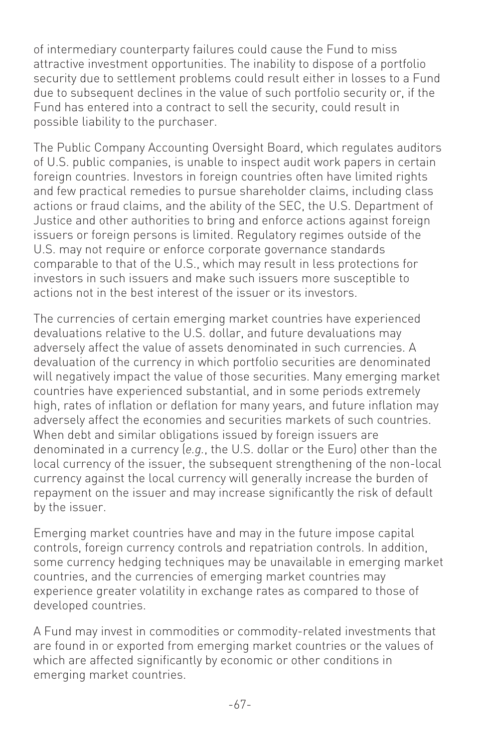of intermediary counterparty failures could cause the Fund to miss attractive investment opportunities. The inability to dispose of a portfolio security due to settlement problems could result either in losses to a Fund due to subsequent declines in the value of such portfolio security or, if the Fund has entered into a contract to sell the security, could result in possible liability to the purchaser.

The Public Company Accounting Oversight Board, which regulates auditors of U.S. public companies, is unable to inspect audit work papers in certain foreign countries. Investors in foreign countries often have limited rights and few practical remedies to pursue shareholder claims, including class actions or fraud claims, and the ability of the SEC, the U.S. Department of Justice and other authorities to bring and enforce actions against foreign issuers or foreign persons is limited. Regulatory regimes outside of the U.S. may not require or enforce corporate governance standards comparable to that of the U.S., which may result in less protections for investors in such issuers and make such issuers more susceptible to actions not in the best interest of the issuer or its investors.

The currencies of certain emerging market countries have experienced devaluations relative to the U.S. dollar, and future devaluations may adversely affect the value of assets denominated in such currencies. A devaluation of the currency in which portfolio securities are denominated will negatively impact the value of those securities. Many emerging market countries have experienced substantial, and in some periods extremely high, rates of inflation or deflation for many years, and future inflation may adversely affect the economies and securities markets of such countries. When debt and similar obligations issued by foreign issuers are denominated in a currency (*e.g.*, the U.S. dollar or the Euro) other than the local currency of the issuer, the subsequent strengthening of the non-local currency against the local currency will generally increase the burden of repayment on the issuer and may increase significantly the risk of default by the issuer.

Emerging market countries have and may in the future impose capital controls, foreign currency controls and repatriation controls. In addition, some currency hedging techniques may be unavailable in emerging market countries, and the currencies of emerging market countries may experience greater volatility in exchange rates as compared to those of developed countries.

A Fund may invest in commodities or commodity-related investments that are found in or exported from emerging market countries or the values of which are affected significantly by economic or other conditions in emerging market countries.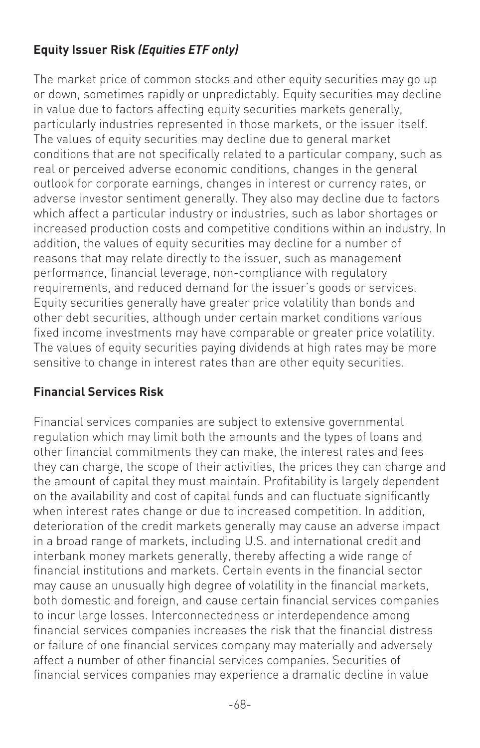## **Equity Issuer Risk** *(Equities ETF only)*

The market price of common stocks and other equity securities may go up or down, sometimes rapidly or unpredictably. Equity securities may decline in value due to factors affecting equity securities markets generally, particularly industries represented in those markets, or the issuer itself. The values of equity securities may decline due to general market conditions that are not specifically related to a particular company, such as real or perceived adverse economic conditions, changes in the general outlook for corporate earnings, changes in interest or currency rates, or adverse investor sentiment generally. They also may decline due to factors which affect a particular industry or industries, such as labor shortages or increased production costs and competitive conditions within an industry. In addition, the values of equity securities may decline for a number of reasons that may relate directly to the issuer, such as management performance, financial leverage, non-compliance with regulatory requirements, and reduced demand for the issuer's goods or services. Equity securities generally have greater price volatility than bonds and other debt securities, although under certain market conditions various fixed income investments may have comparable or greater price volatility. The values of equity securities paying dividends at high rates may be more sensitive to change in interest rates than are other equity securities.

#### **Financial Services Risk**

Financial services companies are subject to extensive governmental regulation which may limit both the amounts and the types of loans and other financial commitments they can make, the interest rates and fees they can charge, the scope of their activities, the prices they can charge and the amount of capital they must maintain. Profitability is largely dependent on the availability and cost of capital funds and can fluctuate significantly when interest rates change or due to increased competition. In addition, deterioration of the credit markets generally may cause an adverse impact in a broad range of markets, including U.S. and international credit and interbank money markets generally, thereby affecting a wide range of financial institutions and markets. Certain events in the financial sector may cause an unusually high degree of volatility in the financial markets, both domestic and foreign, and cause certain financial services companies to incur large losses. Interconnectedness or interdependence among financial services companies increases the risk that the financial distress or failure of one financial services company may materially and adversely affect a number of other financial services companies. Securities of financial services companies may experience a dramatic decline in value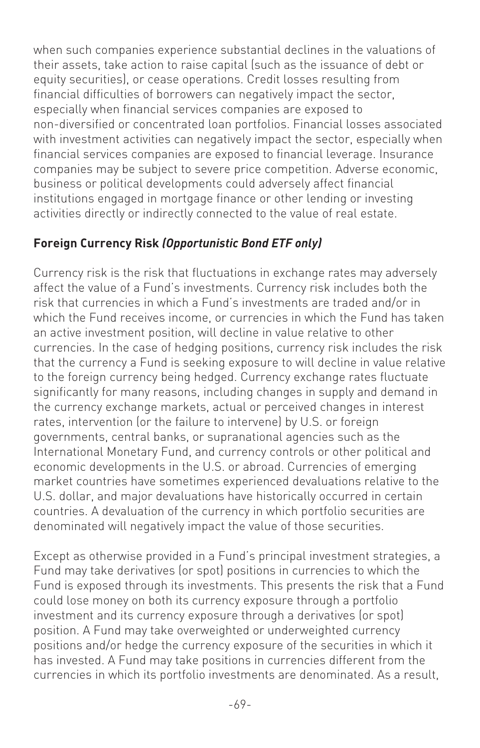when such companies experience substantial declines in the valuations of their assets, take action to raise capital (such as the issuance of debt or equity securities), or cease operations. Credit losses resulting from financial difficulties of borrowers can negatively impact the sector, especially when financial services companies are exposed to non-diversified or concentrated loan portfolios. Financial losses associated with investment activities can negatively impact the sector, especially when financial services companies are exposed to financial leverage. Insurance companies may be subject to severe price competition. Adverse economic, business or political developments could adversely affect financial institutions engaged in mortgage finance or other lending or investing activities directly or indirectly connected to the value of real estate.

#### **Foreign Currency Risk** *(Opportunistic Bond ETF only)*

Currency risk is the risk that fluctuations in exchange rates may adversely affect the value of a Fund's investments. Currency risk includes both the risk that currencies in which a Fund's investments are traded and/or in which the Fund receives income, or currencies in which the Fund has taken an active investment position, will decline in value relative to other currencies. In the case of hedging positions, currency risk includes the risk that the currency a Fund is seeking exposure to will decline in value relative to the foreign currency being hedged. Currency exchange rates fluctuate significantly for many reasons, including changes in supply and demand in the currency exchange markets, actual or perceived changes in interest rates, intervention (or the failure to intervene) by U.S. or foreign governments, central banks, or supranational agencies such as the International Monetary Fund, and currency controls or other political and economic developments in the U.S. or abroad. Currencies of emerging market countries have sometimes experienced devaluations relative to the U.S. dollar, and major devaluations have historically occurred in certain countries. A devaluation of the currency in which portfolio securities are denominated will negatively impact the value of those securities.

Except as otherwise provided in a Fund's principal investment strategies, a Fund may take derivatives (or spot) positions in currencies to which the Fund is exposed through its investments. This presents the risk that a Fund could lose money on both its currency exposure through a portfolio investment and its currency exposure through a derivatives (or spot) position. A Fund may take overweighted or underweighted currency positions and/or hedge the currency exposure of the securities in which it has invested. A Fund may take positions in currencies different from the currencies in which its portfolio investments are denominated. As a result,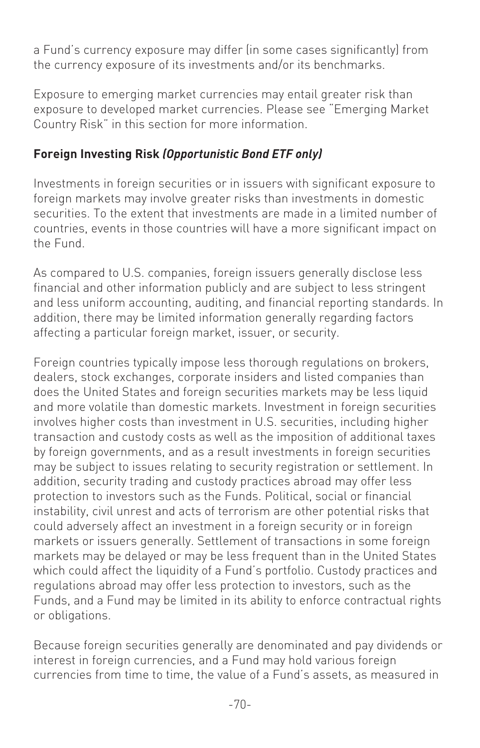a Fund's currency exposure may differ (in some cases significantly) from the currency exposure of its investments and/or its benchmarks.

Exposure to emerging market currencies may entail greater risk than exposure to developed market currencies. Please see "Emerging Market Country Risk" in this section for more information.

#### **Foreign Investing Risk** *(Opportunistic Bond ETF only)*

Investments in foreign securities or in issuers with significant exposure to foreign markets may involve greater risks than investments in domestic securities. To the extent that investments are made in a limited number of countries, events in those countries will have a more significant impact on the Fund.

As compared to U.S. companies, foreign issuers generally disclose less financial and other information publicly and are subject to less stringent and less uniform accounting, auditing, and financial reporting standards. In addition, there may be limited information generally regarding factors affecting a particular foreign market, issuer, or security.

Foreign countries typically impose less thorough regulations on brokers, dealers, stock exchanges, corporate insiders and listed companies than does the United States and foreign securities markets may be less liquid and more volatile than domestic markets. Investment in foreign securities involves higher costs than investment in U.S. securities, including higher transaction and custody costs as well as the imposition of additional taxes by foreign governments, and as a result investments in foreign securities may be subject to issues relating to security registration or settlement. In addition, security trading and custody practices abroad may offer less protection to investors such as the Funds. Political, social or financial instability, civil unrest and acts of terrorism are other potential risks that could adversely affect an investment in a foreign security or in foreign markets or issuers generally. Settlement of transactions in some foreign markets may be delayed or may be less frequent than in the United States which could affect the liquidity of a Fund's portfolio. Custody practices and regulations abroad may offer less protection to investors, such as the Funds, and a Fund may be limited in its ability to enforce contractual rights or obligations.

Because foreign securities generally are denominated and pay dividends or interest in foreign currencies, and a Fund may hold various foreign currencies from time to time, the value of a Fund's assets, as measured in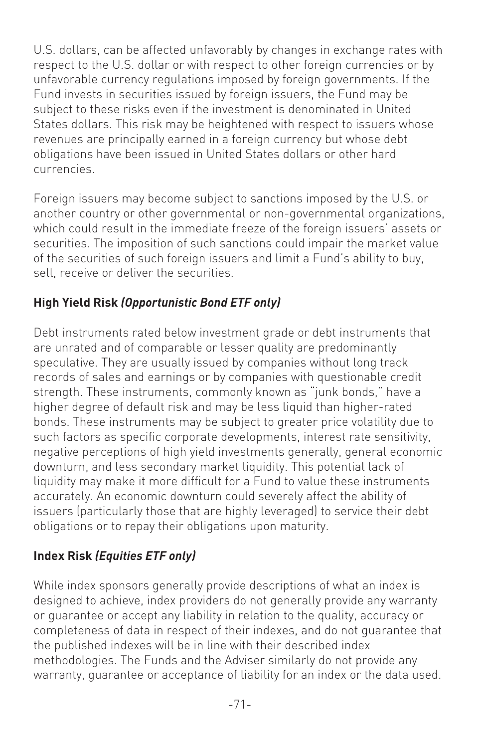U.S. dollars, can be affected unfavorably by changes in exchange rates with respect to the U.S. dollar or with respect to other foreign currencies or by unfavorable currency regulations imposed by foreign governments. If the Fund invests in securities issued by foreign issuers, the Fund may be subject to these risks even if the investment is denominated in United States dollars. This risk may be heightened with respect to issuers whose revenues are principally earned in a foreign currency but whose debt obligations have been issued in United States dollars or other hard currencies.

Foreign issuers may become subject to sanctions imposed by the U.S. or another country or other governmental or non-governmental organizations, which could result in the immediate freeze of the foreign issuers' assets or securities. The imposition of such sanctions could impair the market value of the securities of such foreign issuers and limit a Fund's ability to buy, sell, receive or deliver the securities.

# **High Yield Risk** *(Opportunistic Bond ETF only)*

Debt instruments rated below investment grade or debt instruments that are unrated and of comparable or lesser quality are predominantly speculative. They are usually issued by companies without long track records of sales and earnings or by companies with questionable credit strength. These instruments, commonly known as "junk bonds," have a higher degree of default risk and may be less liquid than higher-rated bonds. These instruments may be subject to greater price volatility due to such factors as specific corporate developments, interest rate sensitivity, negative perceptions of high yield investments generally, general economic downturn, and less secondary market liquidity. This potential lack of liquidity may make it more difficult for a Fund to value these instruments accurately. An economic downturn could severely affect the ability of issuers (particularly those that are highly leveraged) to service their debt obligations or to repay their obligations upon maturity.

# **Index Risk** *(Equities ETF only)*

While index sponsors generally provide descriptions of what an index is designed to achieve, index providers do not generally provide any warranty or guarantee or accept any liability in relation to the quality, accuracy or completeness of data in respect of their indexes, and do not guarantee that the published indexes will be in line with their described index methodologies. The Funds and the Adviser similarly do not provide any warranty, guarantee or acceptance of liability for an index or the data used.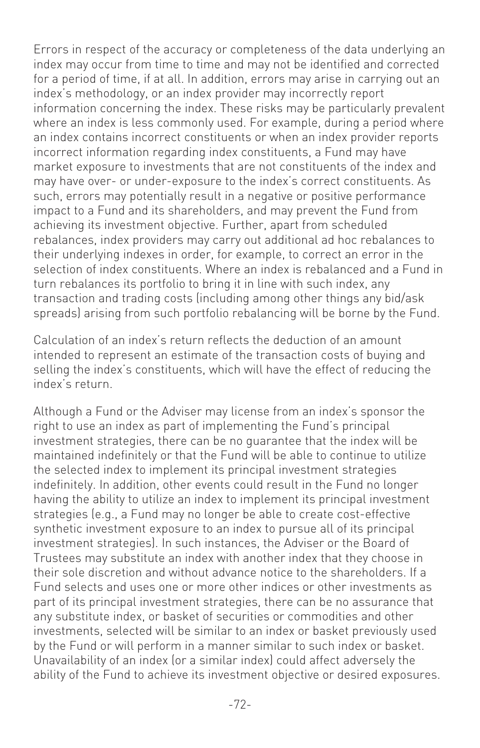Errors in respect of the accuracy or completeness of the data underlying an index may occur from time to time and may not be identified and corrected for a period of time, if at all. In addition, errors may arise in carrying out an index's methodology, or an index provider may incorrectly report information concerning the index. These risks may be particularly prevalent where an index is less commonly used. For example, during a period where an index contains incorrect constituents or when an index provider reports incorrect information regarding index constituents, a Fund may have market exposure to investments that are not constituents of the index and may have over- or under-exposure to the index's correct constituents. As such, errors may potentially result in a negative or positive performance impact to a Fund and its shareholders, and may prevent the Fund from achieving its investment objective. Further, apart from scheduled rebalances, index providers may carry out additional ad hoc rebalances to their underlying indexes in order, for example, to correct an error in the selection of index constituents. Where an index is rebalanced and a Fund in turn rebalances its portfolio to bring it in line with such index, any transaction and trading costs (including among other things any bid/ask spreads) arising from such portfolio rebalancing will be borne by the Fund.

Calculation of an index's return reflects the deduction of an amount intended to represent an estimate of the transaction costs of buying and selling the index's constituents, which will have the effect of reducing the index's return.

Although a Fund or the Adviser may license from an index's sponsor the right to use an index as part of implementing the Fund's principal investment strategies, there can be no guarantee that the index will be maintained indefinitely or that the Fund will be able to continue to utilize the selected index to implement its principal investment strategies indefinitely. In addition, other events could result in the Fund no longer having the ability to utilize an index to implement its principal investment strategies (e.g., a Fund may no longer be able to create cost-effective synthetic investment exposure to an index to pursue all of its principal investment strategies). In such instances, the Adviser or the Board of Trustees may substitute an index with another index that they choose in their sole discretion and without advance notice to the shareholders. If a Fund selects and uses one or more other indices or other investments as part of its principal investment strategies, there can be no assurance that any substitute index, or basket of securities or commodities and other investments, selected will be similar to an index or basket previously used by the Fund or will perform in a manner similar to such index or basket. Unavailability of an index (or a similar index) could affect adversely the ability of the Fund to achieve its investment objective or desired exposures.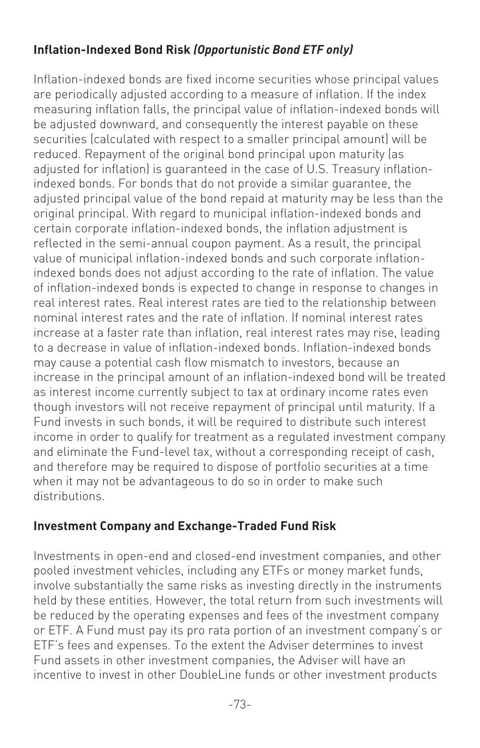#### **Inflation-Indexed Bond Risk** *(Opportunistic Bond ETF only)*

Inflation-indexed bonds are fixed income securities whose principal values are periodically adjusted according to a measure of inflation. If the index measuring inflation falls, the principal value of inflation-indexed bonds will be adjusted downward, and consequently the interest payable on these securities (calculated with respect to a smaller principal amount) will be reduced. Repayment of the original bond principal upon maturity (as adjusted for inflation) is guaranteed in the case of U.S. Treasury inflationindexed bonds. For bonds that do not provide a similar guarantee, the adjusted principal value of the bond repaid at maturity may be less than the original principal. With regard to municipal inflation-indexed bonds and certain corporate inflation-indexed bonds, the inflation adjustment is reflected in the semi-annual coupon payment. As a result, the principal value of municipal inflation-indexed bonds and such corporate inflationindexed bonds does not adjust according to the rate of inflation. The value of inflation-indexed bonds is expected to change in response to changes in real interest rates. Real interest rates are tied to the relationship between nominal interest rates and the rate of inflation. If nominal interest rates increase at a faster rate than inflation, real interest rates may rise, leading to a decrease in value of inflation-indexed bonds. Inflation-indexed bonds may cause a potential cash flow mismatch to investors, because an increase in the principal amount of an inflation-indexed bond will be treated as interest income currently subject to tax at ordinary income rates even though investors will not receive repayment of principal until maturity. If a Fund invests in such bonds, it will be required to distribute such interest income in order to qualify for treatment as a regulated investment company and eliminate the Fund-level tax, without a corresponding receipt of cash, and therefore may be required to dispose of portfolio securities at a time when it may not be advantageous to do so in order to make such distributions.

#### **Investment Company and Exchange-Traded Fund Risk**

Investments in open-end and closed-end investment companies, and other pooled investment vehicles, including any ETFs or money market funds, involve substantially the same risks as investing directly in the instruments held by these entities. However, the total return from such investments will be reduced by the operating expenses and fees of the investment company or ETF. A Fund must pay its pro rata portion of an investment company's or ETF's fees and expenses. To the extent the Adviser determines to invest Fund assets in other investment companies, the Adviser will have an incentive to invest in other DoubleLine funds or other investment products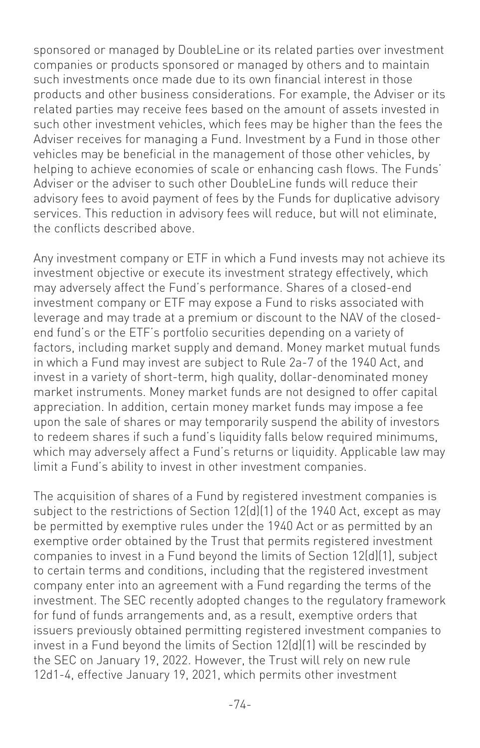sponsored or managed by DoubleLine or its related parties over investment companies or products sponsored or managed by others and to maintain such investments once made due to its own financial interest in those products and other business considerations. For example, the Adviser or its related parties may receive fees based on the amount of assets invested in such other investment vehicles, which fees may be higher than the fees the Adviser receives for managing a Fund. Investment by a Fund in those other vehicles may be beneficial in the management of those other vehicles, by helping to achieve economies of scale or enhancing cash flows. The Funds' Adviser or the adviser to such other DoubleLine funds will reduce their advisory fees to avoid payment of fees by the Funds for duplicative advisory services. This reduction in advisory fees will reduce, but will not eliminate, the conflicts described above.

Any investment company or ETF in which a Fund invests may not achieve its investment objective or execute its investment strategy effectively, which may adversely affect the Fund's performance. Shares of a closed-end investment company or ETF may expose a Fund to risks associated with leverage and may trade at a premium or discount to the NAV of the closedend fund's or the ETF's portfolio securities depending on a variety of factors, including market supply and demand. Money market mutual funds in which a Fund may invest are subject to Rule 2a-7 of the 1940 Act, and invest in a variety of short-term, high quality, dollar-denominated money market instruments. Money market funds are not designed to offer capital appreciation. In addition, certain money market funds may impose a fee upon the sale of shares or may temporarily suspend the ability of investors to redeem shares if such a fund's liquidity falls below required minimums, which may adversely affect a Fund's returns or liquidity. Applicable law may limit a Fund's ability to invest in other investment companies.

The acquisition of shares of a Fund by registered investment companies is subject to the restrictions of Section 12(d)(1) of the 1940 Act, except as may be permitted by exemptive rules under the 1940 Act or as permitted by an exemptive order obtained by the Trust that permits registered investment companies to invest in a Fund beyond the limits of Section 12(d)(1), subject to certain terms and conditions, including that the registered investment company enter into an agreement with a Fund regarding the terms of the investment. The SEC recently adopted changes to the regulatory framework for fund of funds arrangements and, as a result, exemptive orders that issuers previously obtained permitting registered investment companies to invest in a Fund beyond the limits of Section 12(d)(1) will be rescinded by the SEC on January 19, 2022. However, the Trust will rely on new rule 12d1-4, effective January 19, 2021, which permits other investment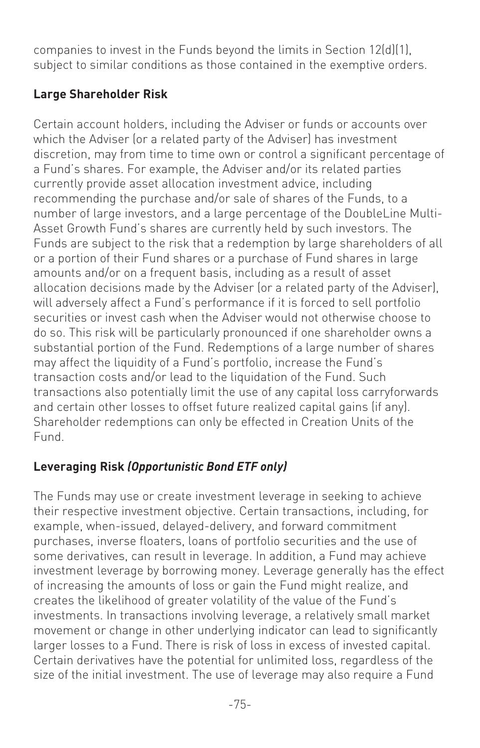companies to invest in the Funds beyond the limits in Section 12(d)(1), subject to similar conditions as those contained in the exemptive orders.

#### **Large Shareholder Risk**

Certain account holders, including the Adviser or funds or accounts over which the Adviser (or a related party of the Adviser) has investment discretion, may from time to time own or control a significant percentage of a Fund's shares. For example, the Adviser and/or its related parties currently provide asset allocation investment advice, including recommending the purchase and/or sale of shares of the Funds, to a number of large investors, and a large percentage of the DoubleLine Multi-Asset Growth Fund's shares are currently held by such investors. The Funds are subject to the risk that a redemption by large shareholders of all or a portion of their Fund shares or a purchase of Fund shares in large amounts and/or on a frequent basis, including as a result of asset allocation decisions made by the Adviser (or a related party of the Adviser), will adversely affect a Fund's performance if it is forced to sell portfolio securities or invest cash when the Adviser would not otherwise choose to do so. This risk will be particularly pronounced if one shareholder owns a substantial portion of the Fund. Redemptions of a large number of shares may affect the liquidity of a Fund's portfolio, increase the Fund's transaction costs and/or lead to the liquidation of the Fund. Such transactions also potentially limit the use of any capital loss carryforwards and certain other losses to offset future realized capital gains (if any). Shareholder redemptions can only be effected in Creation Units of the Fund.

# **Leveraging Risk** *(Opportunistic Bond ETF only)*

The Funds may use or create investment leverage in seeking to achieve their respective investment objective. Certain transactions, including, for example, when-issued, delayed-delivery, and forward commitment purchases, inverse floaters, loans of portfolio securities and the use of some derivatives, can result in leverage. In addition, a Fund may achieve investment leverage by borrowing money. Leverage generally has the effect of increasing the amounts of loss or gain the Fund might realize, and creates the likelihood of greater volatility of the value of the Fund's investments. In transactions involving leverage, a relatively small market movement or change in other underlying indicator can lead to significantly larger losses to a Fund. There is risk of loss in excess of invested capital. Certain derivatives have the potential for unlimited loss, regardless of the size of the initial investment. The use of leverage may also require a Fund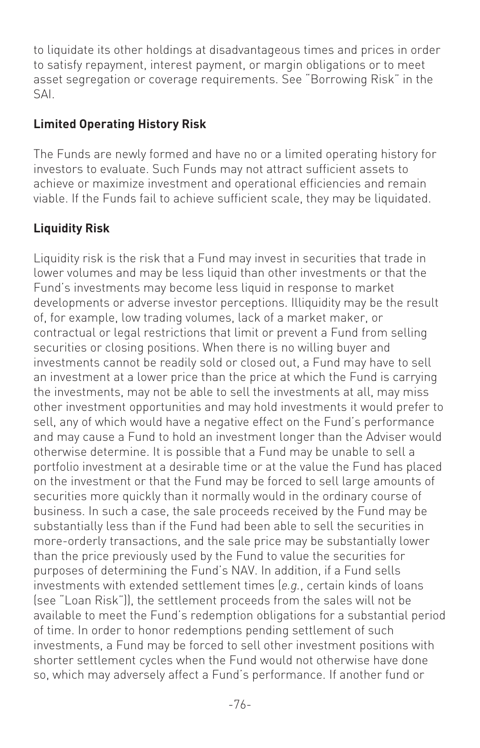to liquidate its other holdings at disadvantageous times and prices in order to satisfy repayment, interest payment, or margin obligations or to meet asset segregation or coverage requirements. See "Borrowing Risk" in the SAI.

#### **Limited Operating History Risk**

The Funds are newly formed and have no or a limited operating history for investors to evaluate. Such Funds may not attract sufficient assets to achieve or maximize investment and operational efficiencies and remain viable. If the Funds fail to achieve sufficient scale, they may be liquidated.

# **Liquidity Risk**

Liquidity risk is the risk that a Fund may invest in securities that trade in lower volumes and may be less liquid than other investments or that the Fund's investments may become less liquid in response to market developments or adverse investor perceptions. Illiquidity may be the result of, for example, low trading volumes, lack of a market maker, or contractual or legal restrictions that limit or prevent a Fund from selling securities or closing positions. When there is no willing buyer and investments cannot be readily sold or closed out, a Fund may have to sell an investment at a lower price than the price at which the Fund is carrying the investments, may not be able to sell the investments at all, may miss other investment opportunities and may hold investments it would prefer to sell, any of which would have a negative effect on the Fund's performance and may cause a Fund to hold an investment longer than the Adviser would otherwise determine. It is possible that a Fund may be unable to sell a portfolio investment at a desirable time or at the value the Fund has placed on the investment or that the Fund may be forced to sell large amounts of securities more quickly than it normally would in the ordinary course of business. In such a case, the sale proceeds received by the Fund may be substantially less than if the Fund had been able to sell the securities in more-orderly transactions, and the sale price may be substantially lower than the price previously used by the Fund to value the securities for purposes of determining the Fund's NAV. In addition, if a Fund sells investments with extended settlement times (*e.g.*, certain kinds of loans (see "Loan Risk")), the settlement proceeds from the sales will not be available to meet the Fund's redemption obligations for a substantial period of time. In order to honor redemptions pending settlement of such investments, a Fund may be forced to sell other investment positions with shorter settlement cycles when the Fund would not otherwise have done so, which may adversely affect a Fund's performance. If another fund or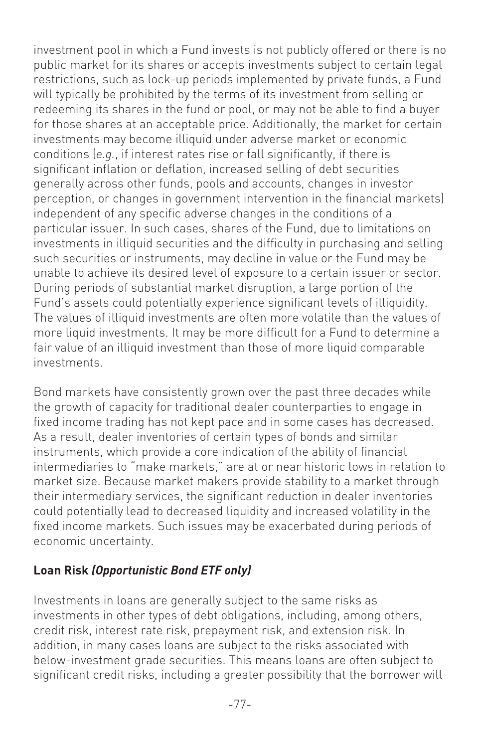investment pool in which a Fund invests is not publicly offered or there is no public market for its shares or accepts investments subject to certain legal restrictions, such as lock-up periods implemented by private funds, a Fund will typically be prohibited by the terms of its investment from selling or redeeming its shares in the fund or pool, or may not be able to find a buyer for those shares at an acceptable price. Additionally, the market for certain investments may become illiquid under adverse market or economic conditions (*e.g.*, if interest rates rise or fall significantly, if there is significant inflation or deflation, increased selling of debt securities generally across other funds, pools and accounts, changes in investor perception, or changes in government intervention in the financial markets) independent of any specific adverse changes in the conditions of a particular issuer. In such cases, shares of the Fund, due to limitations on investments in illiquid securities and the difficulty in purchasing and selling such securities or instruments, may decline in value or the Fund may be unable to achieve its desired level of exposure to a certain issuer or sector. During periods of substantial market disruption, a large portion of the Fund's assets could potentially experience significant levels of illiquidity. The values of illiquid investments are often more volatile than the values of more liquid investments. It may be more difficult for a Fund to determine a fair value of an illiquid investment than those of more liquid comparable investments.

Bond markets have consistently grown over the past three decades while the growth of capacity for traditional dealer counterparties to engage in fixed income trading has not kept pace and in some cases has decreased. As a result, dealer inventories of certain types of bonds and similar instruments, which provide a core indication of the ability of financial intermediaries to "make markets," are at or near historic lows in relation to market size. Because market makers provide stability to a market through their intermediary services, the significant reduction in dealer inventories could potentially lead to decreased liquidity and increased volatility in the fixed income markets. Such issues may be exacerbated during periods of economic uncertainty.

#### **Loan Risk** *(Opportunistic Bond ETF only)*

Investments in loans are generally subject to the same risks as investments in other types of debt obligations, including, among others, credit risk, interest rate risk, prepayment risk, and extension risk. In addition, in many cases loans are subject to the risks associated with below-investment grade securities. This means loans are often subject to significant credit risks, including a greater possibility that the borrower will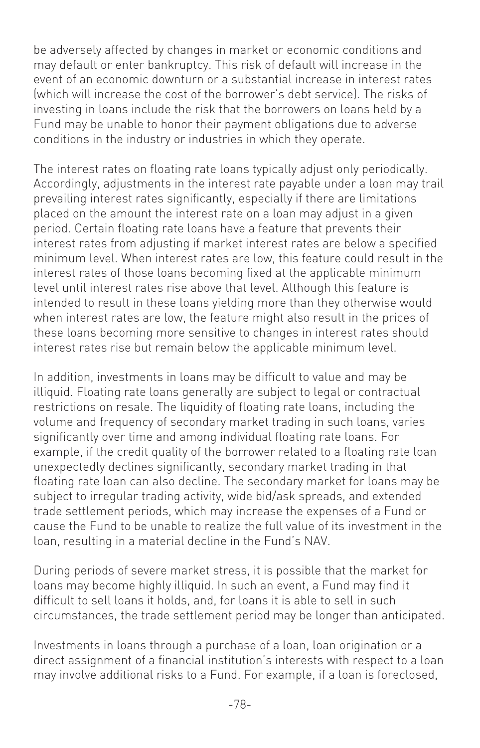be adversely affected by changes in market or economic conditions and may default or enter bankruptcy. This risk of default will increase in the event of an economic downturn or a substantial increase in interest rates (which will increase the cost of the borrower's debt service). The risks of investing in loans include the risk that the borrowers on loans held by a Fund may be unable to honor their payment obligations due to adverse conditions in the industry or industries in which they operate.

The interest rates on floating rate loans typically adjust only periodically. Accordingly, adjustments in the interest rate payable under a loan may trail prevailing interest rates significantly, especially if there are limitations placed on the amount the interest rate on a loan may adjust in a given period. Certain floating rate loans have a feature that prevents their interest rates from adjusting if market interest rates are below a specified minimum level. When interest rates are low, this feature could result in the interest rates of those loans becoming fixed at the applicable minimum level until interest rates rise above that level. Although this feature is intended to result in these loans yielding more than they otherwise would when interest rates are low, the feature might also result in the prices of these loans becoming more sensitive to changes in interest rates should interest rates rise but remain below the applicable minimum level.

In addition, investments in loans may be difficult to value and may be illiquid. Floating rate loans generally are subject to legal or contractual restrictions on resale. The liquidity of floating rate loans, including the volume and frequency of secondary market trading in such loans, varies significantly over time and among individual floating rate loans. For example, if the credit quality of the borrower related to a floating rate loan unexpectedly declines significantly, secondary market trading in that floating rate loan can also decline. The secondary market for loans may be subject to irregular trading activity, wide bid/ask spreads, and extended trade settlement periods, which may increase the expenses of a Fund or cause the Fund to be unable to realize the full value of its investment in the loan, resulting in a material decline in the Fund's NAV.

During periods of severe market stress, it is possible that the market for loans may become highly illiquid. In such an event, a Fund may find it difficult to sell loans it holds, and, for loans it is able to sell in such circumstances, the trade settlement period may be longer than anticipated.

Investments in loans through a purchase of a loan, loan origination or a direct assignment of a financial institution's interests with respect to a loan may involve additional risks to a Fund. For example, if a loan is foreclosed,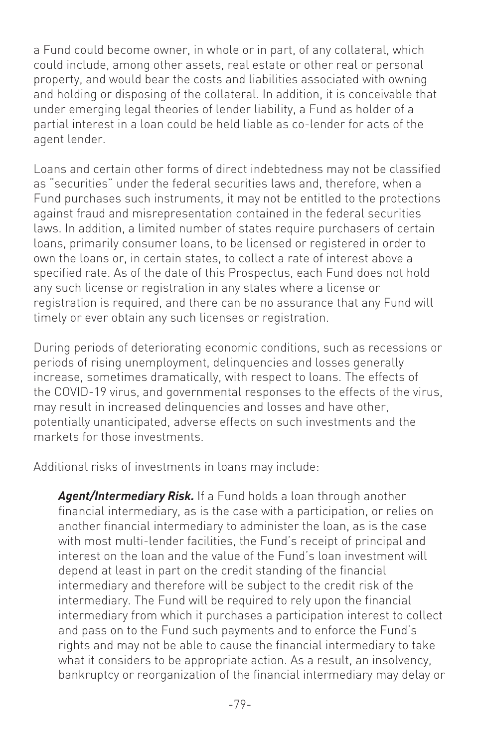a Fund could become owner, in whole or in part, of any collateral, which could include, among other assets, real estate or other real or personal property, and would bear the costs and liabilities associated with owning and holding or disposing of the collateral. In addition, it is conceivable that under emerging legal theories of lender liability, a Fund as holder of a partial interest in a loan could be held liable as co-lender for acts of the agent lender.

Loans and certain other forms of direct indebtedness may not be classified as "securities" under the federal securities laws and, therefore, when a Fund purchases such instruments, it may not be entitled to the protections against fraud and misrepresentation contained in the federal securities laws. In addition, a limited number of states require purchasers of certain loans, primarily consumer loans, to be licensed or registered in order to own the loans or, in certain states, to collect a rate of interest above a specified rate. As of the date of this Prospectus, each Fund does not hold any such license or registration in any states where a license or registration is required, and there can be no assurance that any Fund will timely or ever obtain any such licenses or registration.

During periods of deteriorating economic conditions, such as recessions or periods of rising unemployment, delinquencies and losses generally increase, sometimes dramatically, with respect to loans. The effects of the COVID-19 virus, and governmental responses to the effects of the virus, may result in increased delinquencies and losses and have other, potentially unanticipated, adverse effects on such investments and the markets for those investments.

Additional risks of investments in loans may include:

*Agent/Intermediary Risk.* If a Fund holds a loan through another financial intermediary, as is the case with a participation, or relies on another financial intermediary to administer the loan, as is the case with most multi-lender facilities, the Fund's receipt of principal and interest on the loan and the value of the Fund's loan investment will depend at least in part on the credit standing of the financial intermediary and therefore will be subject to the credit risk of the intermediary. The Fund will be required to rely upon the financial intermediary from which it purchases a participation interest to collect and pass on to the Fund such payments and to enforce the Fund's rights and may not be able to cause the financial intermediary to take what it considers to be appropriate action. As a result, an insolvency, bankruptcy or reorganization of the financial intermediary may delay or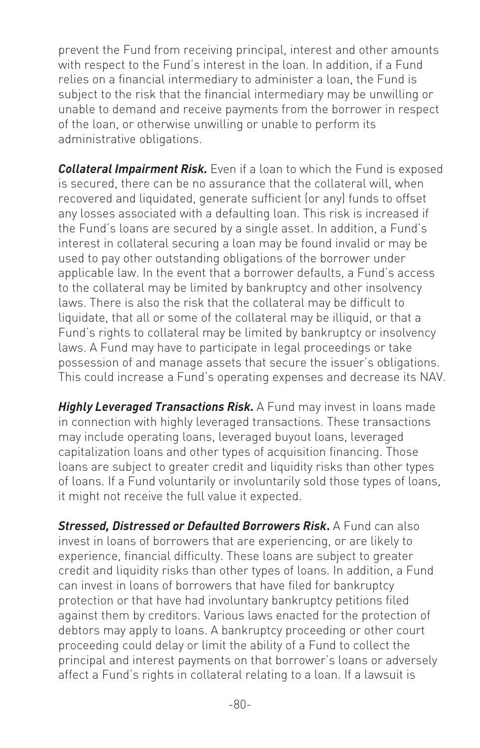prevent the Fund from receiving principal, interest and other amounts with respect to the Fund's interest in the loan. In addition, if a Fund relies on a financial intermediary to administer a loan, the Fund is subject to the risk that the financial intermediary may be unwilling or unable to demand and receive payments from the borrower in respect of the loan, or otherwise unwilling or unable to perform its administrative obligations.

*Collateral Impairment Risk.* Even if a loan to which the Fund is exposed is secured, there can be no assurance that the collateral will, when recovered and liquidated, generate sufficient (or any) funds to offset any losses associated with a defaulting loan. This risk is increased if the Fund's loans are secured by a single asset. In addition, a Fund's interest in collateral securing a loan may be found invalid or may be used to pay other outstanding obligations of the borrower under applicable law. In the event that a borrower defaults, a Fund's access to the collateral may be limited by bankruptcy and other insolvency laws. There is also the risk that the collateral may be difficult to liquidate, that all or some of the collateral may be illiquid, or that a Fund's rights to collateral may be limited by bankruptcy or insolvency laws. A Fund may have to participate in legal proceedings or take possession of and manage assets that secure the issuer's obligations. This could increase a Fund's operating expenses and decrease its NAV.

**Highly Leveraged Transactions Risk.** A Fund may invest in loans made in connection with highly leveraged transactions. These transactions may include operating loans, leveraged buyout loans, leveraged capitalization loans and other types of acquisition financing. Those loans are subject to greater credit and liquidity risks than other types of loans. If a Fund voluntarily or involuntarily sold those types of loans, it might not receive the full value it expected.

*Stressed, Distressed or Defaulted Borrowers Risk***.** A Fund can also invest in loans of borrowers that are experiencing, or are likely to experience, financial difficulty. These loans are subject to greater credit and liquidity risks than other types of loans. In addition, a Fund can invest in loans of borrowers that have filed for bankruptcy protection or that have had involuntary bankruptcy petitions filed against them by creditors. Various laws enacted for the protection of debtors may apply to loans. A bankruptcy proceeding or other court proceeding could delay or limit the ability of a Fund to collect the principal and interest payments on that borrower's loans or adversely affect a Fund's rights in collateral relating to a loan. If a lawsuit is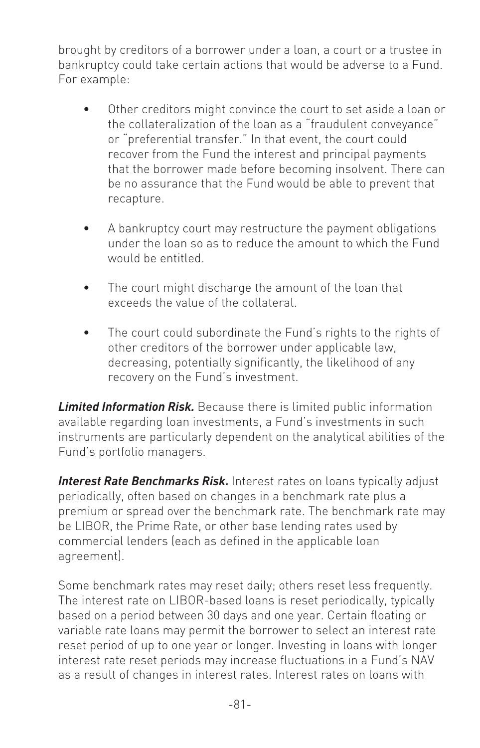brought by creditors of a borrower under a loan, a court or a trustee in bankruptcy could take certain actions that would be adverse to a Fund. For example:

- Other creditors might convince the court to set aside a loan or the collateralization of the loan as a "fraudulent conveyance" or "preferential transfer." In that event, the court could recover from the Fund the interest and principal payments that the borrower made before becoming insolvent. There can be no assurance that the Fund would be able to prevent that recapture.
- A bankruptcy court may restructure the payment obligations under the loan so as to reduce the amount to which the Fund would be entitled.
- The court might discharge the amount of the loan that exceeds the value of the collateral.
- The court could subordinate the Fund's rights to the rights of other creditors of the borrower under applicable law, decreasing, potentially significantly, the likelihood of any recovery on the Fund's investment.

*Limited Information Risk.* Because there is limited public information available regarding loan investments, a Fund's investments in such instruments are particularly dependent on the analytical abilities of the Fund's portfolio managers.

**Interest Rate Benchmarks Risk.** Interest rates on loans typically adjust periodically, often based on changes in a benchmark rate plus a premium or spread over the benchmark rate. The benchmark rate may be LIBOR, the Prime Rate, or other base lending rates used by commercial lenders (each as defined in the applicable loan agreement).

Some benchmark rates may reset daily; others reset less frequently. The interest rate on LIBOR-based loans is reset periodically, typically based on a period between 30 days and one year. Certain floating or variable rate loans may permit the borrower to select an interest rate reset period of up to one year or longer. Investing in loans with longer interest rate reset periods may increase fluctuations in a Fund's NAV as a result of changes in interest rates. Interest rates on loans with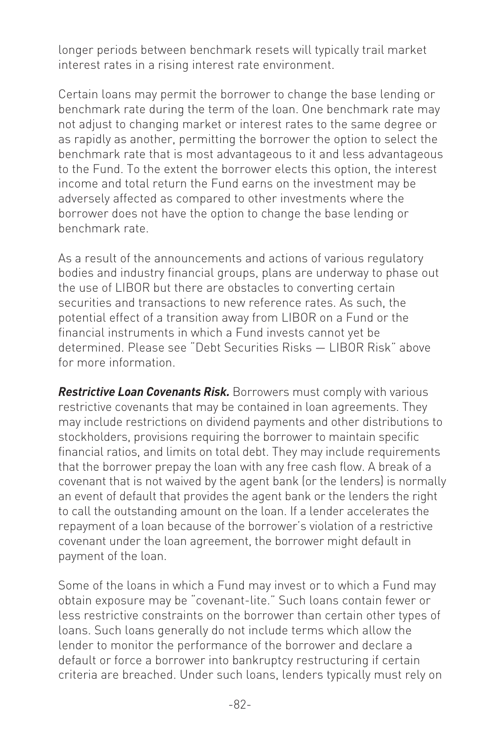longer periods between benchmark resets will typically trail market interest rates in a rising interest rate environment.

Certain loans may permit the borrower to change the base lending or benchmark rate during the term of the loan. One benchmark rate may not adjust to changing market or interest rates to the same degree or as rapidly as another, permitting the borrower the option to select the benchmark rate that is most advantageous to it and less advantageous to the Fund. To the extent the borrower elects this option, the interest income and total return the Fund earns on the investment may be adversely affected as compared to other investments where the borrower does not have the option to change the base lending or benchmark rate.

As a result of the announcements and actions of various regulatory bodies and industry financial groups, plans are underway to phase out the use of LIBOR but there are obstacles to converting certain securities and transactions to new reference rates. As such, the potential effect of a transition away from LIBOR on a Fund or the financial instruments in which a Fund invests cannot yet be determined. Please see "Debt Securities Risks — LIBOR Risk" above for more information.

*Restrictive Loan Covenants Risk.* Borrowers must comply with various restrictive covenants that may be contained in loan agreements. They may include restrictions on dividend payments and other distributions to stockholders, provisions requiring the borrower to maintain specific financial ratios, and limits on total debt. They may include requirements that the borrower prepay the loan with any free cash flow. A break of a covenant that is not waived by the agent bank (or the lenders) is normally an event of default that provides the agent bank or the lenders the right to call the outstanding amount on the loan. If a lender accelerates the repayment of a loan because of the borrower's violation of a restrictive covenant under the loan agreement, the borrower might default in payment of the loan.

Some of the loans in which a Fund may invest or to which a Fund may obtain exposure may be "covenant-lite." Such loans contain fewer or less restrictive constraints on the borrower than certain other types of loans. Such loans generally do not include terms which allow the lender to monitor the performance of the borrower and declare a default or force a borrower into bankruptcy restructuring if certain criteria are breached. Under such loans, lenders typically must rely on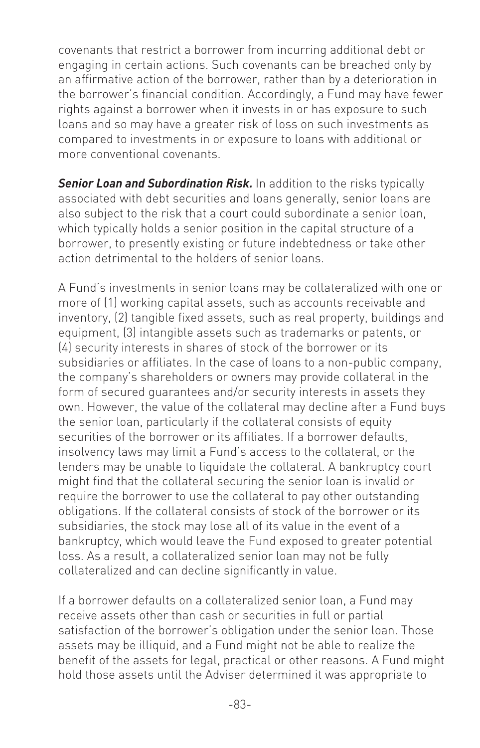covenants that restrict a borrower from incurring additional debt or engaging in certain actions. Such covenants can be breached only by an affirmative action of the borrower, rather than by a deterioration in the borrower's financial condition. Accordingly, a Fund may have fewer rights against a borrower when it invests in or has exposure to such loans and so may have a greater risk of loss on such investments as compared to investments in or exposure to loans with additional or more conventional covenants.

**Senior Loan and Subordination Risk.** In addition to the risks typically associated with debt securities and loans generally, senior loans are also subject to the risk that a court could subordinate a senior loan, which typically holds a senior position in the capital structure of a borrower, to presently existing or future indebtedness or take other action detrimental to the holders of senior loans.

A Fund's investments in senior loans may be collateralized with one or more of (1) working capital assets, such as accounts receivable and inventory, (2) tangible fixed assets, such as real property, buildings and equipment, (3) intangible assets such as trademarks or patents, or (4) security interests in shares of stock of the borrower or its subsidiaries or affiliates. In the case of loans to a non-public company, the company's shareholders or owners may provide collateral in the form of secured guarantees and/or security interests in assets they own. However, the value of the collateral may decline after a Fund buys the senior loan, particularly if the collateral consists of equity securities of the borrower or its affiliates. If a borrower defaults, insolvency laws may limit a Fund's access to the collateral, or the lenders may be unable to liquidate the collateral. A bankruptcy court might find that the collateral securing the senior loan is invalid or require the borrower to use the collateral to pay other outstanding obligations. If the collateral consists of stock of the borrower or its subsidiaries, the stock may lose all of its value in the event of a bankruptcy, which would leave the Fund exposed to greater potential loss. As a result, a collateralized senior loan may not be fully collateralized and can decline significantly in value.

If a borrower defaults on a collateralized senior loan, a Fund may receive assets other than cash or securities in full or partial satisfaction of the borrower's obligation under the senior loan. Those assets may be illiquid, and a Fund might not be able to realize the benefit of the assets for legal, practical or other reasons. A Fund might hold those assets until the Adviser determined it was appropriate to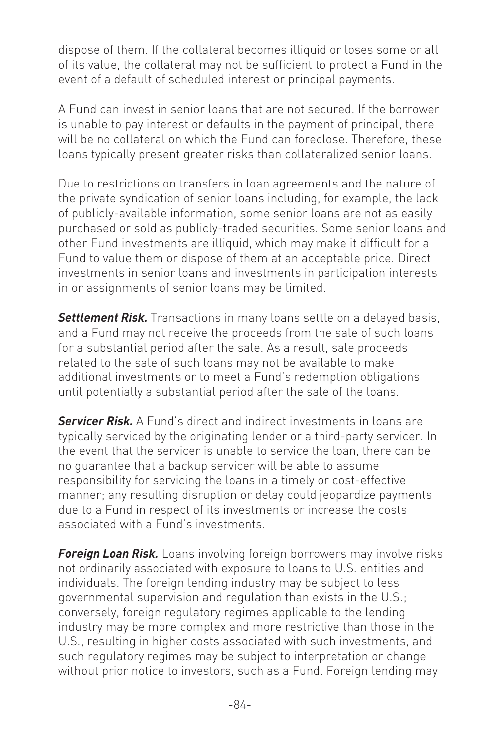dispose of them. If the collateral becomes illiquid or loses some or all of its value, the collateral may not be sufficient to protect a Fund in the event of a default of scheduled interest or principal payments.

A Fund can invest in senior loans that are not secured. If the borrower is unable to pay interest or defaults in the payment of principal, there will be no collateral on which the Fund can foreclose. Therefore, these loans typically present greater risks than collateralized senior loans.

Due to restrictions on transfers in loan agreements and the nature of the private syndication of senior loans including, for example, the lack of publicly-available information, some senior loans are not as easily purchased or sold as publicly-traded securities. Some senior loans and other Fund investments are illiquid, which may make it difficult for a Fund to value them or dispose of them at an acceptable price. Direct investments in senior loans and investments in participation interests in or assignments of senior loans may be limited.

**Settlement Risk.** Transactions in many loans settle on a delayed basis, and a Fund may not receive the proceeds from the sale of such loans for a substantial period after the sale. As a result, sale proceeds related to the sale of such loans may not be available to make additional investments or to meet a Fund's redemption obligations until potentially a substantial period after the sale of the loans.

*Servicer Risk.* A Fund's direct and indirect investments in loans are typically serviced by the originating lender or a third-party servicer. In the event that the servicer is unable to service the loan, there can be no guarantee that a backup servicer will be able to assume responsibility for servicing the loans in a timely or cost-effective manner; any resulting disruption or delay could jeopardize payments due to a Fund in respect of its investments or increase the costs associated with a Fund's investments.

*Foreign Loan Risk.* Loans involving foreign borrowers may involve risks not ordinarily associated with exposure to loans to U.S. entities and individuals. The foreign lending industry may be subject to less governmental supervision and regulation than exists in the U.S.; conversely, foreign regulatory regimes applicable to the lending industry may be more complex and more restrictive than those in the U.S., resulting in higher costs associated with such investments, and such regulatory regimes may be subject to interpretation or change without prior notice to investors, such as a Fund. Foreign lending may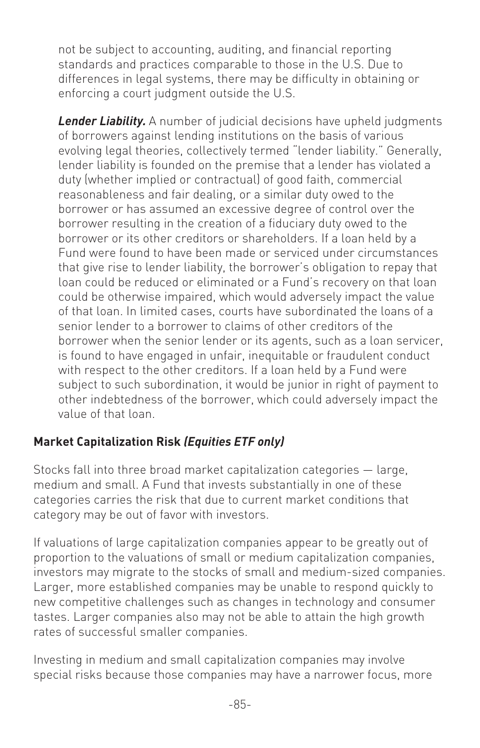not be subject to accounting, auditing, and financial reporting standards and practices comparable to those in the U.S. Due to differences in legal systems, there may be difficulty in obtaining or enforcing a court judgment outside the U.S.

*Lender Liability.* A number of judicial decisions have upheld judgments of borrowers against lending institutions on the basis of various evolving legal theories, collectively termed "lender liability." Generally, lender liability is founded on the premise that a lender has violated a duty (whether implied or contractual) of good faith, commercial reasonableness and fair dealing, or a similar duty owed to the borrower or has assumed an excessive degree of control over the borrower resulting in the creation of a fiduciary duty owed to the borrower or its other creditors or shareholders. If a loan held by a Fund were found to have been made or serviced under circumstances that give rise to lender liability, the borrower's obligation to repay that loan could be reduced or eliminated or a Fund's recovery on that loan could be otherwise impaired, which would adversely impact the value of that loan. In limited cases, courts have subordinated the loans of a senior lender to a borrower to claims of other creditors of the borrower when the senior lender or its agents, such as a loan servicer, is found to have engaged in unfair, inequitable or fraudulent conduct with respect to the other creditors. If a loan held by a Fund were subject to such subordination, it would be junior in right of payment to other indebtedness of the borrower, which could adversely impact the value of that loan.

# **Market Capitalization Risk** *(Equities ETF only)*

Stocks fall into three broad market capitalization categories — large, medium and small. A Fund that invests substantially in one of these categories carries the risk that due to current market conditions that category may be out of favor with investors.

If valuations of large capitalization companies appear to be greatly out of proportion to the valuations of small or medium capitalization companies, investors may migrate to the stocks of small and medium-sized companies. Larger, more established companies may be unable to respond quickly to new competitive challenges such as changes in technology and consumer tastes. Larger companies also may not be able to attain the high growth rates of successful smaller companies.

Investing in medium and small capitalization companies may involve special risks because those companies may have a narrower focus, more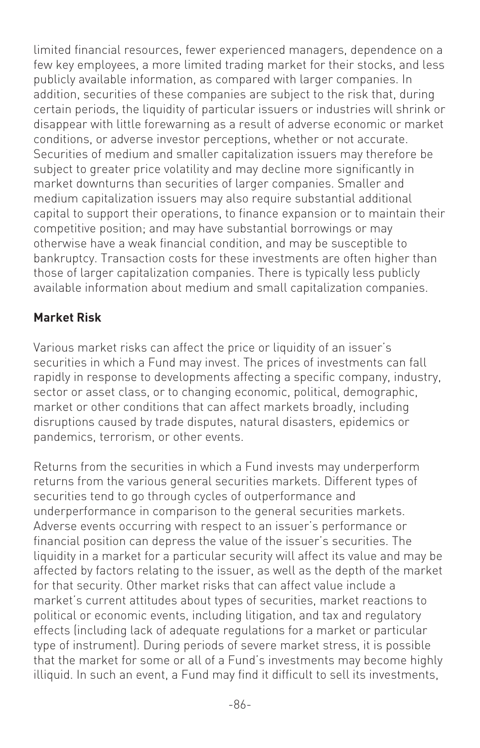limited financial resources, fewer experienced managers, dependence on a few key employees, a more limited trading market for their stocks, and less publicly available information, as compared with larger companies. In addition, securities of these companies are subject to the risk that, during certain periods, the liquidity of particular issuers or industries will shrink or disappear with little forewarning as a result of adverse economic or market conditions, or adverse investor perceptions, whether or not accurate. Securities of medium and smaller capitalization issuers may therefore be subject to greater price volatility and may decline more significantly in market downturns than securities of larger companies. Smaller and medium capitalization issuers may also require substantial additional capital to support their operations, to finance expansion or to maintain their competitive position; and may have substantial borrowings or may otherwise have a weak financial condition, and may be susceptible to bankruptcy. Transaction costs for these investments are often higher than those of larger capitalization companies. There is typically less publicly available information about medium and small capitalization companies.

#### **Market Risk**

Various market risks can affect the price or liquidity of an issuer's securities in which a Fund may invest. The prices of investments can fall rapidly in response to developments affecting a specific company, industry, sector or asset class, or to changing economic, political, demographic, market or other conditions that can affect markets broadly, including disruptions caused by trade disputes, natural disasters, epidemics or pandemics, terrorism, or other events.

Returns from the securities in which a Fund invests may underperform returns from the various general securities markets. Different types of securities tend to go through cycles of outperformance and underperformance in comparison to the general securities markets. Adverse events occurring with respect to an issuer's performance or financial position can depress the value of the issuer's securities. The liquidity in a market for a particular security will affect its value and may be affected by factors relating to the issuer, as well as the depth of the market for that security. Other market risks that can affect value include a market's current attitudes about types of securities, market reactions to political or economic events, including litigation, and tax and regulatory effects (including lack of adequate regulations for a market or particular type of instrument). During periods of severe market stress, it is possible that the market for some or all of a Fund's investments may become highly illiquid. In such an event, a Fund may find it difficult to sell its investments,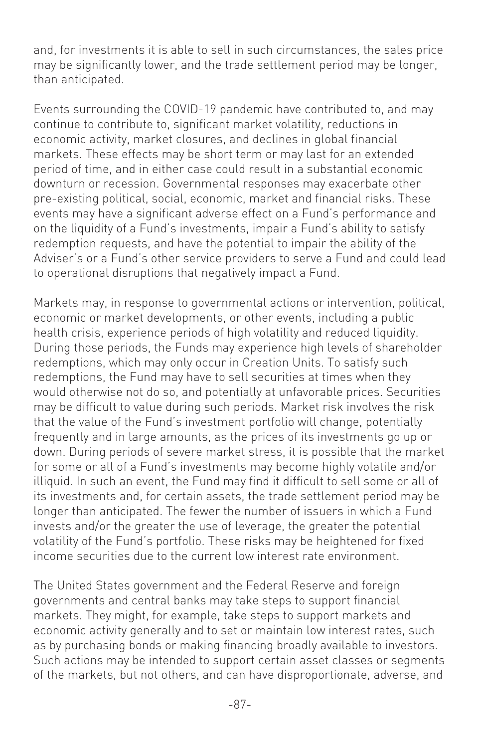and, for investments it is able to sell in such circumstances, the sales price may be significantly lower, and the trade settlement period may be longer, than anticipated.

Events surrounding the COVID-19 pandemic have contributed to, and may continue to contribute to, significant market volatility, reductions in economic activity, market closures, and declines in global financial markets. These effects may be short term or may last for an extended period of time, and in either case could result in a substantial economic downturn or recession. Governmental responses may exacerbate other pre-existing political, social, economic, market and financial risks. These events may have a significant adverse effect on a Fund's performance and on the liquidity of a Fund's investments, impair a Fund's ability to satisfy redemption requests, and have the potential to impair the ability of the Adviser's or a Fund's other service providers to serve a Fund and could lead to operational disruptions that negatively impact a Fund.

Markets may, in response to governmental actions or intervention, political, economic or market developments, or other events, including a public health crisis, experience periods of high volatility and reduced liquidity. During those periods, the Funds may experience high levels of shareholder redemptions, which may only occur in Creation Units. To satisfy such redemptions, the Fund may have to sell securities at times when they would otherwise not do so, and potentially at unfavorable prices. Securities may be difficult to value during such periods. Market risk involves the risk that the value of the Fund's investment portfolio will change, potentially frequently and in large amounts, as the prices of its investments go up or down. During periods of severe market stress, it is possible that the market for some or all of a Fund's investments may become highly volatile and/or illiquid. In such an event, the Fund may find it difficult to sell some or all of its investments and, for certain assets, the trade settlement period may be longer than anticipated. The fewer the number of issuers in which a Fund invests and/or the greater the use of leverage, the greater the potential volatility of the Fund's portfolio. These risks may be heightened for fixed income securities due to the current low interest rate environment.

The United States government and the Federal Reserve and foreign governments and central banks may take steps to support financial markets. They might, for example, take steps to support markets and economic activity generally and to set or maintain low interest rates, such as by purchasing bonds or making financing broadly available to investors. Such actions may be intended to support certain asset classes or segments of the markets, but not others, and can have disproportionate, adverse, and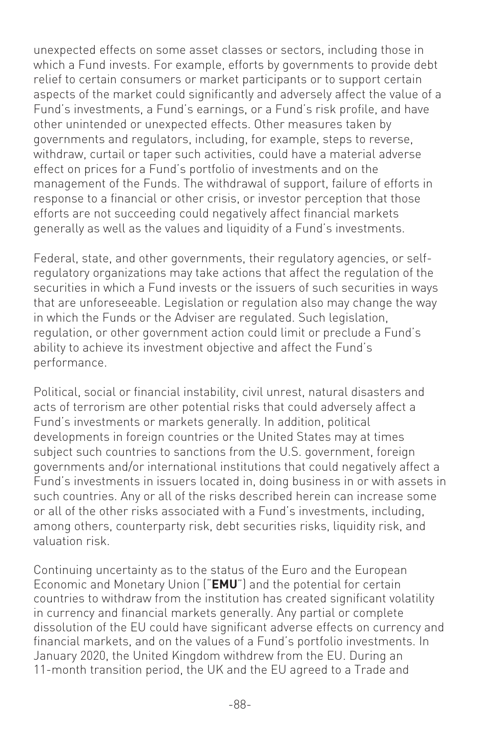unexpected effects on some asset classes or sectors, including those in which a Fund invests. For example, efforts by governments to provide debt relief to certain consumers or market participants or to support certain aspects of the market could significantly and adversely affect the value of a Fund's investments, a Fund's earnings, or a Fund's risk profile, and have other unintended or unexpected effects. Other measures taken by governments and regulators, including, for example, steps to reverse, withdraw, curtail or taper such activities, could have a material adverse effect on prices for a Fund's portfolio of investments and on the management of the Funds. The withdrawal of support, failure of efforts in response to a financial or other crisis, or investor perception that those efforts are not succeeding could negatively affect financial markets generally as well as the values and liquidity of a Fund's investments.

Federal, state, and other governments, their regulatory agencies, or selfregulatory organizations may take actions that affect the regulation of the securities in which a Fund invests or the issuers of such securities in ways that are unforeseeable. Legislation or regulation also may change the way in which the Funds or the Adviser are regulated. Such legislation, regulation, or other government action could limit or preclude a Fund's ability to achieve its investment objective and affect the Fund's performance.

Political, social or financial instability, civil unrest, natural disasters and acts of terrorism are other potential risks that could adversely affect a Fund's investments or markets generally. In addition, political developments in foreign countries or the United States may at times subject such countries to sanctions from the U.S. government, foreign governments and/or international institutions that could negatively affect a Fund's investments in issuers located in, doing business in or with assets in such countries. Any or all of the risks described herein can increase some or all of the other risks associated with a Fund's investments, including, among others, counterparty risk, debt securities risks, liquidity risk, and valuation risk.

Continuing uncertainty as to the status of the Euro and the European Economic and Monetary Union ("**EMU**") and the potential for certain countries to withdraw from the institution has created significant volatility in currency and financial markets generally. Any partial or complete dissolution of the EU could have significant adverse effects on currency and financial markets, and on the values of a Fund's portfolio investments. In January 2020, the United Kingdom withdrew from the EU. During an 11-month transition period, the UK and the EU agreed to a Trade and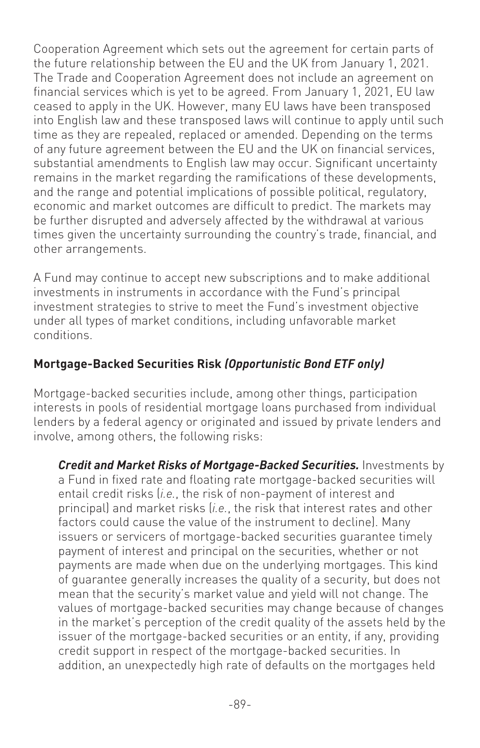Cooperation Agreement which sets out the agreement for certain parts of the future relationship between the EU and the UK from January 1, 2021. The Trade and Cooperation Agreement does not include an agreement on financial services which is yet to be agreed. From January 1, 2021, EU law ceased to apply in the UK. However, many EU laws have been transposed into English law and these transposed laws will continue to apply until such time as they are repealed, replaced or amended. Depending on the terms of any future agreement between the EU and the UK on financial services, substantial amendments to English law may occur. Significant uncertainty remains in the market regarding the ramifications of these developments, and the range and potential implications of possible political, regulatory, economic and market outcomes are difficult to predict. The markets may be further disrupted and adversely affected by the withdrawal at various times given the uncertainty surrounding the country's trade, financial, and other arrangements.

A Fund may continue to accept new subscriptions and to make additional investments in instruments in accordance with the Fund's principal investment strategies to strive to meet the Fund's investment objective under all types of market conditions, including unfavorable market conditions.

#### **Mortgage-Backed Securities Risk** *(Opportunistic Bond ETF only)*

Mortgage-backed securities include, among other things, participation interests in pools of residential mortgage loans purchased from individual lenders by a federal agency or originated and issued by private lenders and involve, among others, the following risks:

*Credit and Market Risks of Mortgage-Backed Securities.* Investments by a Fund in fixed rate and floating rate mortgage-backed securities will entail credit risks (*i.e.*, the risk of non-payment of interest and principal) and market risks (*i.e.*, the risk that interest rates and other factors could cause the value of the instrument to decline). Many issuers or servicers of mortgage-backed securities guarantee timely payment of interest and principal on the securities, whether or not payments are made when due on the underlying mortgages. This kind of guarantee generally increases the quality of a security, but does not mean that the security's market value and yield will not change. The values of mortgage-backed securities may change because of changes in the market's perception of the credit quality of the assets held by the issuer of the mortgage-backed securities or an entity, if any, providing credit support in respect of the mortgage-backed securities. In addition, an unexpectedly high rate of defaults on the mortgages held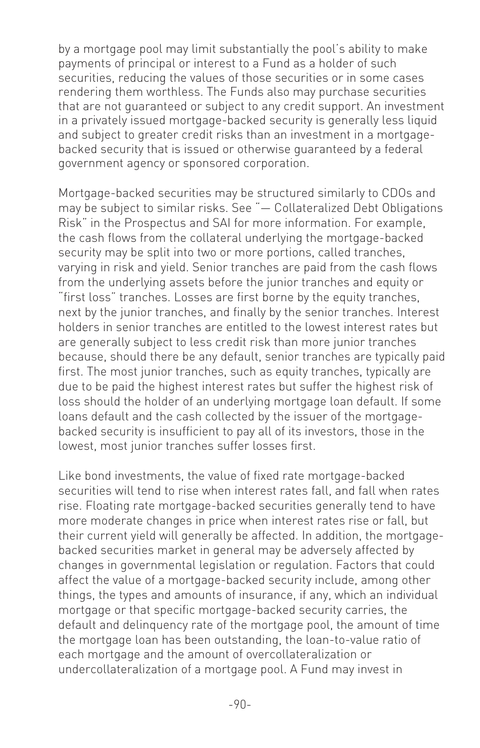by a mortgage pool may limit substantially the pool's ability to make payments of principal or interest to a Fund as a holder of such securities, reducing the values of those securities or in some cases rendering them worthless. The Funds also may purchase securities that are not guaranteed or subject to any credit support. An investment in a privately issued mortgage-backed security is generally less liquid and subject to greater credit risks than an investment in a mortgagebacked security that is issued or otherwise guaranteed by a federal government agency or sponsored corporation.

Mortgage-backed securities may be structured similarly to CDOs and may be subject to similar risks. See "— Collateralized Debt Obligations Risk" in the Prospectus and SAI for more information. For example, the cash flows from the collateral underlying the mortgage-backed security may be split into two or more portions, called tranches, varying in risk and yield. Senior tranches are paid from the cash flows from the underlying assets before the junior tranches and equity or "first loss" tranches. Losses are first borne by the equity tranches, next by the junior tranches, and finally by the senior tranches. Interest holders in senior tranches are entitled to the lowest interest rates but are generally subject to less credit risk than more junior tranches because, should there be any default, senior tranches are typically paid first. The most junior tranches, such as equity tranches, typically are due to be paid the highest interest rates but suffer the highest risk of loss should the holder of an underlying mortgage loan default. If some loans default and the cash collected by the issuer of the mortgagebacked security is insufficient to pay all of its investors, those in the lowest, most junior tranches suffer losses first.

Like bond investments, the value of fixed rate mortgage-backed securities will tend to rise when interest rates fall, and fall when rates rise. Floating rate mortgage-backed securities generally tend to have more moderate changes in price when interest rates rise or fall, but their current yield will generally be affected. In addition, the mortgagebacked securities market in general may be adversely affected by changes in governmental legislation or regulation. Factors that could affect the value of a mortgage-backed security include, among other things, the types and amounts of insurance, if any, which an individual mortgage or that specific mortgage-backed security carries, the default and delinquency rate of the mortgage pool, the amount of time the mortgage loan has been outstanding, the loan-to-value ratio of each mortgage and the amount of overcollateralization or undercollateralization of a mortgage pool. A Fund may invest in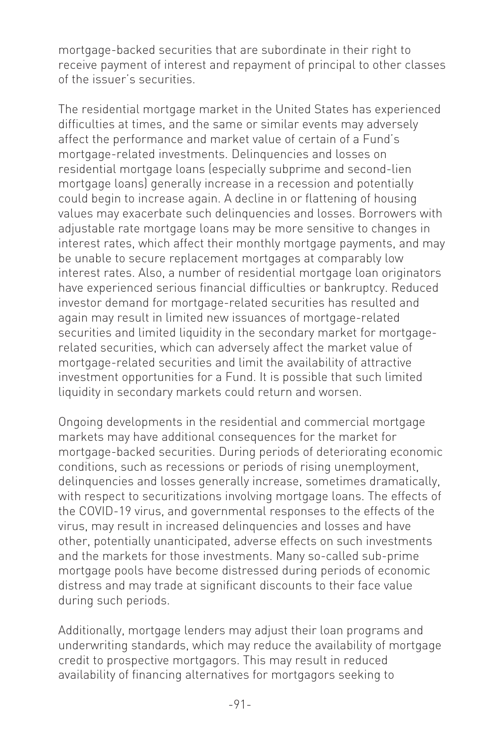mortgage-backed securities that are subordinate in their right to receive payment of interest and repayment of principal to other classes of the issuer's securities.

The residential mortgage market in the United States has experienced difficulties at times, and the same or similar events may adversely affect the performance and market value of certain of a Fund's mortgage-related investments. Delinquencies and losses on residential mortgage loans (especially subprime and second-lien mortgage loans) generally increase in a recession and potentially could begin to increase again. A decline in or flattening of housing values may exacerbate such delinquencies and losses. Borrowers with adjustable rate mortgage loans may be more sensitive to changes in interest rates, which affect their monthly mortgage payments, and may be unable to secure replacement mortgages at comparably low interest rates. Also, a number of residential mortgage loan originators have experienced serious financial difficulties or bankruptcy. Reduced investor demand for mortgage-related securities has resulted and again may result in limited new issuances of mortgage-related securities and limited liquidity in the secondary market for mortgagerelated securities, which can adversely affect the market value of mortgage-related securities and limit the availability of attractive investment opportunities for a Fund. It is possible that such limited liquidity in secondary markets could return and worsen.

Ongoing developments in the residential and commercial mortgage markets may have additional consequences for the market for mortgage-backed securities. During periods of deteriorating economic conditions, such as recessions or periods of rising unemployment, delinquencies and losses generally increase, sometimes dramatically, with respect to securitizations involving mortgage loans. The effects of the COVID-19 virus, and governmental responses to the effects of the virus, may result in increased delinquencies and losses and have other, potentially unanticipated, adverse effects on such investments and the markets for those investments. Many so-called sub-prime mortgage pools have become distressed during periods of economic distress and may trade at significant discounts to their face value during such periods.

Additionally, mortgage lenders may adjust their loan programs and underwriting standards, which may reduce the availability of mortgage credit to prospective mortgagors. This may result in reduced availability of financing alternatives for mortgagors seeking to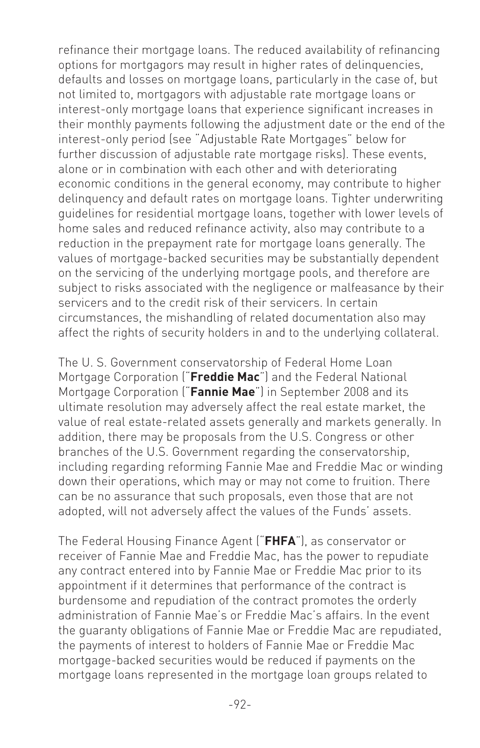refinance their mortgage loans. The reduced availability of refinancing options for mortgagors may result in higher rates of delinquencies, defaults and losses on mortgage loans, particularly in the case of, but not limited to, mortgagors with adjustable rate mortgage loans or interest-only mortgage loans that experience significant increases in their monthly payments following the adjustment date or the end of the interest-only period (see "Adjustable Rate Mortgages" below for further discussion of adjustable rate mortgage risks). These events, alone or in combination with each other and with deteriorating economic conditions in the general economy, may contribute to higher delinquency and default rates on mortgage loans. Tighter underwriting guidelines for residential mortgage loans, together with lower levels of home sales and reduced refinance activity, also may contribute to a reduction in the prepayment rate for mortgage loans generally. The values of mortgage-backed securities may be substantially dependent on the servicing of the underlying mortgage pools, and therefore are subject to risks associated with the negligence or malfeasance by their servicers and to the credit risk of their servicers. In certain circumstances, the mishandling of related documentation also may affect the rights of security holders in and to the underlying collateral.

The U. S. Government conservatorship of Federal Home Loan Mortgage Corporation ("**Freddie Mac**") and the Federal National Mortgage Corporation ("**Fannie Mae**") in September 2008 and its ultimate resolution may adversely affect the real estate market, the value of real estate-related assets generally and markets generally. In addition, there may be proposals from the U.S. Congress or other branches of the U.S. Government regarding the conservatorship, including regarding reforming Fannie Mae and Freddie Mac or winding down their operations, which may or may not come to fruition. There can be no assurance that such proposals, even those that are not adopted, will not adversely affect the values of the Funds' assets.

The Federal Housing Finance Agent ("**FHFA**"), as conservator or receiver of Fannie Mae and Freddie Mac, has the power to repudiate any contract entered into by Fannie Mae or Freddie Mac prior to its appointment if it determines that performance of the contract is burdensome and repudiation of the contract promotes the orderly administration of Fannie Mae's or Freddie Mac's affairs. In the event the guaranty obligations of Fannie Mae or Freddie Mac are repudiated, the payments of interest to holders of Fannie Mae or Freddie Mac mortgage-backed securities would be reduced if payments on the mortgage loans represented in the mortgage loan groups related to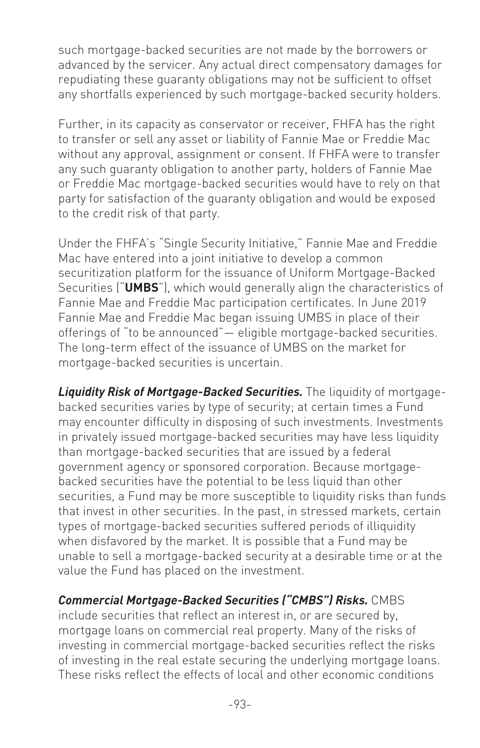such mortgage-backed securities are not made by the borrowers or advanced by the servicer. Any actual direct compensatory damages for repudiating these guaranty obligations may not be sufficient to offset any shortfalls experienced by such mortgage-backed security holders.

Further, in its capacity as conservator or receiver, FHFA has the right to transfer or sell any asset or liability of Fannie Mae or Freddie Mac without any approval, assignment or consent. If FHFA were to transfer any such guaranty obligation to another party, holders of Fannie Mae or Freddie Mac mortgage-backed securities would have to rely on that party for satisfaction of the guaranty obligation and would be exposed to the credit risk of that party.

Under the FHFA's "Single Security Initiative," Fannie Mae and Freddie Mac have entered into a joint initiative to develop a common securitization platform for the issuance of Uniform Mortgage-Backed Securities ("**UMBS**"), which would generally align the characteristics of Fannie Mae and Freddie Mac participation certificates. In June 2019 Fannie Mae and Freddie Mac began issuing UMBS in place of their offerings of "to be announced"— eligible mortgage-backed securities. The long-term effect of the issuance of UMBS on the market for mortgage-backed securities is uncertain.

*Liquidity Risk of Mortgage-Backed Securities.* The liquidity of mortgagebacked securities varies by type of security; at certain times a Fund may encounter difficulty in disposing of such investments. Investments in privately issued mortgage-backed securities may have less liquidity than mortgage-backed securities that are issued by a federal government agency or sponsored corporation. Because mortgagebacked securities have the potential to be less liquid than other securities, a Fund may be more susceptible to liquidity risks than funds that invest in other securities. In the past, in stressed markets, certain types of mortgage-backed securities suffered periods of illiquidity when disfavored by the market. It is possible that a Fund may be unable to sell a mortgage-backed security at a desirable time or at the value the Fund has placed on the investment.

#### *Commercial Mortgage-Backed Securities ("CMBS") Risks.* CMBS

include securities that reflect an interest in, or are secured by, mortgage loans on commercial real property. Many of the risks of investing in commercial mortgage-backed securities reflect the risks of investing in the real estate securing the underlying mortgage loans. These risks reflect the effects of local and other economic conditions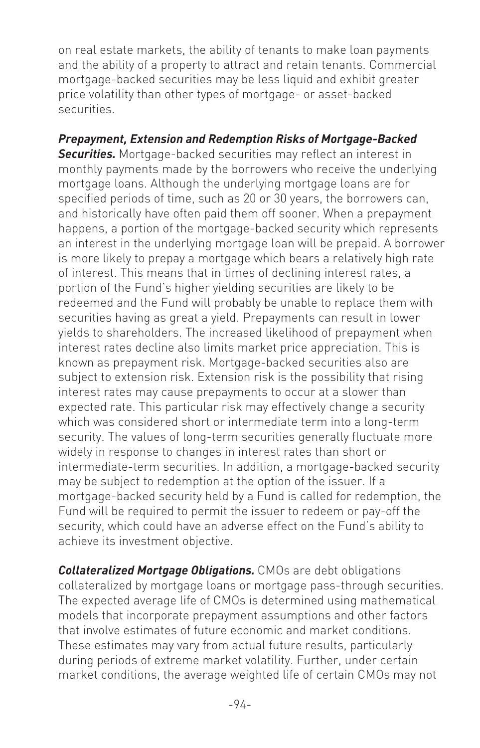on real estate markets, the ability of tenants to make loan payments and the ability of a property to attract and retain tenants. Commercial mortgage-backed securities may be less liquid and exhibit greater price volatility than other types of mortgage- or asset-backed securities.

*Prepayment, Extension and Redemption Risks of Mortgage-Backed Securities.* Mortgage-backed securities may reflect an interest in monthly payments made by the borrowers who receive the underlying mortgage loans. Although the underlying mortgage loans are for specified periods of time, such as 20 or 30 years, the borrowers can, and historically have often paid them off sooner. When a prepayment happens, a portion of the mortgage-backed security which represents an interest in the underlying mortgage loan will be prepaid. A borrower is more likely to prepay a mortgage which bears a relatively high rate of interest. This means that in times of declining interest rates, a portion of the Fund's higher yielding securities are likely to be redeemed and the Fund will probably be unable to replace them with securities having as great a yield. Prepayments can result in lower yields to shareholders. The increased likelihood of prepayment when interest rates decline also limits market price appreciation. This is known as prepayment risk. Mortgage-backed securities also are subject to extension risk. Extension risk is the possibility that rising interest rates may cause prepayments to occur at a slower than expected rate. This particular risk may effectively change a security which was considered short or intermediate term into a long-term security. The values of long-term securities generally fluctuate more widely in response to changes in interest rates than short or intermediate-term securities. In addition, a mortgage-backed security may be subject to redemption at the option of the issuer. If a mortgage-backed security held by a Fund is called for redemption, the Fund will be required to permit the issuer to redeem or pay-off the security, which could have an adverse effect on the Fund's ability to achieve its investment objective.

*Collateralized Mortgage Obligations.* CMOs are debt obligations collateralized by mortgage loans or mortgage pass-through securities. The expected average life of CMOs is determined using mathematical models that incorporate prepayment assumptions and other factors that involve estimates of future economic and market conditions. These estimates may vary from actual future results, particularly during periods of extreme market volatility. Further, under certain market conditions, the average weighted life of certain CMOs may not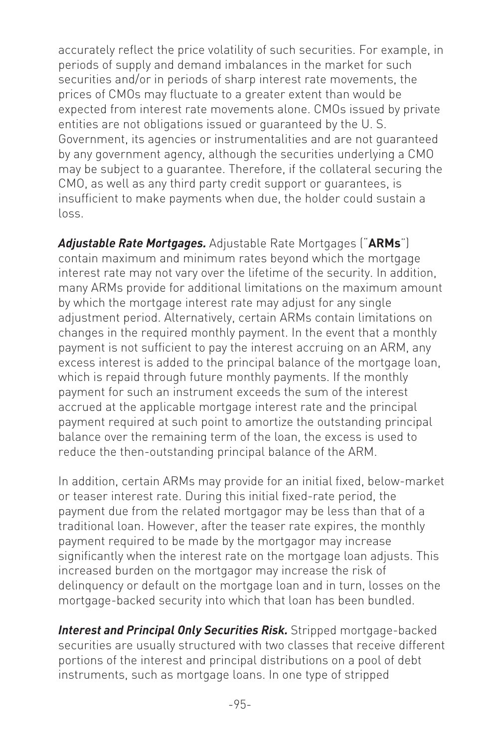accurately reflect the price volatility of such securities. For example, in periods of supply and demand imbalances in the market for such securities and/or in periods of sharp interest rate movements, the prices of CMOs may fluctuate to a greater extent than would be expected from interest rate movements alone. CMOs issued by private entities are not obligations issued or guaranteed by the U. S. Government, its agencies or instrumentalities and are not guaranteed by any government agency, although the securities underlying a CMO may be subject to a guarantee. Therefore, if the collateral securing the CMO, as well as any third party credit support or guarantees, is insufficient to make payments when due, the holder could sustain a loss.

*Adjustable Rate Mortgages.* Adjustable Rate Mortgages ("**ARMs**") contain maximum and minimum rates beyond which the mortgage interest rate may not vary over the lifetime of the security. In addition, many ARMs provide for additional limitations on the maximum amount by which the mortgage interest rate may adjust for any single adjustment period. Alternatively, certain ARMs contain limitations on changes in the required monthly payment. In the event that a monthly payment is not sufficient to pay the interest accruing on an ARM, any excess interest is added to the principal balance of the mortgage loan, which is repaid through future monthly payments. If the monthly payment for such an instrument exceeds the sum of the interest accrued at the applicable mortgage interest rate and the principal payment required at such point to amortize the outstanding principal balance over the remaining term of the loan, the excess is used to reduce the then-outstanding principal balance of the ARM.

In addition, certain ARMs may provide for an initial fixed, below-market or teaser interest rate. During this initial fixed-rate period, the payment due from the related mortgagor may be less than that of a traditional loan. However, after the teaser rate expires, the monthly payment required to be made by the mortgagor may increase significantly when the interest rate on the mortgage loan adjusts. This increased burden on the mortgagor may increase the risk of delinquency or default on the mortgage loan and in turn, losses on the mortgage-backed security into which that loan has been bundled.

*Interest and Principal Only Securities Risk.* Stripped mortgage-backed securities are usually structured with two classes that receive different portions of the interest and principal distributions on a pool of debt instruments, such as mortgage loans. In one type of stripped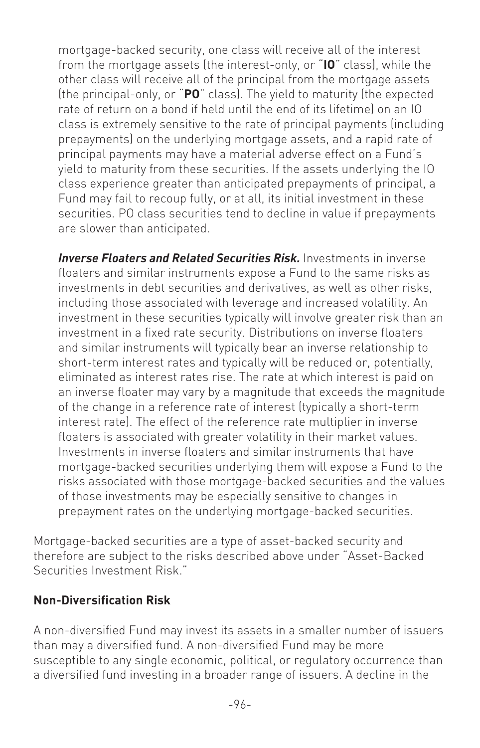mortgage-backed security, one class will receive all of the interest from the mortgage assets (the interest-only, or "**IO**" class), while the other class will receive all of the principal from the mortgage assets (the principal-only, or "**PO**" class). The yield to maturity (the expected rate of return on a bond if held until the end of its lifetime) on an IO class is extremely sensitive to the rate of principal payments (including prepayments) on the underlying mortgage assets, and a rapid rate of principal payments may have a material adverse effect on a Fund's yield to maturity from these securities. If the assets underlying the IO class experience greater than anticipated prepayments of principal, a Fund may fail to recoup fully, or at all, its initial investment in these securities. PO class securities tend to decline in value if prepayments are slower than anticipated.

*Inverse Floaters and Related Securities Risk.* Investments in inverse floaters and similar instruments expose a Fund to the same risks as investments in debt securities and derivatives, as well as other risks, including those associated with leverage and increased volatility. An investment in these securities typically will involve greater risk than an investment in a fixed rate security. Distributions on inverse floaters and similar instruments will typically bear an inverse relationship to short-term interest rates and typically will be reduced or, potentially, eliminated as interest rates rise. The rate at which interest is paid on an inverse floater may vary by a magnitude that exceeds the magnitude of the change in a reference rate of interest (typically a short-term interest rate). The effect of the reference rate multiplier in inverse floaters is associated with greater volatility in their market values. Investments in inverse floaters and similar instruments that have mortgage-backed securities underlying them will expose a Fund to the risks associated with those mortgage-backed securities and the values of those investments may be especially sensitive to changes in prepayment rates on the underlying mortgage-backed securities.

Mortgage-backed securities are a type of asset-backed security and therefore are subject to the risks described above under "Asset-Backed Securities Investment Risk."

#### **Non-Diversification Risk**

A non-diversified Fund may invest its assets in a smaller number of issuers than may a diversified fund. A non-diversified Fund may be more susceptible to any single economic, political, or regulatory occurrence than a diversified fund investing in a broader range of issuers. A decline in the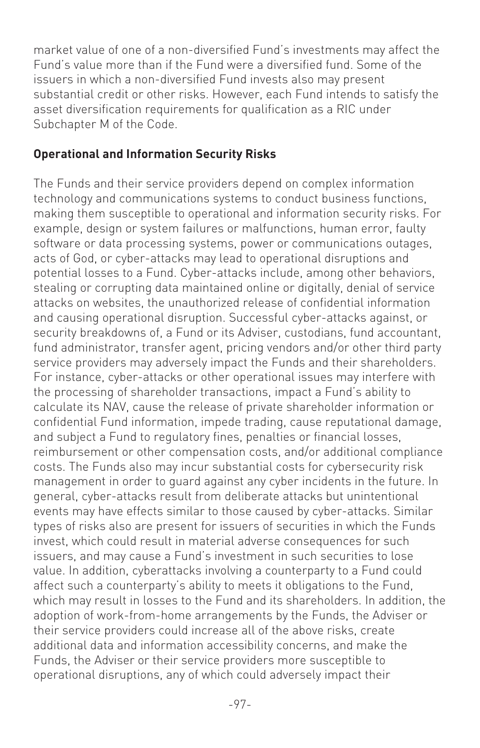market value of one of a non-diversified Fund's investments may affect the Fund's value more than if the Fund were a diversified fund. Some of the issuers in which a non-diversified Fund invests also may present substantial credit or other risks. However, each Fund intends to satisfy the asset diversification requirements for qualification as a RIC under Subchapter M of the Code.

#### **Operational and Information Security Risks**

The Funds and their service providers depend on complex information technology and communications systems to conduct business functions, making them susceptible to operational and information security risks. For example, design or system failures or malfunctions, human error, faulty software or data processing systems, power or communications outages, acts of God, or cyber-attacks may lead to operational disruptions and potential losses to a Fund. Cyber-attacks include, among other behaviors, stealing or corrupting data maintained online or digitally, denial of service attacks on websites, the unauthorized release of confidential information and causing operational disruption. Successful cyber-attacks against, or security breakdowns of, a Fund or its Adviser, custodians, fund accountant, fund administrator, transfer agent, pricing vendors and/or other third party service providers may adversely impact the Funds and their shareholders. For instance, cyber-attacks or other operational issues may interfere with the processing of shareholder transactions, impact a Fund's ability to calculate its NAV, cause the release of private shareholder information or confidential Fund information, impede trading, cause reputational damage, and subject a Fund to regulatory fines, penalties or financial losses, reimbursement or other compensation costs, and/or additional compliance costs. The Funds also may incur substantial costs for cybersecurity risk management in order to guard against any cyber incidents in the future. In general, cyber-attacks result from deliberate attacks but unintentional events may have effects similar to those caused by cyber-attacks. Similar types of risks also are present for issuers of securities in which the Funds invest, which could result in material adverse consequences for such issuers, and may cause a Fund's investment in such securities to lose value. In addition, cyberattacks involving a counterparty to a Fund could affect such a counterparty's ability to meets it obligations to the Fund, which may result in losses to the Fund and its shareholders. In addition, the adoption of work-from-home arrangements by the Funds, the Adviser or their service providers could increase all of the above risks, create additional data and information accessibility concerns, and make the Funds, the Adviser or their service providers more susceptible to operational disruptions, any of which could adversely impact their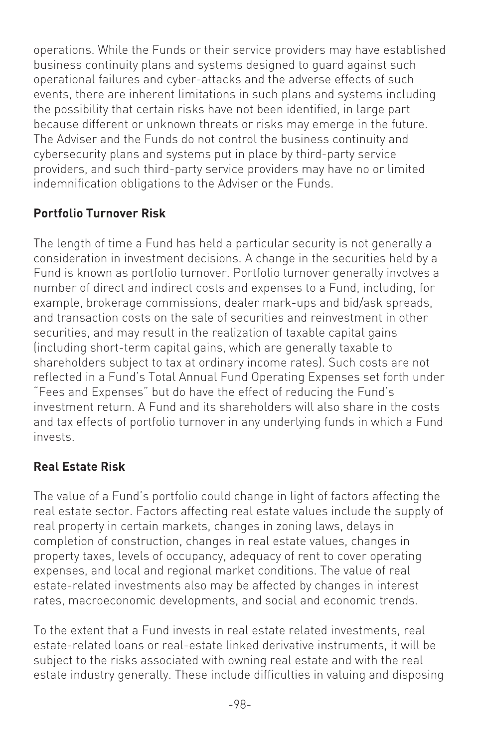operations. While the Funds or their service providers may have established business continuity plans and systems designed to guard against such operational failures and cyber-attacks and the adverse effects of such events, there are inherent limitations in such plans and systems including the possibility that certain risks have not been identified, in large part because different or unknown threats or risks may emerge in the future. The Adviser and the Funds do not control the business continuity and cybersecurity plans and systems put in place by third-party service providers, and such third-party service providers may have no or limited indemnification obligations to the Adviser or the Funds.

# **Portfolio Turnover Risk**

The length of time a Fund has held a particular security is not generally a consideration in investment decisions. A change in the securities held by a Fund is known as portfolio turnover. Portfolio turnover generally involves a number of direct and indirect costs and expenses to a Fund, including, for example, brokerage commissions, dealer mark-ups and bid/ask spreads, and transaction costs on the sale of securities and reinvestment in other securities, and may result in the realization of taxable capital gains (including short-term capital gains, which are generally taxable to shareholders subject to tax at ordinary income rates). Such costs are not reflected in a Fund's Total Annual Fund Operating Expenses set forth under "Fees and Expenses" but do have the effect of reducing the Fund's investment return. A Fund and its shareholders will also share in the costs and tax effects of portfolio turnover in any underlying funds in which a Fund invests.

# **Real Estate Risk**

The value of a Fund's portfolio could change in light of factors affecting the real estate sector. Factors affecting real estate values include the supply of real property in certain markets, changes in zoning laws, delays in completion of construction, changes in real estate values, changes in property taxes, levels of occupancy, adequacy of rent to cover operating expenses, and local and regional market conditions. The value of real estate-related investments also may be affected by changes in interest rates, macroeconomic developments, and social and economic trends.

To the extent that a Fund invests in real estate related investments, real estate-related loans or real-estate linked derivative instruments, it will be subject to the risks associated with owning real estate and with the real estate industry generally. These include difficulties in valuing and disposing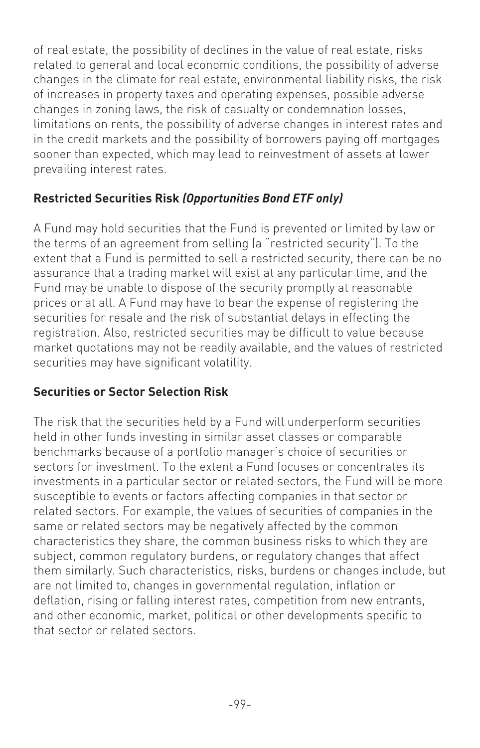of real estate, the possibility of declines in the value of real estate, risks related to general and local economic conditions, the possibility of adverse changes in the climate for real estate, environmental liability risks, the risk of increases in property taxes and operating expenses, possible adverse changes in zoning laws, the risk of casualty or condemnation losses, limitations on rents, the possibility of adverse changes in interest rates and in the credit markets and the possibility of borrowers paying off mortgages sooner than expected, which may lead to reinvestment of assets at lower prevailing interest rates.

# **Restricted Securities Risk** *(Opportunities Bond ETF only)*

A Fund may hold securities that the Fund is prevented or limited by law or the terms of an agreement from selling (a "restricted security"). To the extent that a Fund is permitted to sell a restricted security, there can be no assurance that a trading market will exist at any particular time, and the Fund may be unable to dispose of the security promptly at reasonable prices or at all. A Fund may have to bear the expense of registering the securities for resale and the risk of substantial delays in effecting the registration. Also, restricted securities may be difficult to value because market quotations may not be readily available, and the values of restricted securities may have significant volatility.

# **Securities or Sector Selection Risk**

The risk that the securities held by a Fund will underperform securities held in other funds investing in similar asset classes or comparable benchmarks because of a portfolio manager's choice of securities or sectors for investment. To the extent a Fund focuses or concentrates its investments in a particular sector or related sectors, the Fund will be more susceptible to events or factors affecting companies in that sector or related sectors. For example, the values of securities of companies in the same or related sectors may be negatively affected by the common characteristics they share, the common business risks to which they are subject, common regulatory burdens, or regulatory changes that affect them similarly. Such characteristics, risks, burdens or changes include, but are not limited to, changes in governmental regulation, inflation or deflation, rising or falling interest rates, competition from new entrants, and other economic, market, political or other developments specific to that sector or related sectors.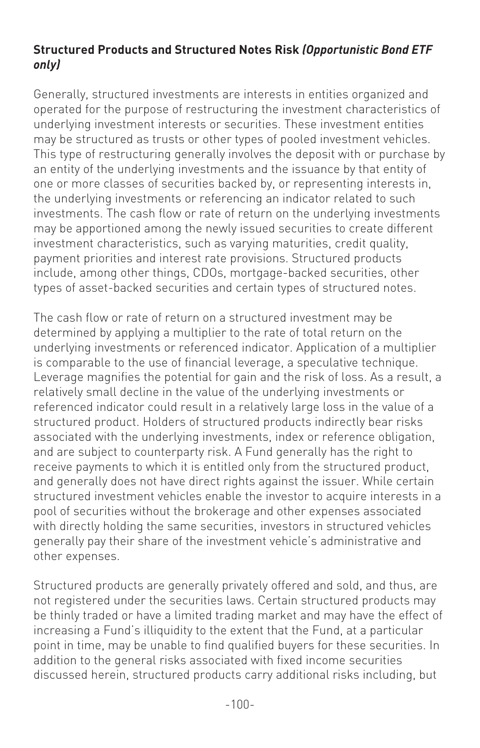#### **Structured Products and Structured Notes Risk** *(Opportunistic Bond ETF only)*

Generally, structured investments are interests in entities organized and operated for the purpose of restructuring the investment characteristics of underlying investment interests or securities. These investment entities may be structured as trusts or other types of pooled investment vehicles. This type of restructuring generally involves the deposit with or purchase by an entity of the underlying investments and the issuance by that entity of one or more classes of securities backed by, or representing interests in, the underlying investments or referencing an indicator related to such investments. The cash flow or rate of return on the underlying investments may be apportioned among the newly issued securities to create different investment characteristics, such as varying maturities, credit quality, payment priorities and interest rate provisions. Structured products include, among other things, CDOs, mortgage-backed securities, other types of asset-backed securities and certain types of structured notes.

The cash flow or rate of return on a structured investment may be determined by applying a multiplier to the rate of total return on the underlying investments or referenced indicator. Application of a multiplier is comparable to the use of financial leverage, a speculative technique. Leverage magnifies the potential for gain and the risk of loss. As a result, a relatively small decline in the value of the underlying investments or referenced indicator could result in a relatively large loss in the value of a structured product. Holders of structured products indirectly bear risks associated with the underlying investments, index or reference obligation, and are subject to counterparty risk. A Fund generally has the right to receive payments to which it is entitled only from the structured product, and generally does not have direct rights against the issuer. While certain structured investment vehicles enable the investor to acquire interests in a pool of securities without the brokerage and other expenses associated with directly holding the same securities, investors in structured vehicles generally pay their share of the investment vehicle's administrative and other expenses.

Structured products are generally privately offered and sold, and thus, are not registered under the securities laws. Certain structured products may be thinly traded or have a limited trading market and may have the effect of increasing a Fund's illiquidity to the extent that the Fund, at a particular point in time, may be unable to find qualified buyers for these securities. In addition to the general risks associated with fixed income securities discussed herein, structured products carry additional risks including, but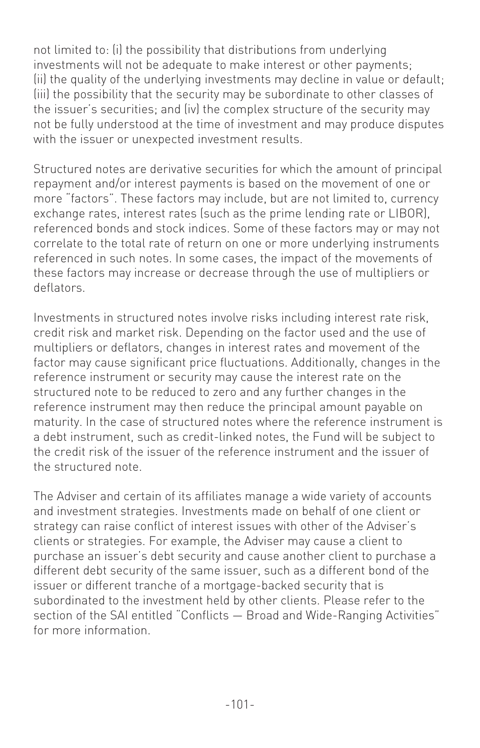not limited to: (i) the possibility that distributions from underlying investments will not be adequate to make interest or other payments; (ii) the quality of the underlying investments may decline in value or default; (iii) the possibility that the security may be subordinate to other classes of the issuer's securities; and (iv) the complex structure of the security may not be fully understood at the time of investment and may produce disputes with the issuer or unexpected investment results.

Structured notes are derivative securities for which the amount of principal repayment and/or interest payments is based on the movement of one or more "factors". These factors may include, but are not limited to, currency exchange rates, interest rates (such as the prime lending rate or LIBOR), referenced bonds and stock indices. Some of these factors may or may not correlate to the total rate of return on one or more underlying instruments referenced in such notes. In some cases, the impact of the movements of these factors may increase or decrease through the use of multipliers or deflators.

Investments in structured notes involve risks including interest rate risk, credit risk and market risk. Depending on the factor used and the use of multipliers or deflators, changes in interest rates and movement of the factor may cause significant price fluctuations. Additionally, changes in the reference instrument or security may cause the interest rate on the structured note to be reduced to zero and any further changes in the reference instrument may then reduce the principal amount payable on maturity. In the case of structured notes where the reference instrument is a debt instrument, such as credit-linked notes, the Fund will be subject to the credit risk of the issuer of the reference instrument and the issuer of the structured note.

The Adviser and certain of its affiliates manage a wide variety of accounts and investment strategies. Investments made on behalf of one client or strategy can raise conflict of interest issues with other of the Adviser's clients or strategies. For example, the Adviser may cause a client to purchase an issuer's debt security and cause another client to purchase a different debt security of the same issuer, such as a different bond of the issuer or different tranche of a mortgage-backed security that is subordinated to the investment held by other clients. Please refer to the section of the SAI entitled "Conflicts - Broad and Wide-Ranging Activities" for more information.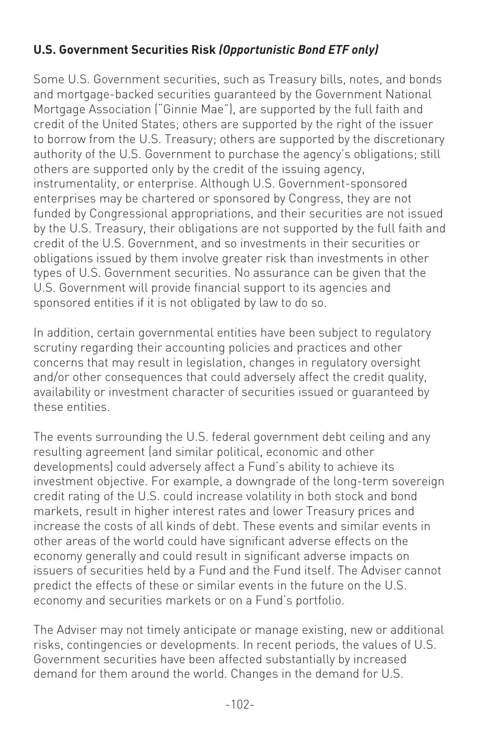# **U.S. Government Securities Risk** *(Opportunistic Bond ETF only)*

Some U.S. Government securities, such as Treasury bills, notes, and bonds and mortgage-backed securities guaranteed by the Government National Mortgage Association ("Ginnie Mae"), are supported by the full faith and credit of the United States; others are supported by the right of the issuer to borrow from the U.S. Treasury; others are supported by the discretionary authority of the U.S. Government to purchase the agency's obligations; still others are supported only by the credit of the issuing agency, instrumentality, or enterprise. Although U.S. Government-sponsored enterprises may be chartered or sponsored by Congress, they are not funded by Congressional appropriations, and their securities are not issued by the U.S. Treasury, their obligations are not supported by the full faith and credit of the U.S. Government, and so investments in their securities or obligations issued by them involve greater risk than investments in other types of U.S. Government securities. No assurance can be given that the U.S. Government will provide financial support to its agencies and sponsored entities if it is not obligated by law to do so.

In addition, certain governmental entities have been subject to regulatory scrutiny regarding their accounting policies and practices and other concerns that may result in legislation, changes in regulatory oversight and/or other consequences that could adversely affect the credit quality, availability or investment character of securities issued or guaranteed by these entities.

The events surrounding the U.S. federal government debt ceiling and any resulting agreement (and similar political, economic and other developments) could adversely affect a Fund's ability to achieve its investment objective. For example, a downgrade of the long-term sovereign credit rating of the U.S. could increase volatility in both stock and bond markets, result in higher interest rates and lower Treasury prices and increase the costs of all kinds of debt. These events and similar events in other areas of the world could have significant adverse effects on the economy generally and could result in significant adverse impacts on issuers of securities held by a Fund and the Fund itself. The Adviser cannot predict the effects of these or similar events in the future on the U.S. economy and securities markets or on a Fund's portfolio.

The Adviser may not timely anticipate or manage existing, new or additional risks, contingencies or developments. In recent periods, the values of U.S. Government securities have been affected substantially by increased demand for them around the world. Changes in the demand for U.S.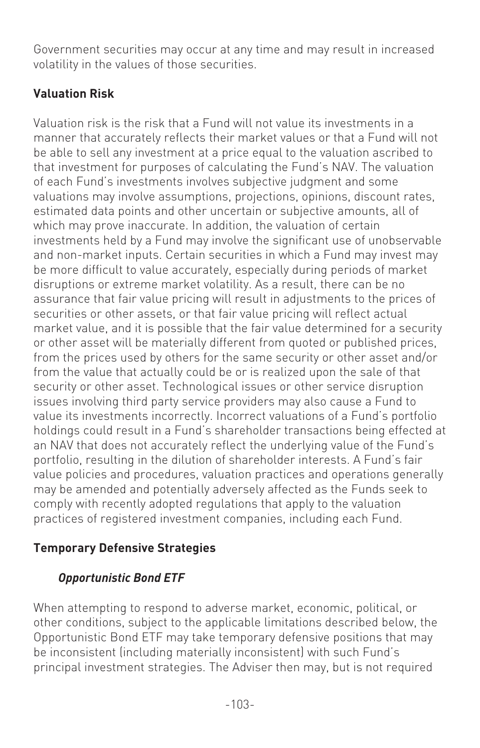Government securities may occur at any time and may result in increased volatility in the values of those securities.

# **Valuation Risk**

Valuation risk is the risk that a Fund will not value its investments in a manner that accurately reflects their market values or that a Fund will not be able to sell any investment at a price equal to the valuation ascribed to that investment for purposes of calculating the Fund's NAV. The valuation of each Fund's investments involves subjective judgment and some valuations may involve assumptions, projections, opinions, discount rates, estimated data points and other uncertain or subjective amounts, all of which may prove inaccurate. In addition, the valuation of certain investments held by a Fund may involve the significant use of unobservable and non-market inputs. Certain securities in which a Fund may invest may be more difficult to value accurately, especially during periods of market disruptions or extreme market volatility. As a result, there can be no assurance that fair value pricing will result in adjustments to the prices of securities or other assets, or that fair value pricing will reflect actual market value, and it is possible that the fair value determined for a security or other asset will be materially different from quoted or published prices, from the prices used by others for the same security or other asset and/or from the value that actually could be or is realized upon the sale of that security or other asset. Technological issues or other service disruption issues involving third party service providers may also cause a Fund to value its investments incorrectly. Incorrect valuations of a Fund's portfolio holdings could result in a Fund's shareholder transactions being effected at an NAV that does not accurately reflect the underlying value of the Fund's portfolio, resulting in the dilution of shareholder interests. A Fund's fair value policies and procedures, valuation practices and operations generally may be amended and potentially adversely affected as the Funds seek to comply with recently adopted regulations that apply to the valuation practices of registered investment companies, including each Fund.

# **Temporary Defensive Strategies**

# *Opportunistic Bond ETF*

When attempting to respond to adverse market, economic, political, or other conditions, subject to the applicable limitations described below, the Opportunistic Bond ETF may take temporary defensive positions that may be inconsistent (including materially inconsistent) with such Fund's principal investment strategies. The Adviser then may, but is not required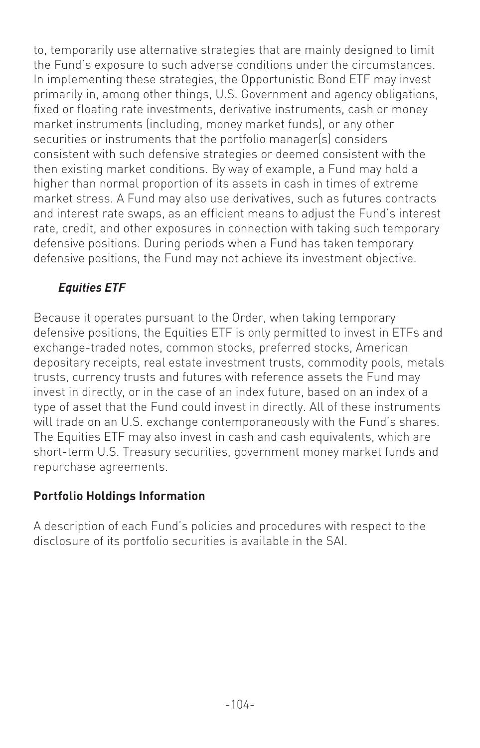to, temporarily use alternative strategies that are mainly designed to limit the Fund's exposure to such adverse conditions under the circumstances. In implementing these strategies, the Opportunistic Bond ETF may invest primarily in, among other things, U.S. Government and agency obligations, fixed or floating rate investments, derivative instruments, cash or money market instruments (including, money market funds), or any other securities or instruments that the portfolio manager(s) considers consistent with such defensive strategies or deemed consistent with the then existing market conditions. By way of example, a Fund may hold a higher than normal proportion of its assets in cash in times of extreme market stress. A Fund may also use derivatives, such as futures contracts and interest rate swaps, as an efficient means to adjust the Fund's interest rate, credit, and other exposures in connection with taking such temporary defensive positions. During periods when a Fund has taken temporary defensive positions, the Fund may not achieve its investment objective.

# *Equities ETF*

Because it operates pursuant to the Order, when taking temporary defensive positions, the Equities ETF is only permitted to invest in ETFs and exchange-traded notes, common stocks, preferred stocks, American depositary receipts, real estate investment trusts, commodity pools, metals trusts, currency trusts and futures with reference assets the Fund may invest in directly, or in the case of an index future, based on an index of a type of asset that the Fund could invest in directly. All of these instruments will trade on an U.S. exchange contemporaneously with the Fund's shares. The Equities ETF may also invest in cash and cash equivalents, which are short-term U.S. Treasury securities, government money market funds and repurchase agreements.

# **Portfolio Holdings Information**

A description of each Fund's policies and procedures with respect to the disclosure of its portfolio securities is available in the SAI.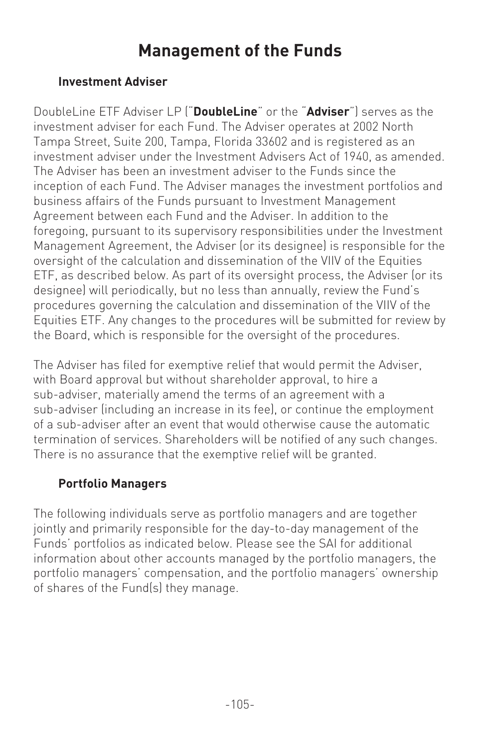# **Management of the Funds**

#### **Investment Adviser**

DoubleLine ETF Adviser LP ("**DoubleLine**" or the "**Adviser**") serves as the investment adviser for each Fund. The Adviser operates at 2002 North Tampa Street, Suite 200, Tampa, Florida 33602 and is registered as an investment adviser under the Investment Advisers Act of 1940, as amended. The Adviser has been an investment adviser to the Funds since the inception of each Fund. The Adviser manages the investment portfolios and business affairs of the Funds pursuant to Investment Management Agreement between each Fund and the Adviser. In addition to the foregoing, pursuant to its supervisory responsibilities under the Investment Management Agreement, the Adviser (or its designee) is responsible for the oversight of the calculation and dissemination of the VIIV of the Equities ETF, as described below. As part of its oversight process, the Adviser (or its designee) will periodically, but no less than annually, review the Fund's procedures governing the calculation and dissemination of the VIIV of the Equities ETF. Any changes to the procedures will be submitted for review by the Board, which is responsible for the oversight of the procedures.

The Adviser has filed for exemptive relief that would permit the Adviser, with Board approval but without shareholder approval, to hire a sub-adviser, materially amend the terms of an agreement with a sub-adviser (including an increase in its fee), or continue the employment of a sub-adviser after an event that would otherwise cause the automatic termination of services. Shareholders will be notified of any such changes. There is no assurance that the exemptive relief will be granted.

#### **Portfolio Managers**

The following individuals serve as portfolio managers and are together jointly and primarily responsible for the day-to-day management of the Funds' portfolios as indicated below. Please see the SAI for additional information about other accounts managed by the portfolio managers, the portfolio managers' compensation, and the portfolio managers' ownership of shares of the Fund(s) they manage.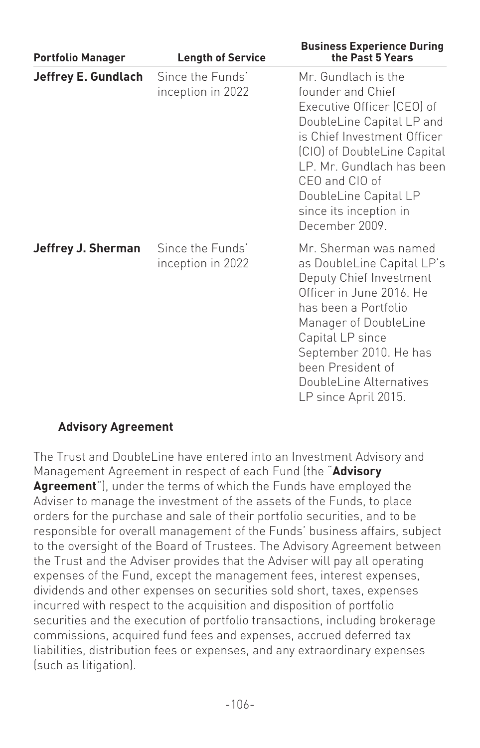| <b>Portfolio Manager</b>   | <b>Length of Service</b>              | <b>Business Experience During</b><br>the Past 5 Years                                                                                                                                                                                                                                 |
|----------------------------|---------------------------------------|---------------------------------------------------------------------------------------------------------------------------------------------------------------------------------------------------------------------------------------------------------------------------------------|
| <b>Jeffrey E. Gundlach</b> | Since the Funds'<br>inception in 2022 | Mr. Gundlach is the<br>founder and Chief<br>Executive Officer (CEO) of<br>DoubleLine Capital LP and<br>is Chief Investment Officer<br>(CIO) of DoubleLine Capital<br>LP. Mr. Gundlach has been<br>CEO and CIO of<br>DoubleLine Capital LP<br>since its inception in<br>December 2009. |
| <b>Jeffrey J. Sherman</b>  | Since the Funds'<br>inception in 2022 | Mr. Sherman was named<br>as DoubleLine Capital LP's<br>Deputy Chief Investment<br>Officer in June 2016. He<br>has been a Portfolio<br>Manager of DoubleLine<br>Capital LP since<br>September 2010. He has<br>been President of<br>DoubleLine Alternatives<br>LP since April 2015.     |

#### **Advisory Agreement**

The Trust and DoubleLine have entered into an Investment Advisory and Management Agreement in respect of each Fund (the "**Advisory Agreement**"), under the terms of which the Funds have employed the Adviser to manage the investment of the assets of the Funds, to place orders for the purchase and sale of their portfolio securities, and to be responsible for overall management of the Funds' business affairs, subject to the oversight of the Board of Trustees. The Advisory Agreement between the Trust and the Adviser provides that the Adviser will pay all operating expenses of the Fund, except the management fees, interest expenses, dividends and other expenses on securities sold short, taxes, expenses incurred with respect to the acquisition and disposition of portfolio securities and the execution of portfolio transactions, including brokerage commissions, acquired fund fees and expenses, accrued deferred tax liabilities, distribution fees or expenses, and any extraordinary expenses (such as litigation).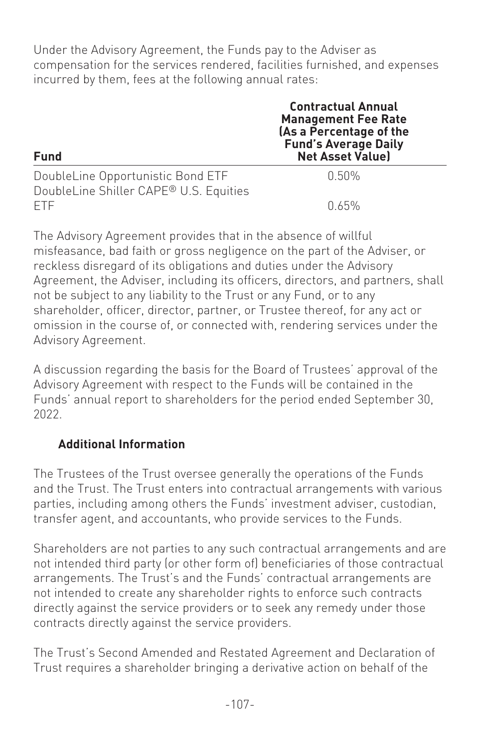Under the Advisory Agreement, the Funds pay to the Adviser as compensation for the services rendered, facilities furnished, and expenses incurred by them, fees at the following annual rates:

| <b>Fund</b>                                                                 | <b>Contractual Annual</b><br><b>Management Fee Rate</b><br>(As a Percentage of the<br><b>Fund's Average Daily</b><br><b>Net Asset Value)</b> |
|-----------------------------------------------------------------------------|----------------------------------------------------------------------------------------------------------------------------------------------|
| DoubleLine Opportunistic Bond ETF<br>DoubleLine Shiller CAPE® U.S. Equities | በ 50%                                                                                                                                        |
| FTE.                                                                        | በ 65%                                                                                                                                        |

The Advisory Agreement provides that in the absence of willful misfeasance, bad faith or gross negligence on the part of the Adviser, or reckless disregard of its obligations and duties under the Advisory Agreement, the Adviser, including its officers, directors, and partners, shall not be subject to any liability to the Trust or any Fund, or to any shareholder, officer, director, partner, or Trustee thereof, for any act or omission in the course of, or connected with, rendering services under the Advisory Agreement.

A discussion regarding the basis for the Board of Trustees' approval of the Advisory Agreement with respect to the Funds will be contained in the Funds' annual report to shareholders for the period ended September 30, 2022.

### **Additional Information**

The Trustees of the Trust oversee generally the operations of the Funds and the Trust. The Trust enters into contractual arrangements with various parties, including among others the Funds' investment adviser, custodian, transfer agent, and accountants, who provide services to the Funds.

Shareholders are not parties to any such contractual arrangements and are not intended third party (or other form of) beneficiaries of those contractual arrangements. The Trust's and the Funds' contractual arrangements are not intended to create any shareholder rights to enforce such contracts directly against the service providers or to seek any remedy under those contracts directly against the service providers.

The Trust's Second Amended and Restated Agreement and Declaration of Trust requires a shareholder bringing a derivative action on behalf of the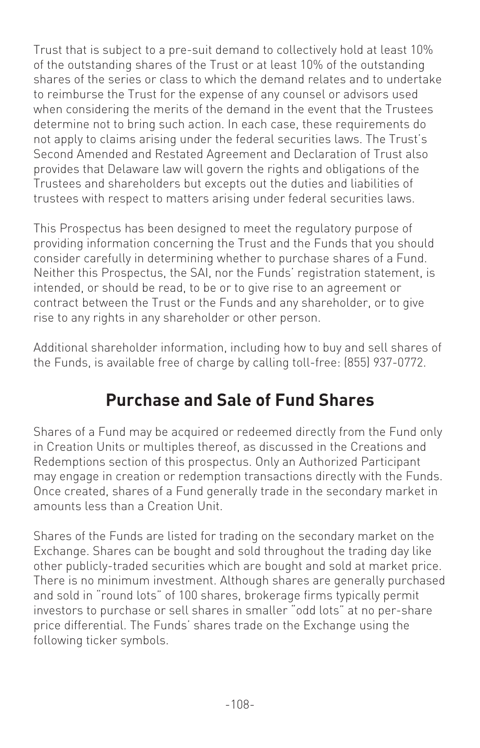Trust that is subject to a pre-suit demand to collectively hold at least 10% of the outstanding shares of the Trust or at least 10% of the outstanding shares of the series or class to which the demand relates and to undertake to reimburse the Trust for the expense of any counsel or advisors used when considering the merits of the demand in the event that the Trustees determine not to bring such action. In each case, these requirements do not apply to claims arising under the federal securities laws. The Trust's Second Amended and Restated Agreement and Declaration of Trust also provides that Delaware law will govern the rights and obligations of the Trustees and shareholders but excepts out the duties and liabilities of trustees with respect to matters arising under federal securities laws.

This Prospectus has been designed to meet the regulatory purpose of providing information concerning the Trust and the Funds that you should consider carefully in determining whether to purchase shares of a Fund. Neither this Prospectus, the SAI, nor the Funds' registration statement, is intended, or should be read, to be or to give rise to an agreement or contract between the Trust or the Funds and any shareholder, or to give rise to any rights in any shareholder or other person.

Additional shareholder information, including how to buy and sell shares of the Funds, is available free of charge by calling toll-free: (855) 937-0772.

## **Purchase and Sale of Fund Shares**

Shares of a Fund may be acquired or redeemed directly from the Fund only in Creation Units or multiples thereof, as discussed in the Creations and Redemptions section of this prospectus. Only an Authorized Participant may engage in creation or redemption transactions directly with the Funds. Once created, shares of a Fund generally trade in the secondary market in amounts less than a Creation Unit.

Shares of the Funds are listed for trading on the secondary market on the Exchange. Shares can be bought and sold throughout the trading day like other publicly-traded securities which are bought and sold at market price. There is no minimum investment. Although shares are generally purchased and sold in "round lots" of 100 shares, brokerage firms typically permit investors to purchase or sell shares in smaller "odd lots" at no per-share price differential. The Funds' shares trade on the Exchange using the following ticker symbols.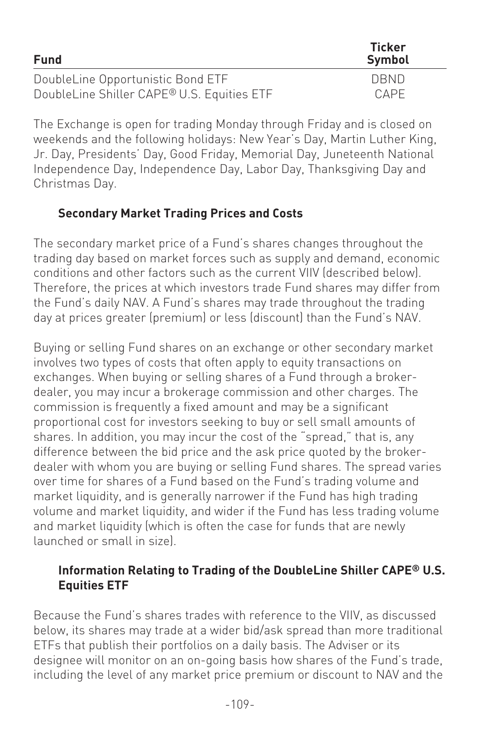| <b>Fund</b>                                | Ticker<br>Symbol |
|--------------------------------------------|------------------|
| DoubleLine Opportunistic Bond ETF          | <b>DRND</b>      |
| DoubleLine Shiller CAPE® U.S. Equities ETF | CAPE             |

The Exchange is open for trading Monday through Friday and is closed on weekends and the following holidays: New Year's Day, Martin Luther King, Jr. Day, Presidents' Day, Good Friday, Memorial Day, Juneteenth National Independence Day, Independence Day, Labor Day, Thanksgiving Day and Christmas Day.

### **Secondary Market Trading Prices and Costs**

The secondary market price of a Fund's shares changes throughout the trading day based on market forces such as supply and demand, economic conditions and other factors such as the current VIIV (described below). Therefore, the prices at which investors trade Fund shares may differ from the Fund's daily NAV. A Fund's shares may trade throughout the trading day at prices greater (premium) or less (discount) than the Fund's NAV.

Buying or selling Fund shares on an exchange or other secondary market involves two types of costs that often apply to equity transactions on exchanges. When buying or selling shares of a Fund through a brokerdealer, you may incur a brokerage commission and other charges. The commission is frequently a fixed amount and may be a significant proportional cost for investors seeking to buy or sell small amounts of shares. In addition, you may incur the cost of the "spread," that is, any difference between the bid price and the ask price quoted by the brokerdealer with whom you are buying or selling Fund shares. The spread varies over time for shares of a Fund based on the Fund's trading volume and market liquidity, and is generally narrower if the Fund has high trading volume and market liquidity, and wider if the Fund has less trading volume and market liquidity (which is often the case for funds that are newly launched or small in size).

### **Information Relating to Trading of the DoubleLine Shiller CAPE® U.S. Equities ETF**

Because the Fund's shares trades with reference to the VIIV, as discussed below, its shares may trade at a wider bid/ask spread than more traditional ETFs that publish their portfolios on a daily basis. The Adviser or its designee will monitor on an on-going basis how shares of the Fund's trade, including the level of any market price premium or discount to NAV and the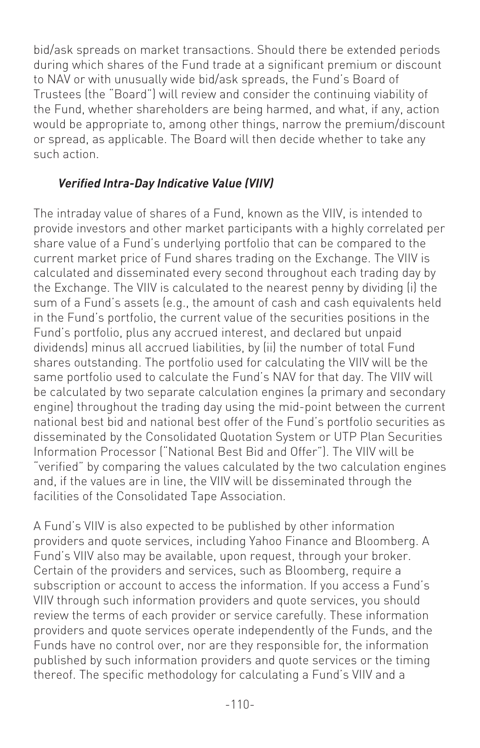bid/ask spreads on market transactions. Should there be extended periods during which shares of the Fund trade at a significant premium or discount to NAV or with unusually wide bid/ask spreads, the Fund's Board of Trustees (the "Board") will review and consider the continuing viability of the Fund, whether shareholders are being harmed, and what, if any, action would be appropriate to, among other things, narrow the premium/discount or spread, as applicable. The Board will then decide whether to take any such action.

### *Verified Intra-Day Indicative Value (VIIV)*

The intraday value of shares of a Fund, known as the VIIV, is intended to provide investors and other market participants with a highly correlated per share value of a Fund's underlying portfolio that can be compared to the current market price of Fund shares trading on the Exchange. The VIIV is calculated and disseminated every second throughout each trading day by the Exchange. The VIIV is calculated to the nearest penny by dividing (i) the sum of a Fund's assets (e.g., the amount of cash and cash equivalents held in the Fund's portfolio, the current value of the securities positions in the Fund's portfolio, plus any accrued interest, and declared but unpaid dividends) minus all accrued liabilities, by (ii) the number of total Fund shares outstanding. The portfolio used for calculating the VIIV will be the same portfolio used to calculate the Fund's NAV for that day. The VIIV will be calculated by two separate calculation engines (a primary and secondary engine) throughout the trading day using the mid-point between the current national best bid and national best offer of the Fund's portfolio securities as disseminated by the Consolidated Quotation System or UTP Plan Securities Information Processor ("National Best Bid and Offer"). The VIIV will be "verified" by comparing the values calculated by the two calculation engines and, if the values are in line, the VIIV will be disseminated through the facilities of the Consolidated Tape Association.

A Fund's VIIV is also expected to be published by other information providers and quote services, including Yahoo Finance and Bloomberg. A Fund's VIIV also may be available, upon request, through your broker. Certain of the providers and services, such as Bloomberg, require a subscription or account to access the information. If you access a Fund's VIIV through such information providers and quote services, you should review the terms of each provider or service carefully. These information providers and quote services operate independently of the Funds, and the Funds have no control over, nor are they responsible for, the information published by such information providers and quote services or the timing thereof. The specific methodology for calculating a Fund's VIIV and a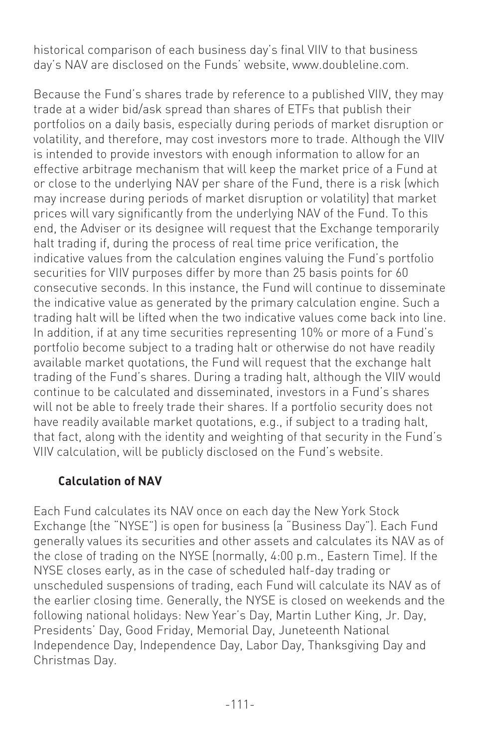historical comparison of each business day's final VIIV to that business day's NAV are disclosed on the Funds' website, www.doubleline.com.

Because the Fund's shares trade by reference to a published VIIV, they may trade at a wider bid/ask spread than shares of ETFs that publish their portfolios on a daily basis, especially during periods of market disruption or volatility, and therefore, may cost investors more to trade. Although the VIIV is intended to provide investors with enough information to allow for an effective arbitrage mechanism that will keep the market price of a Fund at or close to the underlying NAV per share of the Fund, there is a risk (which may increase during periods of market disruption or volatility) that market prices will vary significantly from the underlying NAV of the Fund. To this end, the Adviser or its designee will request that the Exchange temporarily halt trading if, during the process of real time price verification, the indicative values from the calculation engines valuing the Fund's portfolio securities for VIIV purposes differ by more than 25 basis points for 60 consecutive seconds. In this instance, the Fund will continue to disseminate the indicative value as generated by the primary calculation engine. Such a trading halt will be lifted when the two indicative values come back into line. In addition, if at any time securities representing 10% or more of a Fund's portfolio become subject to a trading halt or otherwise do not have readily available market quotations, the Fund will request that the exchange halt trading of the Fund's shares. During a trading halt, although the VIIV would continue to be calculated and disseminated, investors in a Fund's shares will not be able to freely trade their shares. If a portfolio security does not have readily available market quotations, e.g., if subject to a trading halt, that fact, along with the identity and weighting of that security in the Fund's VIIV calculation, will be publicly disclosed on the Fund's website.

### **Calculation of NAV**

Each Fund calculates its NAV once on each day the New York Stock Exchange (the "NYSE") is open for business (a "Business Day"). Each Fund generally values its securities and other assets and calculates its NAV as of the close of trading on the NYSE (normally, 4:00 p.m., Eastern Time). If the NYSE closes early, as in the case of scheduled half-day trading or unscheduled suspensions of trading, each Fund will calculate its NAV as of the earlier closing time. Generally, the NYSE is closed on weekends and the following national holidays: New Year's Day, Martin Luther King, Jr. Day, Presidents' Day, Good Friday, Memorial Day, Juneteenth National Independence Day, Independence Day, Labor Day, Thanksgiving Day and Christmas Day.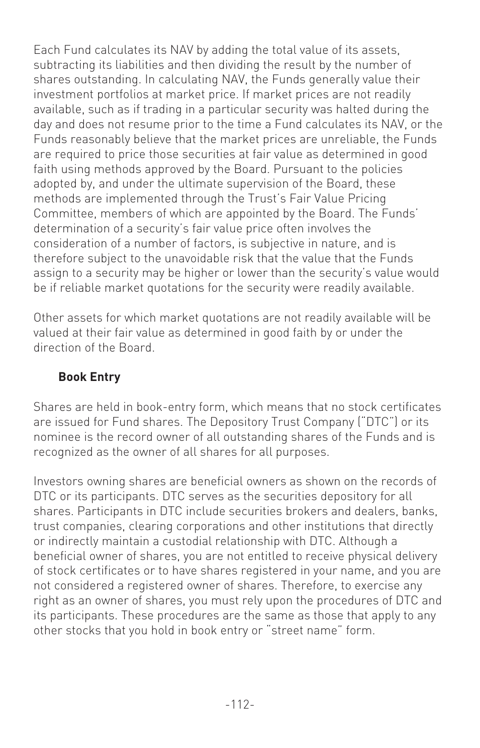Each Fund calculates its NAV by adding the total value of its assets, subtracting its liabilities and then dividing the result by the number of shares outstanding. In calculating NAV, the Funds generally value their investment portfolios at market price. If market prices are not readily available, such as if trading in a particular security was halted during the day and does not resume prior to the time a Fund calculates its NAV, or the Funds reasonably believe that the market prices are unreliable, the Funds are required to price those securities at fair value as determined in good faith using methods approved by the Board. Pursuant to the policies adopted by, and under the ultimate supervision of the Board, these methods are implemented through the Trust's Fair Value Pricing Committee, members of which are appointed by the Board. The Funds' determination of a security's fair value price often involves the consideration of a number of factors, is subjective in nature, and is therefore subject to the unavoidable risk that the value that the Funds assign to a security may be higher or lower than the security's value would be if reliable market quotations for the security were readily available.

Other assets for which market quotations are not readily available will be valued at their fair value as determined in good faith by or under the direction of the Board.

### **Book Entry**

Shares are held in book-entry form, which means that no stock certificates are issued for Fund shares. The Depository Trust Company ("DTC") or its nominee is the record owner of all outstanding shares of the Funds and is recognized as the owner of all shares for all purposes.

Investors owning shares are beneficial owners as shown on the records of DTC or its participants. DTC serves as the securities depository for all shares. Participants in DTC include securities brokers and dealers, banks, trust companies, clearing corporations and other institutions that directly or indirectly maintain a custodial relationship with DTC. Although a beneficial owner of shares, you are not entitled to receive physical delivery of stock certificates or to have shares registered in your name, and you are not considered a registered owner of shares. Therefore, to exercise any right as an owner of shares, you must rely upon the procedures of DTC and its participants. These procedures are the same as those that apply to any other stocks that you hold in book entry or "street name" form.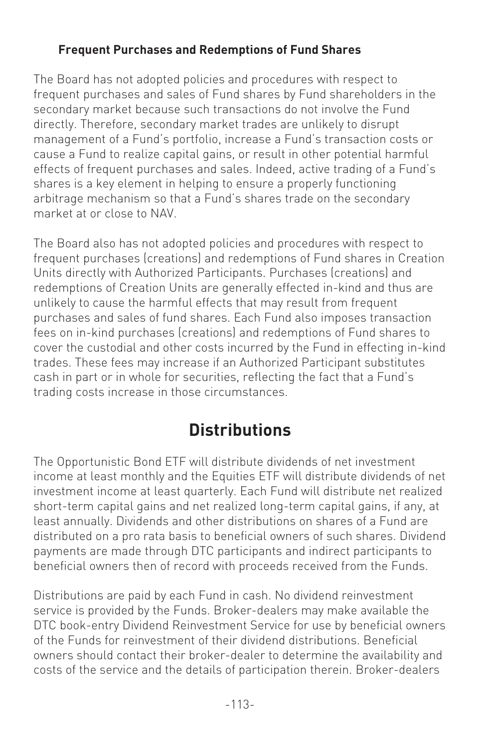### **Frequent Purchases and Redemptions of Fund Shares**

The Board has not adopted policies and procedures with respect to frequent purchases and sales of Fund shares by Fund shareholders in the secondary market because such transactions do not involve the Fund directly. Therefore, secondary market trades are unlikely to disrupt management of a Fund's portfolio, increase a Fund's transaction costs or cause a Fund to realize capital gains, or result in other potential harmful effects of frequent purchases and sales. Indeed, active trading of a Fund's shares is a key element in helping to ensure a properly functioning arbitrage mechanism so that a Fund's shares trade on the secondary market at or close to NAV.

The Board also has not adopted policies and procedures with respect to frequent purchases (creations) and redemptions of Fund shares in Creation Units directly with Authorized Participants. Purchases (creations) and redemptions of Creation Units are generally effected in-kind and thus are unlikely to cause the harmful effects that may result from frequent purchases and sales of fund shares. Each Fund also imposes transaction fees on in-kind purchases (creations) and redemptions of Fund shares to cover the custodial and other costs incurred by the Fund in effecting in-kind trades. These fees may increase if an Authorized Participant substitutes cash in part or in whole for securities, reflecting the fact that a Fund's trading costs increase in those circumstances.

## **Distributions**

The Opportunistic Bond ETF will distribute dividends of net investment income at least monthly and the Equities ETF will distribute dividends of net investment income at least quarterly. Each Fund will distribute net realized short-term capital gains and net realized long-term capital gains, if any, at least annually. Dividends and other distributions on shares of a Fund are distributed on a pro rata basis to beneficial owners of such shares. Dividend payments are made through DTC participants and indirect participants to beneficial owners then of record with proceeds received from the Funds.

Distributions are paid by each Fund in cash. No dividend reinvestment service is provided by the Funds. Broker-dealers may make available the DTC book-entry Dividend Reinvestment Service for use by beneficial owners of the Funds for reinvestment of their dividend distributions. Beneficial owners should contact their broker-dealer to determine the availability and costs of the service and the details of participation therein. Broker-dealers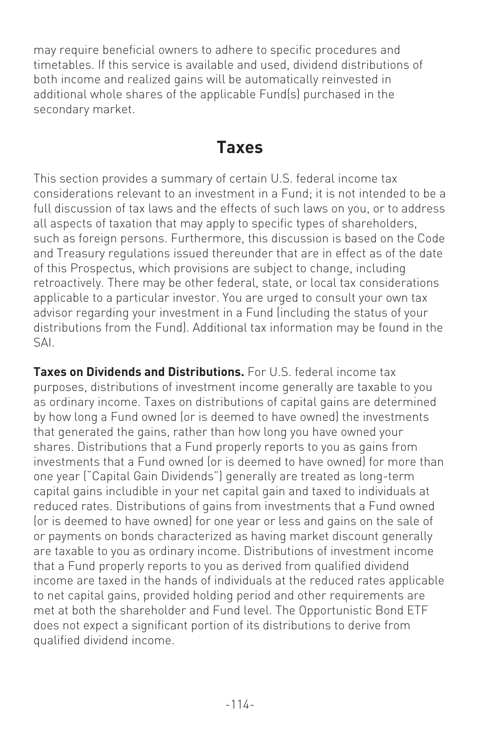may require beneficial owners to adhere to specific procedures and timetables. If this service is available and used, dividend distributions of both income and realized gains will be automatically reinvested in additional whole shares of the applicable Fund(s) purchased in the secondary market.

### **Taxes**

This section provides a summary of certain U.S. federal income tax considerations relevant to an investment in a Fund; it is not intended to be a full discussion of tax laws and the effects of such laws on you, or to address all aspects of taxation that may apply to specific types of shareholders, such as foreign persons. Furthermore, this discussion is based on the Code and Treasury regulations issued thereunder that are in effect as of the date of this Prospectus, which provisions are subject to change, including retroactively. There may be other federal, state, or local tax considerations applicable to a particular investor. You are urged to consult your own tax advisor regarding your investment in a Fund (including the status of your distributions from the Fund). Additional tax information may be found in the SAI.

**Taxes on Dividends and Distributions.** For U.S. federal income tax purposes, distributions of investment income generally are taxable to you as ordinary income. Taxes on distributions of capital gains are determined by how long a Fund owned (or is deemed to have owned) the investments that generated the gains, rather than how long you have owned your shares. Distributions that a Fund properly reports to you as gains from investments that a Fund owned (or is deemed to have owned) for more than one year ("Capital Gain Dividends") generally are treated as long-term capital gains includible in your net capital gain and taxed to individuals at reduced rates. Distributions of gains from investments that a Fund owned (or is deemed to have owned) for one year or less and gains on the sale of or payments on bonds characterized as having market discount generally are taxable to you as ordinary income. Distributions of investment income that a Fund properly reports to you as derived from qualified dividend income are taxed in the hands of individuals at the reduced rates applicable to net capital gains, provided holding period and other requirements are met at both the shareholder and Fund level. The Opportunistic Bond ETF does not expect a significant portion of its distributions to derive from qualified dividend income.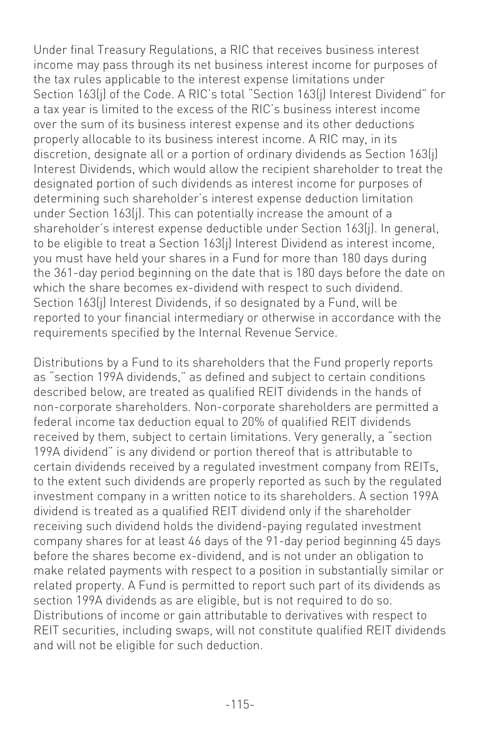Under final Treasury Regulations, a RIC that receives business interest income may pass through its net business interest income for purposes of the tax rules applicable to the interest expense limitations under Section 163(j) of the Code. A RIC's total "Section 163(j) Interest Dividend" for a tax year is limited to the excess of the RIC's business interest income over the sum of its business interest expense and its other deductions properly allocable to its business interest income. A RIC may, in its discretion, designate all or a portion of ordinary dividends as Section 163(j) Interest Dividends, which would allow the recipient shareholder to treat the designated portion of such dividends as interest income for purposes of determining such shareholder's interest expense deduction limitation under Section 163(j). This can potentially increase the amount of a shareholder's interest expense deductible under Section 163(j). In general, to be eligible to treat a Section 163(j) Interest Dividend as interest income, you must have held your shares in a Fund for more than 180 days during the 361-day period beginning on the date that is 180 days before the date on which the share becomes ex-dividend with respect to such dividend. Section 163(j) Interest Dividends, if so designated by a Fund, will be reported to your financial intermediary or otherwise in accordance with the requirements specified by the Internal Revenue Service.

Distributions by a Fund to its shareholders that the Fund properly reports as "section 199A dividends," as defined and subject to certain conditions described below, are treated as qualified REIT dividends in the hands of non-corporate shareholders. Non-corporate shareholders are permitted a federal income tax deduction equal to 20% of qualified REIT dividends received by them, subject to certain limitations. Very generally, a "section 199A dividend" is any dividend or portion thereof that is attributable to certain dividends received by a regulated investment company from REITs, to the extent such dividends are properly reported as such by the regulated investment company in a written notice to its shareholders. A section 199A dividend is treated as a qualified REIT dividend only if the shareholder receiving such dividend holds the dividend-paying regulated investment company shares for at least 46 days of the 91-day period beginning 45 days before the shares become ex-dividend, and is not under an obligation to make related payments with respect to a position in substantially similar or related property. A Fund is permitted to report such part of its dividends as section 199A dividends as are eligible, but is not required to do so. Distributions of income or gain attributable to derivatives with respect to REIT securities, including swaps, will not constitute qualified REIT dividends and will not be eligible for such deduction.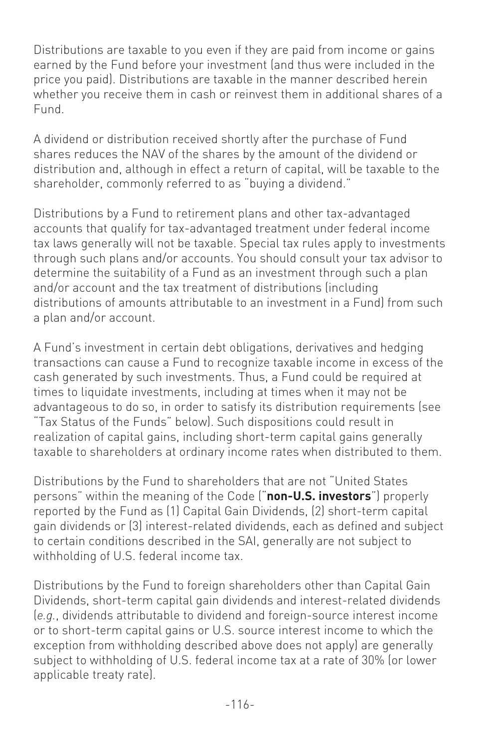Distributions are taxable to you even if they are paid from income or gains earned by the Fund before your investment (and thus were included in the price you paid). Distributions are taxable in the manner described herein whether you receive them in cash or reinvest them in additional shares of a Fund.

A dividend or distribution received shortly after the purchase of Fund shares reduces the NAV of the shares by the amount of the dividend or distribution and, although in effect a return of capital, will be taxable to the shareholder, commonly referred to as "buying a dividend."

Distributions by a Fund to retirement plans and other tax-advantaged accounts that qualify for tax-advantaged treatment under federal income tax laws generally will not be taxable. Special tax rules apply to investments through such plans and/or accounts. You should consult your tax advisor to determine the suitability of a Fund as an investment through such a plan and/or account and the tax treatment of distributions (including distributions of amounts attributable to an investment in a Fund) from such a plan and/or account.

A Fund's investment in certain debt obligations, derivatives and hedging transactions can cause a Fund to recognize taxable income in excess of the cash generated by such investments. Thus, a Fund could be required at times to liquidate investments, including at times when it may not be advantageous to do so, in order to satisfy its distribution requirements (see "Tax Status of the Funds" below). Such dispositions could result in realization of capital gains, including short-term capital gains generally taxable to shareholders at ordinary income rates when distributed to them.

Distributions by the Fund to shareholders that are not "United States persons" within the meaning of the Code ("**non-U.S. investors**") properly reported by the Fund as (1) Capital Gain Dividends, (2) short-term capital gain dividends or (3) interest-related dividends, each as defined and subject to certain conditions described in the SAI, generally are not subject to withholding of U.S. federal income tax.

Distributions by the Fund to foreign shareholders other than Capital Gain Dividends, short-term capital gain dividends and interest-related dividends (*e.g.*, dividends attributable to dividend and foreign-source interest income or to short-term capital gains or U.S. source interest income to which the exception from withholding described above does not apply) are generally subject to withholding of U.S. federal income tax at a rate of 30% (or lower applicable treaty rate).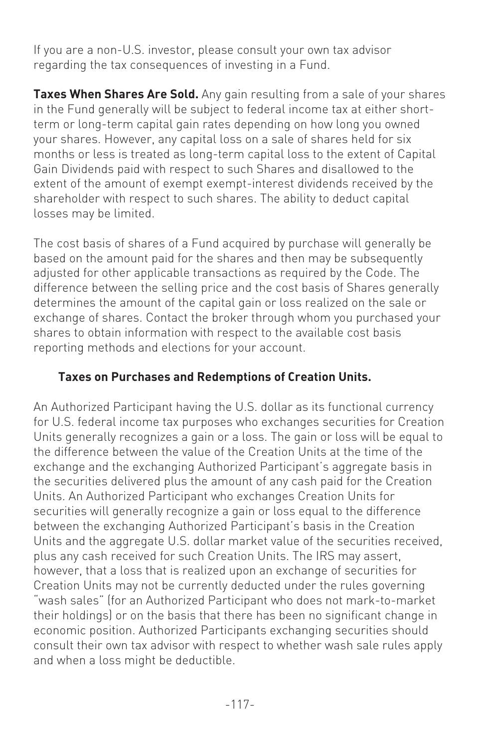If you are a non-U.S. investor, please consult your own tax advisor regarding the tax consequences of investing in a Fund.

**Taxes When Shares Are Sold.** Any gain resulting from a sale of your shares in the Fund generally will be subject to federal income tax at either shortterm or long-term capital gain rates depending on how long you owned your shares. However, any capital loss on a sale of shares held for six months or less is treated as long-term capital loss to the extent of Capital Gain Dividends paid with respect to such Shares and disallowed to the extent of the amount of exempt exempt-interest dividends received by the shareholder with respect to such shares. The ability to deduct capital losses may be limited.

The cost basis of shares of a Fund acquired by purchase will generally be based on the amount paid for the shares and then may be subsequently adjusted for other applicable transactions as required by the Code. The difference between the selling price and the cost basis of Shares generally determines the amount of the capital gain or loss realized on the sale or exchange of shares. Contact the broker through whom you purchased your shares to obtain information with respect to the available cost basis reporting methods and elections for your account.

### **Taxes on Purchases and Redemptions of Creation Units.**

An Authorized Participant having the U.S. dollar as its functional currency for U.S. federal income tax purposes who exchanges securities for Creation Units generally recognizes a gain or a loss. The gain or loss will be equal to the difference between the value of the Creation Units at the time of the exchange and the exchanging Authorized Participant's aggregate basis in the securities delivered plus the amount of any cash paid for the Creation Units. An Authorized Participant who exchanges Creation Units for securities will generally recognize a gain or loss equal to the difference between the exchanging Authorized Participant's basis in the Creation Units and the aggregate U.S. dollar market value of the securities received, plus any cash received for such Creation Units. The IRS may assert, however, that a loss that is realized upon an exchange of securities for Creation Units may not be currently deducted under the rules governing "wash sales" (for an Authorized Participant who does not mark-to-market their holdings) or on the basis that there has been no significant change in economic position. Authorized Participants exchanging securities should consult their own tax advisor with respect to whether wash sale rules apply and when a loss might be deductible.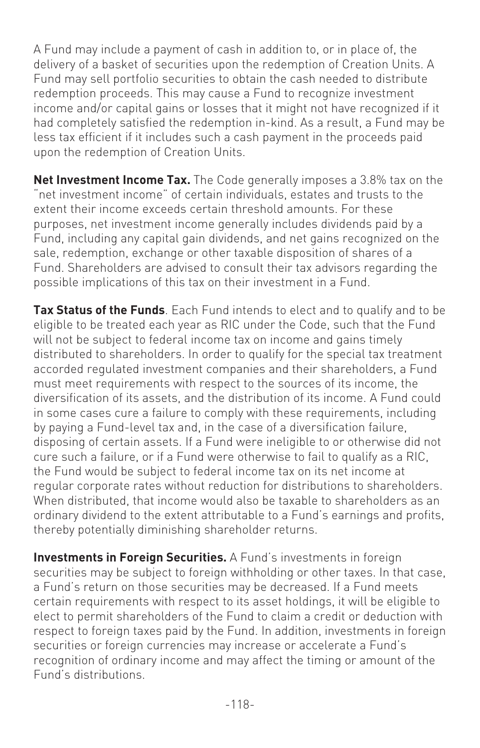A Fund may include a payment of cash in addition to, or in place of, the delivery of a basket of securities upon the redemption of Creation Units. A Fund may sell portfolio securities to obtain the cash needed to distribute redemption proceeds. This may cause a Fund to recognize investment income and/or capital gains or losses that it might not have recognized if it had completely satisfied the redemption in-kind. As a result, a Fund may be less tax efficient if it includes such a cash payment in the proceeds paid upon the redemption of Creation Units.

**Net Investment Income Tax.** The Code generally imposes a 3.8% tax on the "net investment income" of certain individuals, estates and trusts to the extent their income exceeds certain threshold amounts. For these purposes, net investment income generally includes dividends paid by a Fund, including any capital gain dividends, and net gains recognized on the sale, redemption, exchange or other taxable disposition of shares of a Fund. Shareholders are advised to consult their tax advisors regarding the possible implications of this tax on their investment in a Fund.

**Tax Status of the Funds**. Each Fund intends to elect and to qualify and to be eligible to be treated each year as RIC under the Code, such that the Fund will not be subject to federal income tax on income and gains timely distributed to shareholders. In order to qualify for the special tax treatment accorded regulated investment companies and their shareholders, a Fund must meet requirements with respect to the sources of its income, the diversification of its assets, and the distribution of its income. A Fund could in some cases cure a failure to comply with these requirements, including by paying a Fund-level tax and, in the case of a diversification failure, disposing of certain assets. If a Fund were ineligible to or otherwise did not cure such a failure, or if a Fund were otherwise to fail to qualify as a RIC, the Fund would be subject to federal income tax on its net income at regular corporate rates without reduction for distributions to shareholders. When distributed, that income would also be taxable to shareholders as an ordinary dividend to the extent attributable to a Fund's earnings and profits, thereby potentially diminishing shareholder returns.

**Investments in Foreign Securities.** A Fund's investments in foreign securities may be subject to foreign withholding or other taxes. In that case, a Fund's return on those securities may be decreased. If a Fund meets certain requirements with respect to its asset holdings, it will be eligible to elect to permit shareholders of the Fund to claim a credit or deduction with respect to foreign taxes paid by the Fund. In addition, investments in foreign securities or foreign currencies may increase or accelerate a Fund's recognition of ordinary income and may affect the timing or amount of the Fund's distributions.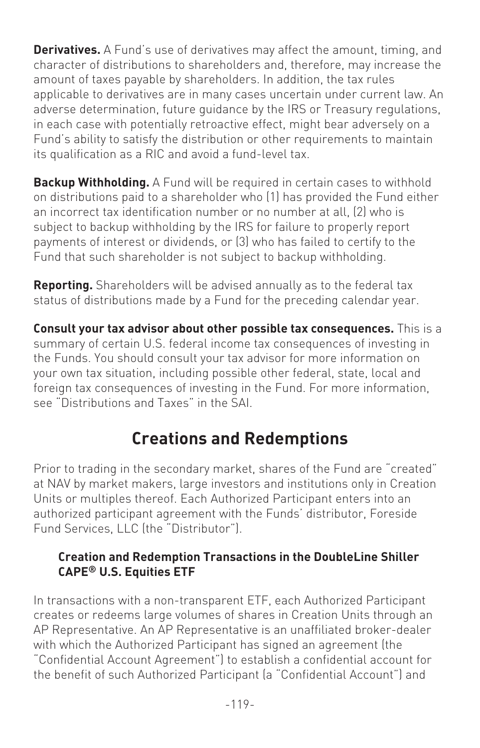**Derivatives.** A Fund's use of derivatives may affect the amount, timing, and character of distributions to shareholders and, therefore, may increase the amount of taxes payable by shareholders. In addition, the tax rules applicable to derivatives are in many cases uncertain under current law. An adverse determination, future guidance by the IRS or Treasury regulations, in each case with potentially retroactive effect, might bear adversely on a Fund's ability to satisfy the distribution or other requirements to maintain its qualification as a RIC and avoid a fund-level tax.

**Backup Withholding.** A Fund will be required in certain cases to withhold on distributions paid to a shareholder who (1) has provided the Fund either an incorrect tax identification number or no number at all, (2) who is subject to backup withholding by the IRS for failure to properly report payments of interest or dividends, or (3) who has failed to certify to the Fund that such shareholder is not subject to backup withholding.

**Reporting.** Shareholders will be advised annually as to the federal tax status of distributions made by a Fund for the preceding calendar year.

**Consult your tax advisor about other possible tax consequences.** This is a summary of certain U.S. federal income tax consequences of investing in the Funds. You should consult your tax advisor for more information on your own tax situation, including possible other federal, state, local and foreign tax consequences of investing in the Fund. For more information, see "Distributions and Taxes" in the SAI.

## **Creations and Redemptions**

Prior to trading in the secondary market, shares of the Fund are "created" at NAV by market makers, large investors and institutions only in Creation Units or multiples thereof. Each Authorized Participant enters into an authorized participant agreement with the Funds' distributor, Foreside Fund Services, LLC (the "Distributor").

#### **Creation and Redemption Transactions in the DoubleLine Shiller CAPE® U.S. Equities ETF**

In transactions with a non-transparent ETF, each Authorized Participant creates or redeems large volumes of shares in Creation Units through an AP Representative. An AP Representative is an unaffiliated broker-dealer with which the Authorized Participant has signed an agreement (the "Confidential Account Agreement") to establish a confidential account for the benefit of such Authorized Participant (a "Confidential Account") and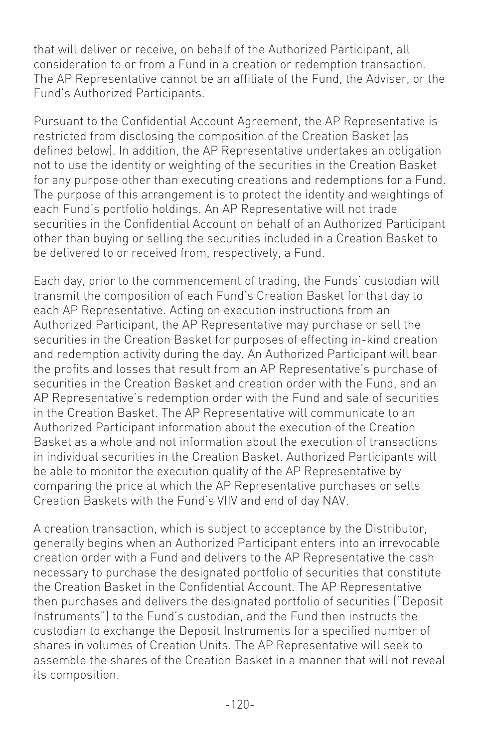that will deliver or receive, on behalf of the Authorized Participant, all consideration to or from a Fund in a creation or redemption transaction. The AP Representative cannot be an affiliate of the Fund, the Adviser, or the Fund's Authorized Participants.

Pursuant to the Confidential Account Agreement, the AP Representative is restricted from disclosing the composition of the Creation Basket (as defined below). In addition, the AP Representative undertakes an obligation not to use the identity or weighting of the securities in the Creation Basket for any purpose other than executing creations and redemptions for a Fund. The purpose of this arrangement is to protect the identity and weightings of each Fund's portfolio holdings. An AP Representative will not trade securities in the Confidential Account on behalf of an Authorized Participant other than buying or selling the securities included in a Creation Basket to be delivered to or received from, respectively, a Fund.

Each day, prior to the commencement of trading, the Funds' custodian will transmit the composition of each Fund's Creation Basket for that day to each AP Representative. Acting on execution instructions from an Authorized Participant, the AP Representative may purchase or sell the securities in the Creation Basket for purposes of effecting in-kind creation and redemption activity during the day. An Authorized Participant will bear the profits and losses that result from an AP Representative's purchase of securities in the Creation Basket and creation order with the Fund, and an AP Representative's redemption order with the Fund and sale of securities in the Creation Basket. The AP Representative will communicate to an Authorized Participant information about the execution of the Creation Basket as a whole and not information about the execution of transactions in individual securities in the Creation Basket. Authorized Participants will be able to monitor the execution quality of the AP Representative by comparing the price at which the AP Representative purchases or sells Creation Baskets with the Fund's VIIV and end of day NAV.

A creation transaction, which is subject to acceptance by the Distributor, generally begins when an Authorized Participant enters into an irrevocable creation order with a Fund and delivers to the AP Representative the cash necessary to purchase the designated portfolio of securities that constitute the Creation Basket in the Confidential Account. The AP Representative then purchases and delivers the designated portfolio of securities ("Deposit Instruments") to the Fund's custodian, and the Fund then instructs the custodian to exchange the Deposit Instruments for a specified number of shares in volumes of Creation Units. The AP Representative will seek to assemble the shares of the Creation Basket in a manner that will not reveal its composition.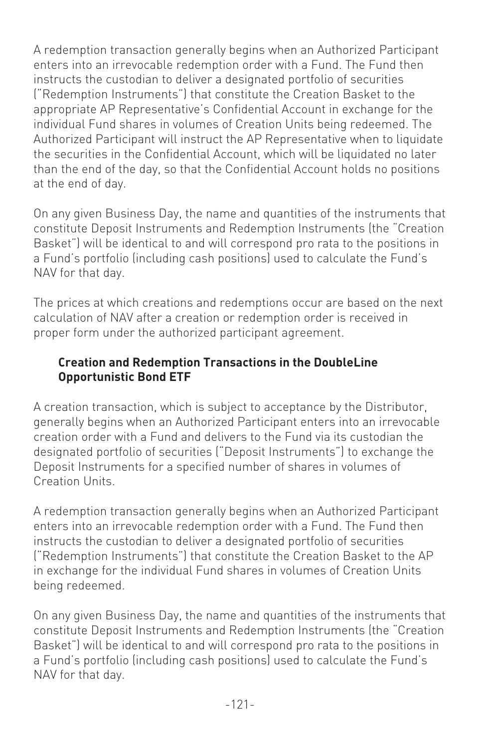A redemption transaction generally begins when an Authorized Participant enters into an irrevocable redemption order with a Fund. The Fund then instructs the custodian to deliver a designated portfolio of securities ("Redemption Instruments") that constitute the Creation Basket to the appropriate AP Representative's Confidential Account in exchange for the individual Fund shares in volumes of Creation Units being redeemed. The Authorized Participant will instruct the AP Representative when to liquidate the securities in the Confidential Account, which will be liquidated no later than the end of the day, so that the Confidential Account holds no positions at the end of day.

On any given Business Day, the name and quantities of the instruments that constitute Deposit Instruments and Redemption Instruments (the "Creation Basket") will be identical to and will correspond pro rata to the positions in a Fund's portfolio (including cash positions) used to calculate the Fund's NAV for that day.

The prices at which creations and redemptions occur are based on the next calculation of NAV after a creation or redemption order is received in proper form under the authorized participant agreement.

### **Creation and Redemption Transactions in the DoubleLine Opportunistic Bond ETF**

A creation transaction, which is subject to acceptance by the Distributor, generally begins when an Authorized Participant enters into an irrevocable creation order with a Fund and delivers to the Fund via its custodian the designated portfolio of securities ("Deposit Instruments") to exchange the Deposit Instruments for a specified number of shares in volumes of Creation Units.

A redemption transaction generally begins when an Authorized Participant enters into an irrevocable redemption order with a Fund. The Fund then instructs the custodian to deliver a designated portfolio of securities ("Redemption Instruments") that constitute the Creation Basket to the AP in exchange for the individual Fund shares in volumes of Creation Units being redeemed.

On any given Business Day, the name and quantities of the instruments that constitute Deposit Instruments and Redemption Instruments (the "Creation Basket") will be identical to and will correspond pro rata to the positions in a Fund's portfolio (including cash positions) used to calculate the Fund's NAV for that day.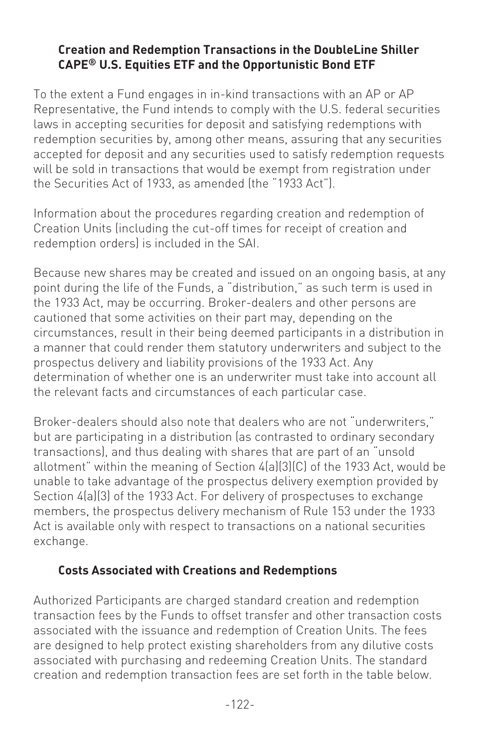#### **Creation and Redemption Transactions in the DoubleLine Shiller CAPE® U.S. Equities ETF and the Opportunistic Bond ETF**

To the extent a Fund engages in in-kind transactions with an AP or AP Representative, the Fund intends to comply with the U.S. federal securities laws in accepting securities for deposit and satisfying redemptions with redemption securities by, among other means, assuring that any securities accepted for deposit and any securities used to satisfy redemption requests will be sold in transactions that would be exempt from registration under the Securities Act of 1933, as amended (the "1933 Act").

Information about the procedures regarding creation and redemption of Creation Units (including the cut-off times for receipt of creation and redemption orders) is included in the SAI.

Because new shares may be created and issued on an ongoing basis, at any point during the life of the Funds, a "distribution," as such term is used in the 1933 Act, may be occurring. Broker-dealers and other persons are cautioned that some activities on their part may, depending on the circumstances, result in their being deemed participants in a distribution in a manner that could render them statutory underwriters and subject to the prospectus delivery and liability provisions of the 1933 Act. Any determination of whether one is an underwriter must take into account all the relevant facts and circumstances of each particular case.

Broker-dealers should also note that dealers who are not "underwriters," but are participating in a distribution (as contrasted to ordinary secondary transactions), and thus dealing with shares that are part of an "unsold allotment" within the meaning of Section 4(a)(3)(C) of the 1933 Act, would be unable to take advantage of the prospectus delivery exemption provided by Section 4(a)(3) of the 1933 Act. For delivery of prospectuses to exchange members, the prospectus delivery mechanism of Rule 153 under the 1933 Act is available only with respect to transactions on a national securities exchange.

### **Costs Associated with Creations and Redemptions**

Authorized Participants are charged standard creation and redemption transaction fees by the Funds to offset transfer and other transaction costs associated with the issuance and redemption of Creation Units. The fees are designed to help protect existing shareholders from any dilutive costs associated with purchasing and redeeming Creation Units. The standard creation and redemption transaction fees are set forth in the table below.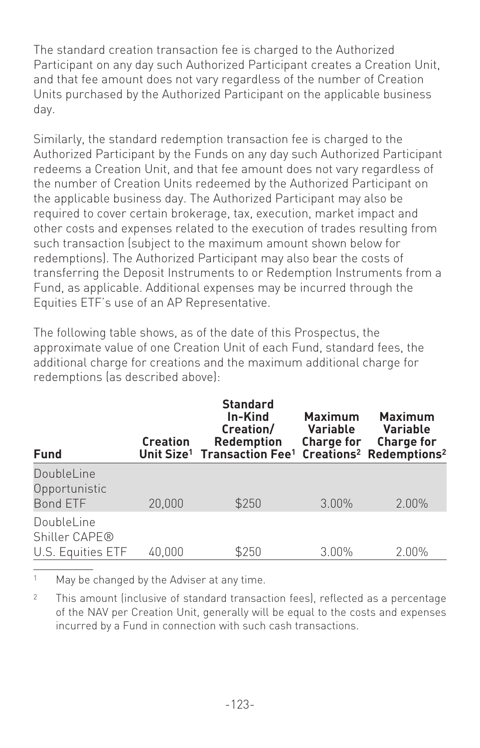The standard creation transaction fee is charged to the Authorized Participant on any day such Authorized Participant creates a Creation Unit, and that fee amount does not vary regardless of the number of Creation Units purchased by the Authorized Participant on the applicable business day.

Similarly, the standard redemption transaction fee is charged to the Authorized Participant by the Funds on any day such Authorized Participant redeems a Creation Unit, and that fee amount does not vary regardless of the number of Creation Units redeemed by the Authorized Participant on the applicable business day. The Authorized Participant may also be required to cover certain brokerage, tax, execution, market impact and other costs and expenses related to the execution of trades resulting from such transaction (subject to the maximum amount shown below for redemptions). The Authorized Participant may also bear the costs of transferring the Deposit Instruments to or Redemption Instruments from a Fund, as applicable. Additional expenses may be incurred through the Equities ETF's use of an AP Representative.

The following table shows, as of the date of this Prospectus, the approximate value of one Creation Unit of each Fund, standard fees, the additional charge for creations and the maximum additional charge for redemptions (as described above):

| <b>Fund</b>                                      | <b>Creation</b> | <b>Standard</b><br>In-Kind<br>Creation/<br><b>Redemption</b><br>Unit Size <sup>1</sup> Transaction Fee <sup>1</sup> | <b>Maximum</b><br><b>Variable</b><br>Charge for | <b>Maximum</b><br><b>Variable</b><br><b>Charge for</b><br>Creations <sup>2</sup> Redemptions <sup>2</sup> |
|--------------------------------------------------|-----------------|---------------------------------------------------------------------------------------------------------------------|-------------------------------------------------|-----------------------------------------------------------------------------------------------------------|
| DoubleLine<br>Opportunistic<br><b>Bond ETF</b>   | 20,000          | \$250                                                                                                               | 3.00%                                           | 2.00%                                                                                                     |
| DoubleLine<br>Shiller CAPE®<br>U.S. Equities ETF | 40,000          | \$250                                                                                                               | 3.00%                                           | 2.00%                                                                                                     |

<sup>1</sup> May be changed by the Adviser at any time.

<sup>2</sup> This amount (inclusive of standard transaction fees), reflected as a percentage of the NAV per Creation Unit, generally will be equal to the costs and expenses incurred by a Fund in connection with such cash transactions.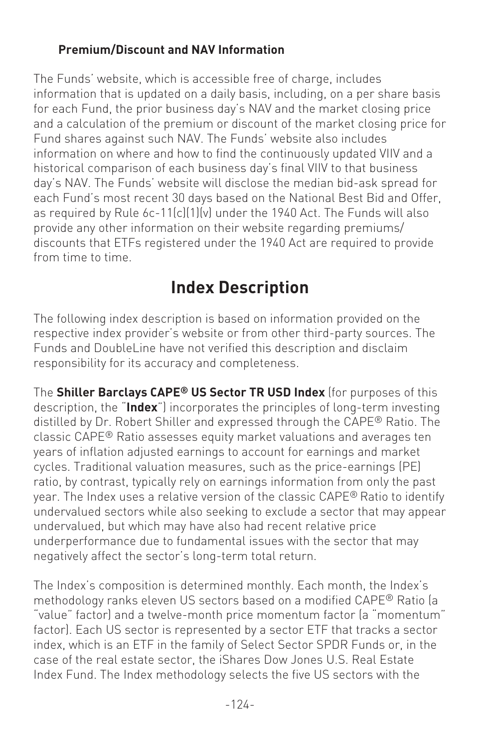### **Premium/Discount and NAV Information**

The Funds' website, which is accessible free of charge, includes information that is updated on a daily basis, including, on a per share basis for each Fund, the prior business day's NAV and the market closing price and a calculation of the premium or discount of the market closing price for Fund shares against such NAV. The Funds' website also includes information on where and how to find the continuously updated VIIV and a historical comparison of each business day's final VIIV to that business day's NAV. The Funds' website will disclose the median bid-ask spread for each Fund's most recent 30 days based on the National Best Bid and Offer, as required by Rule 6c-11(c)(1)(v) under the 1940 Act. The Funds will also provide any other information on their website regarding premiums/ discounts that ETFs registered under the 1940 Act are required to provide from time to time.

### **Index Description**

The following index description is based on information provided on the respective index provider's website or from other third-party sources. The Funds and DoubleLine have not verified this description and disclaim responsibility for its accuracy and completeness.

The **Shiller Barclays CAPE® US Sector TR USD Index** (for purposes of this description, the "**Index**") incorporates the principles of long-term investing distilled by Dr. Robert Shiller and expressed through the CAPE® Ratio. The classic CAPE® Ratio assesses equity market valuations and averages ten years of inflation adjusted earnings to account for earnings and market cycles. Traditional valuation measures, such as the price-earnings (PE) ratio, by contrast, typically rely on earnings information from only the past year. The Index uses a relative version of the classic CAPE® Ratio to identify undervalued sectors while also seeking to exclude a sector that may appear undervalued, but which may have also had recent relative price underperformance due to fundamental issues with the sector that may negatively affect the sector's long-term total return.

The Index's composition is determined monthly. Each month, the Index's methodology ranks eleven US sectors based on a modified CAPE® Ratio (a "value" factor) and a twelve-month price momentum factor (a "momentum" factor). Each US sector is represented by a sector ETF that tracks a sector index, which is an ETF in the family of Select Sector SPDR Funds or, in the case of the real estate sector, the iShares Dow Jones U.S. Real Estate Index Fund. The Index methodology selects the five US sectors with the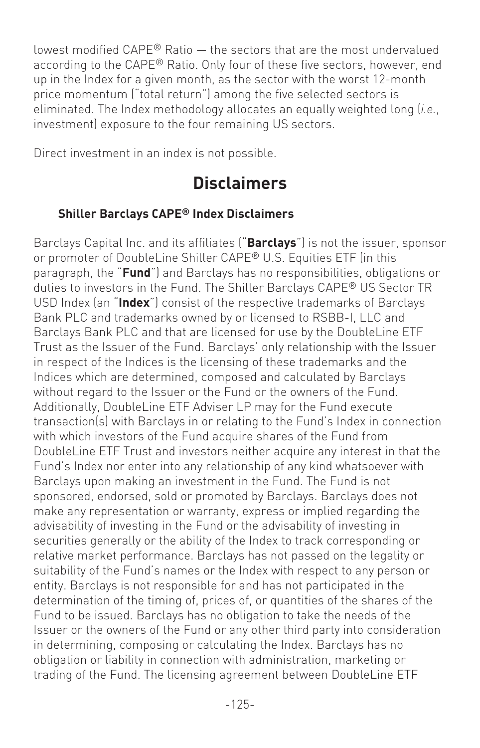lowest modified CAPE® Ratio — the sectors that are the most undervalued according to the CAPE® Ratio. Only four of these five sectors, however, end up in the Index for a given month, as the sector with the worst 12-month price momentum ("total return") among the five selected sectors is eliminated. The Index methodology allocates an equally weighted long (*i.e.*, investment) exposure to the four remaining US sectors.

Direct investment in an index is not possible.

### **Disclaimers**

### **Shiller Barclays CAPE® Index Disclaimers**

Barclays Capital Inc. and its affiliates ("**Barclays**") is not the issuer, sponsor or promoter of DoubleLine Shiller CAPE® U.S. Equities ETF (in this paragraph, the "**Fund**") and Barclays has no responsibilities, obligations or duties to investors in the Fund. The Shiller Barclays CAPE® US Sector TR USD Index (an "**Index**") consist of the respective trademarks of Barclays Bank PLC and trademarks owned by or licensed to RSBB-I, LLC and Barclays Bank PLC and that are licensed for use by the DoubleLine ETF Trust as the Issuer of the Fund. Barclays' only relationship with the Issuer in respect of the Indices is the licensing of these trademarks and the Indices which are determined, composed and calculated by Barclays without regard to the Issuer or the Fund or the owners of the Fund. Additionally, DoubleLine ETF Adviser LP may for the Fund execute transaction(s) with Barclays in or relating to the Fund's Index in connection with which investors of the Fund acquire shares of the Fund from DoubleLine ETF Trust and investors neither acquire any interest in that the Fund's Index nor enter into any relationship of any kind whatsoever with Barclays upon making an investment in the Fund. The Fund is not sponsored, endorsed, sold or promoted by Barclays. Barclays does not make any representation or warranty, express or implied regarding the advisability of investing in the Fund or the advisability of investing in securities generally or the ability of the Index to track corresponding or relative market performance. Barclays has not passed on the legality or suitability of the Fund's names or the Index with respect to any person or entity. Barclays is not responsible for and has not participated in the determination of the timing of, prices of, or quantities of the shares of the Fund to be issued. Barclays has no obligation to take the needs of the Issuer or the owners of the Fund or any other third party into consideration in determining, composing or calculating the Index. Barclays has no obligation or liability in connection with administration, marketing or trading of the Fund. The licensing agreement between DoubleLine ETF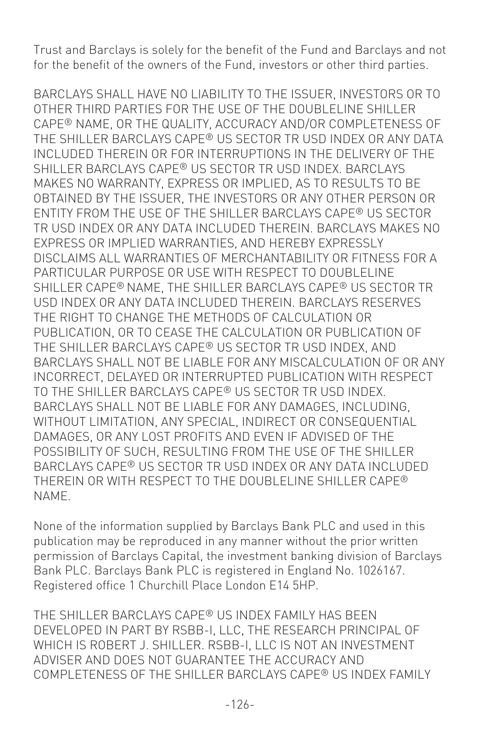Trust and Barclays is solely for the benefit of the Fund and Barclays and not for the benefit of the owners of the Fund, investors or other third parties.

BARCLAYS SHALL HAVE NO LIABILITY TO THE ISSUER, INVESTORS OR TO OTHER THIRD PARTIES FOR THE USE OF THE DOUBLELINE SHILLER CAPE® NAME, OR THE QUALITY, ACCURACY AND/OR COMPLETENESS OF THE SHILLER BARCLAYS CAPE® US SECTOR TR USD INDEX OR ANY DATA INCLUDED THEREIN OR FOR INTERRUPTIONS IN THE DELIVERY OF THE SHILLER BARCLAYS CAPE® US SECTOR TR USD INDEX. BARCLAYS MAKES NO WARRANTY, EXPRESS OR IMPLIED, AS TO RESULTS TO BE OBTAINED BY THE ISSUER, THE INVESTORS OR ANY OTHER PERSON OR ENTITY FROM THE USE OF THE SHILLER BARCLAYS CAPE® US SECTOR TR USD INDEX OR ANY DATA INCLUDED THEREIN. BARCLAYS MAKES NO EXPRESS OR IMPLIED WARRANTIES, AND HEREBY EXPRESSLY DISCLAIMS ALL WARRANTIES OF MERCHANTABILITY OR FITNESS FOR A PARTICULAR PURPOSE OR USE WITH RESPECT TO DOUBLELINE SHILLER CAPE® NAME, THE SHILLER BARCLAYS CAPE® US SECTOR TR USD INDEX OR ANY DATA INCLUDED THEREIN. BARCLAYS RESERVES THE RIGHT TO CHANGE THE METHODS OF CALCULATION OR PUBLICATION, OR TO CEASE THE CALCULATION OR PUBLICATION OF THE SHILLER BARCLAYS CAPE® US SECTOR TR USD INDEX, AND BARCLAYS SHALL NOT BE LIABLE FOR ANY MISCALCULATION OF OR ANY INCORRECT, DELAYED OR INTERRUPTED PUBLICATION WITH RESPECT TO THE SHILLER BARCLAYS CAPE® US SECTOR TR USD INDEX. BARCLAYS SHALL NOT BE LIABLE FOR ANY DAMAGES, INCLUDING, WITHOUT LIMITATION, ANY SPECIAL, INDIRECT OR CONSEQUENTIAL DAMAGES, OR ANY LOST PROFITS AND EVEN IF ADVISED OF THE POSSIBILITY OF SUCH, RESULTING FROM THE USE OF THE SHILLER BARCLAYS CAPE® US SECTOR TR USD INDEX OR ANY DATA INCLUDED THEREIN OR WITH RESPECT TO THE DOUBLELINE SHILLER CAPE® NAME.

None of the information supplied by Barclays Bank PLC and used in this publication may be reproduced in any manner without the prior written permission of Barclays Capital, the investment banking division of Barclays Bank PLC. Barclays Bank PLC is registered in England No. 1026167. Registered office 1 Churchill Place London E14 5HP.

THE SHILLER BARCLAYS CAPE® US INDEX FAMILY HAS BEEN DEVELOPED IN PART BY RSBB-I, LLC, THE RESEARCH PRINCIPAL OF WHICH IS ROBERT J. SHILLER. RSBB-I, LLC IS NOT AN INVESTMENT ADVISER AND DOES NOT GUARANTEE THE ACCURACY AND COMPLETENESS OF THE SHILLER BARCLAYS CAPE® US INDEX FAMILY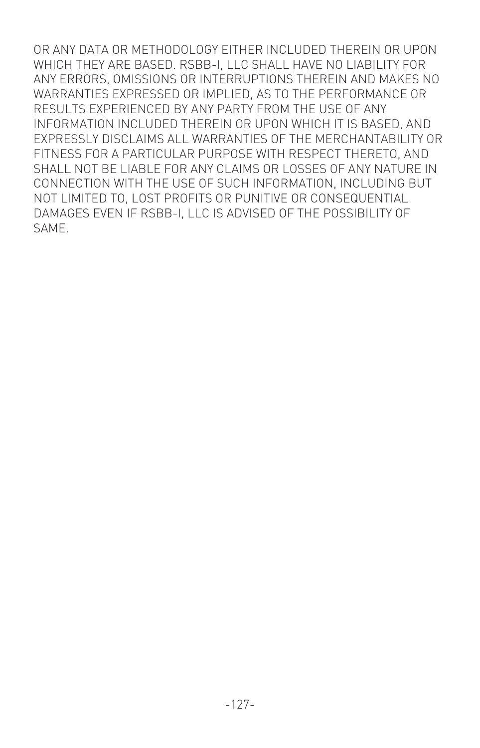OR ANY DATA OR METHODOLOGY EITHER INCLUDED THEREIN OR UPON WHICH THEY ARE BASED. RSBB-I, LLC SHALL HAVE NO LIABILITY FOR ANY ERRORS, OMISSIONS OR INTERRUPTIONS THEREIN AND MAKES NO WARRANTIES EXPRESSED OR IMPLIED, AS TO THE PERFORMANCE OR RESULTS EXPERIENCED BY ANY PARTY FROM THE USE OF ANY INFORMATION INCLUDED THEREIN OR UPON WHICH IT IS BASED, AND EXPRESSLY DISCLAIMS ALL WARRANTIES OF THE MERCHANTABILITY OR FITNESS FOR A PARTICULAR PURPOSE WITH RESPECT THERETO, AND SHALL NOT BE LIABLE FOR ANY CLAIMS OR LOSSES OF ANY NATURE IN CONNECTION WITH THE USE OF SUCH INFORMATION, INCLUDING BUT NOT LIMITED TO, LOST PROFITS OR PUNITIVE OR CONSEQUENTIAL DAMAGES EVEN IF RSBB-I, LLC IS ADVISED OF THE POSSIBILITY OF SAME.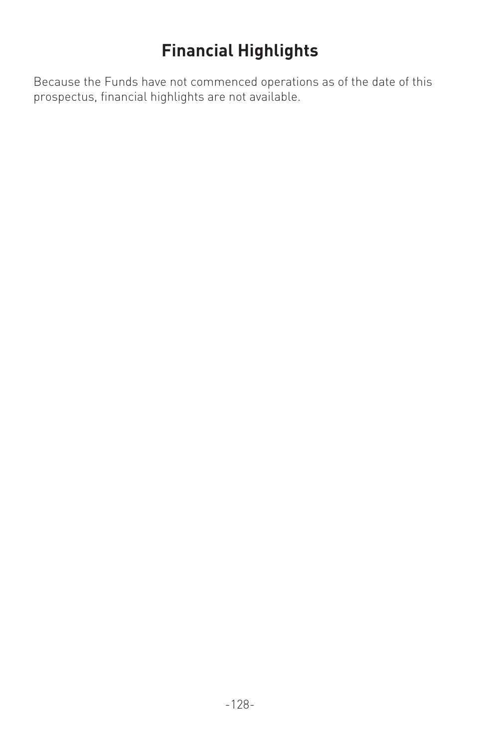## **Financial Highlights**

Because the Funds have not commenced operations as of the date of this prospectus, financial highlights are not available.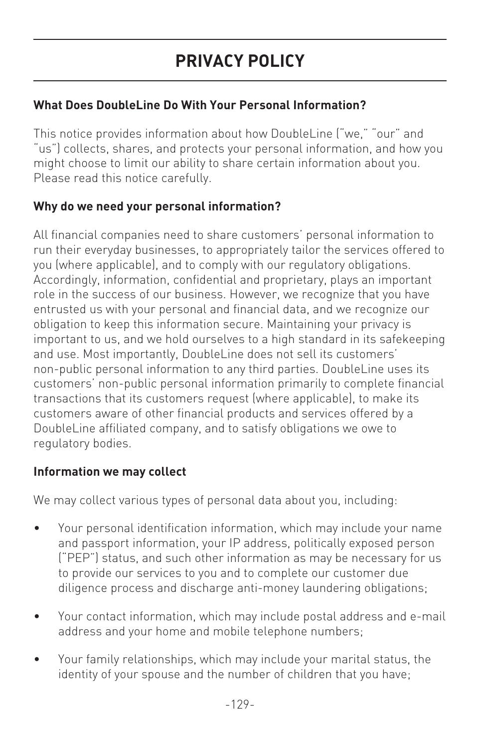### **What Does DoubleLine Do With Your Personal Information?**

This notice provides information about how DoubleLine ("we," "our" and "us") collects, shares, and protects your personal information, and how you might choose to limit our ability to share certain information about you. Please read this notice carefully.

### **Why do we need your personal information?**

All financial companies need to share customers' personal information to run their everyday businesses, to appropriately tailor the services offered to you (where applicable), and to comply with our regulatory obligations. Accordingly, information, confidential and proprietary, plays an important role in the success of our business. However, we recognize that you have entrusted us with your personal and financial data, and we recognize our obligation to keep this information secure. Maintaining your privacy is important to us, and we hold ourselves to a high standard in its safekeeping and use. Most importantly, DoubleLine does not sell its customers' non-public personal information to any third parties. DoubleLine uses its customers' non-public personal information primarily to complete financial transactions that its customers request (where applicable), to make its customers aware of other financial products and services offered by a DoubleLine affiliated company, and to satisfy obligations we owe to regulatory bodies.

### **Information we may collect**

We may collect various types of personal data about you, including:

- Your personal identification information, which may include your name and passport information, your IP address, politically exposed person ("PEP") status, and such other information as may be necessary for us to provide our services to you and to complete our customer due diligence process and discharge anti-money laundering obligations;
- Your contact information, which may include postal address and e-mail address and your home and mobile telephone numbers;
- Your family relationships, which may include your marital status, the identity of your spouse and the number of children that you have;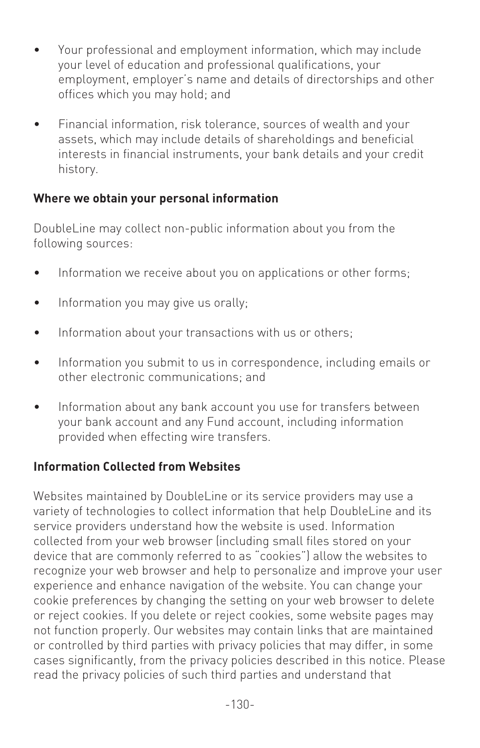- Your professional and employment information, which may include your level of education and professional qualifications, your employment, employer's name and details of directorships and other offices which you may hold; and
- Financial information, risk tolerance, sources of wealth and your assets, which may include details of shareholdings and beneficial interests in financial instruments, your bank details and your credit history.

#### **Where we obtain your personal information**

DoubleLine may collect non-public information about you from the following sources:

- Information we receive about you on applications or other forms;
- Information you may give us orally;
- Information about your transactions with us or others;
- Information you submit to us in correspondence, including emails or other electronic communications; and
- Information about any bank account you use for transfers between your bank account and any Fund account, including information provided when effecting wire transfers.

### **Information Collected from Websites**

Websites maintained by DoubleLine or its service providers may use a variety of technologies to collect information that help DoubleLine and its service providers understand how the website is used. Information collected from your web browser (including small files stored on your device that are commonly referred to as "cookies") allow the websites to recognize your web browser and help to personalize and improve your user experience and enhance navigation of the website. You can change your cookie preferences by changing the setting on your web browser to delete or reject cookies. If you delete or reject cookies, some website pages may not function properly. Our websites may contain links that are maintained or controlled by third parties with privacy policies that may differ, in some cases significantly, from the privacy policies described in this notice. Please read the privacy policies of such third parties and understand that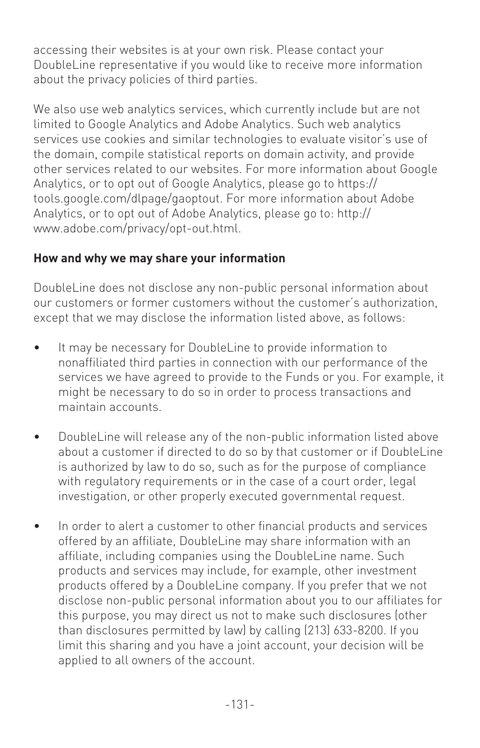accessing their websites is at your own risk. Please contact your DoubleLine representative if you would like to receive more information about the privacy policies of third parties.

We also use web analytics services, which currently include but are not limited to Google Analytics and Adobe Analytics. Such web analytics services use cookies and similar technologies to evaluate visitor's use of the domain, compile statistical reports on domain activity, and provide other services related to our websites. For more information about Google Analytics, or to opt out of Google Analytics, please go to https:// tools.google.com/dlpage/gaoptout. For more information about Adobe Analytics, or to opt out of Adobe Analytics, please go to: http:// www.adobe.com/privacy/opt-out.html.

### **How and why we may share your information**

DoubleLine does not disclose any non-public personal information about our customers or former customers without the customer's authorization, except that we may disclose the information listed above, as follows:

- It may be necessary for DoubleLine to provide information to nonaffiliated third parties in connection with our performance of the services we have agreed to provide to the Funds or you. For example, it might be necessary to do so in order to process transactions and maintain accounts.
- DoubleLine will release any of the non-public information listed above about a customer if directed to do so by that customer or if DoubleLine is authorized by law to do so, such as for the purpose of compliance with regulatory requirements or in the case of a court order, legal investigation, or other properly executed governmental request.
- In order to alert a customer to other financial products and services offered by an affiliate, DoubleLine may share information with an affiliate, including companies using the DoubleLine name. Such products and services may include, for example, other investment products offered by a DoubleLine company. If you prefer that we not disclose non-public personal information about you to our affiliates for this purpose, you may direct us not to make such disclosures (other than disclosures permitted by law) by calling (213) 633-8200. If you limit this sharing and you have a joint account, your decision will be applied to all owners of the account.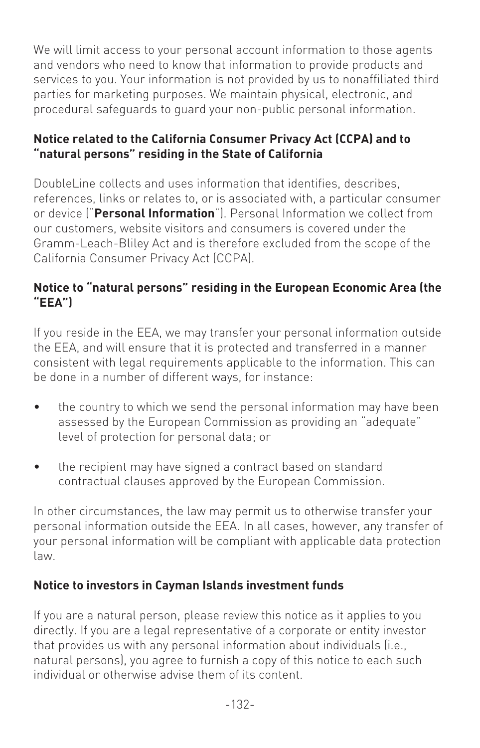We will limit access to your personal account information to those agents and vendors who need to know that information to provide products and services to you. Your information is not provided by us to nonaffiliated third parties for marketing purposes. We maintain physical, electronic, and procedural safeguards to guard your non-public personal information.

#### **Notice related to the California Consumer Privacy Act (CCPA) and to "natural persons" residing in the State of California**

DoubleLine collects and uses information that identifies, describes, references, links or relates to, or is associated with, a particular consumer or device ("**Personal Information**"). Personal Information we collect from our customers, website visitors and consumers is covered under the Gramm-Leach-Bliley Act and is therefore excluded from the scope of the California Consumer Privacy Act (CCPA).

### **Notice to "natural persons" residing in the European Economic Area (the "EEA")**

If you reside in the EEA, we may transfer your personal information outside the EEA, and will ensure that it is protected and transferred in a manner consistent with legal requirements applicable to the information. This can be done in a number of different ways, for instance:

- the country to which we send the personal information may have been assessed by the European Commission as providing an "adequate" level of protection for personal data; or
- the recipient may have signed a contract based on standard contractual clauses approved by the European Commission.

In other circumstances, the law may permit us to otherwise transfer your personal information outside the EEA. In all cases, however, any transfer of your personal information will be compliant with applicable data protection law.

### **Notice to investors in Cayman Islands investment funds**

If you are a natural person, please review this notice as it applies to you directly. If you are a legal representative of a corporate or entity investor that provides us with any personal information about individuals (i.e., natural persons), you agree to furnish a copy of this notice to each such individual or otherwise advise them of its content.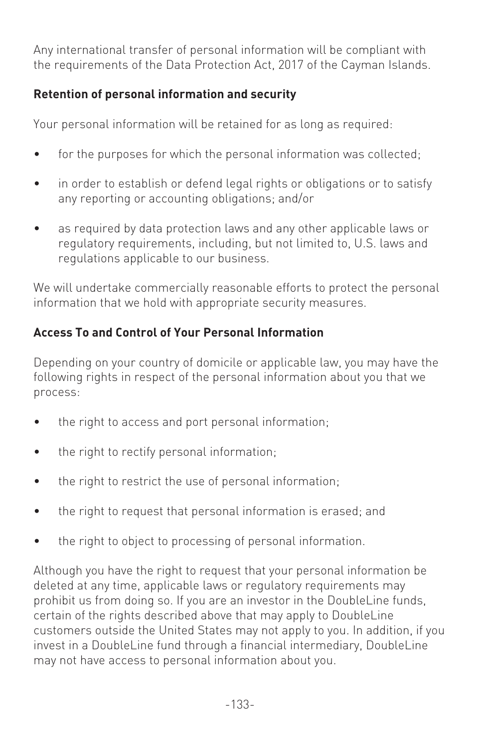Any international transfer of personal information will be compliant with the requirements of the Data Protection Act, 2017 of the Cayman Islands.

### **Retention of personal information and security**

Your personal information will be retained for as long as required:

- for the purposes for which the personal information was collected;
- in order to establish or defend legal rights or obligations or to satisfy any reporting or accounting obligations; and/or
- as required by data protection laws and any other applicable laws or regulatory requirements, including, but not limited to, U.S. laws and regulations applicable to our business.

We will undertake commercially reasonable efforts to protect the personal information that we hold with appropriate security measures.

### **Access To and Control of Your Personal Information**

Depending on your country of domicile or applicable law, you may have the following rights in respect of the personal information about you that we process:

- the right to access and port personal information;
- the right to rectify personal information;
- the right to restrict the use of personal information;
- the right to request that personal information is erased; and
- the right to object to processing of personal information.

Although you have the right to request that your personal information be deleted at any time, applicable laws or regulatory requirements may prohibit us from doing so. If you are an investor in the DoubleLine funds, certain of the rights described above that may apply to DoubleLine customers outside the United States may not apply to you. In addition, if you invest in a DoubleLine fund through a financial intermediary, DoubleLine may not have access to personal information about you.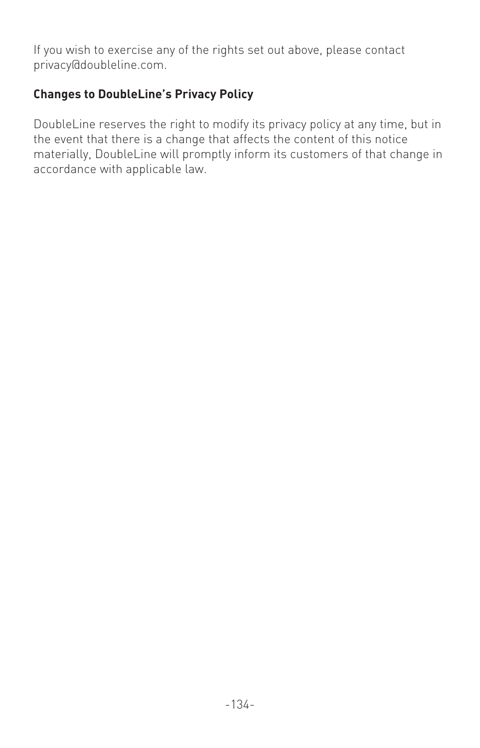If you wish to exercise any of the rights set out above, please contact privacy@doubleline.com.

### **Changes to DoubleLine's Privacy Policy**

DoubleLine reserves the right to modify its privacy policy at any time, but in the event that there is a change that affects the content of this notice materially, DoubleLine will promptly inform its customers of that change in accordance with applicable law.